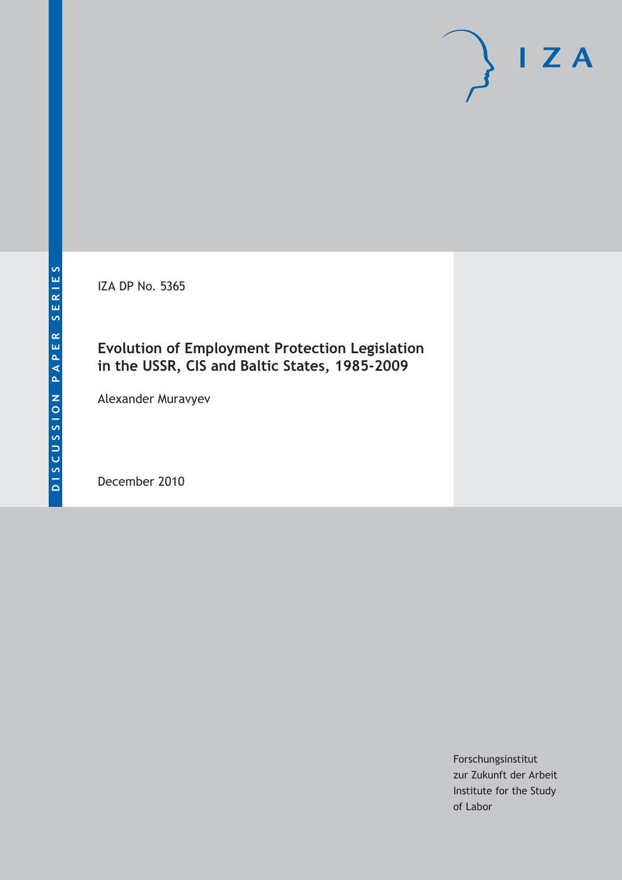IZA DP No. 5365

# **Evolution of Employment Protection Legislation in the USSR, CIS and Baltic States, 1985-2009**

Alexander Muravyev

December 2010

Forschungsinstitut zur Zukunft der Arbeit Institute for the Study of Labor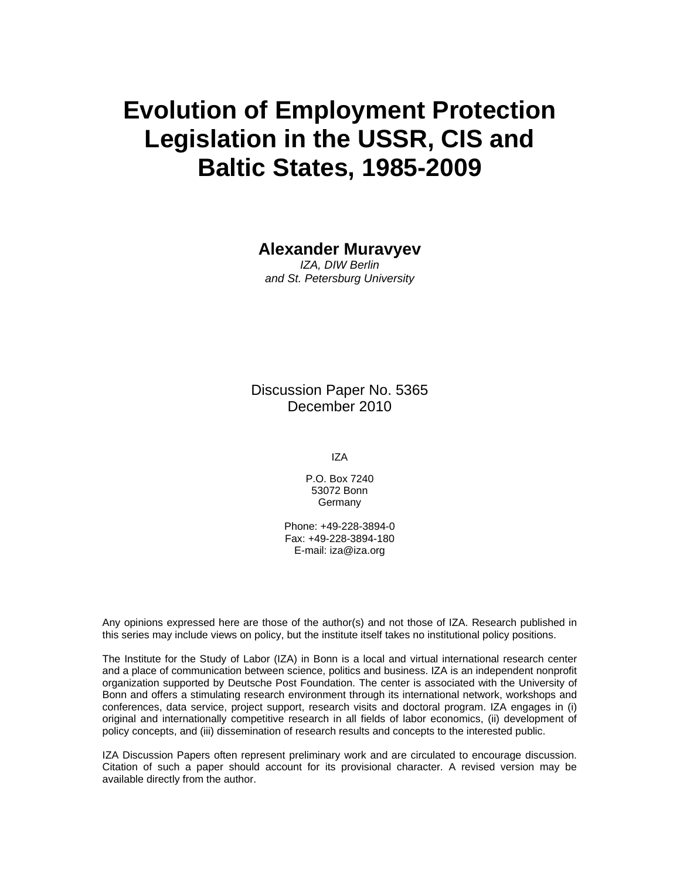# **Evolution of Employment Protection Legislation in the USSR, CIS and Baltic States, 1985-2009**

# **Alexander Muravyev**

*IZA, DIW Berlin and St. Petersburg University* 

Discussion Paper No. 5365 December 2010

IZA

P.O. Box 7240 53072 Bonn **Germany** 

Phone: +49-228-3894-0 Fax: +49-228-3894-180 E-mail: iza@iza.org

Any opinions expressed here are those of the author(s) and not those of IZA. Research published in this series may include views on policy, but the institute itself takes no institutional policy positions.

The Institute for the Study of Labor (IZA) in Bonn is a local and virtual international research center and a place of communication between science, politics and business. IZA is an independent nonprofit organization supported by Deutsche Post Foundation. The center is associated with the University of Bonn and offers a stimulating research environment through its international network, workshops and conferences, data service, project support, research visits and doctoral program. IZA engages in (i) original and internationally competitive research in all fields of labor economics, (ii) development of policy concepts, and (iii) dissemination of research results and concepts to the interested public.

IZA Discussion Papers often represent preliminary work and are circulated to encourage discussion. Citation of such a paper should account for its provisional character. A revised version may be available directly from the author.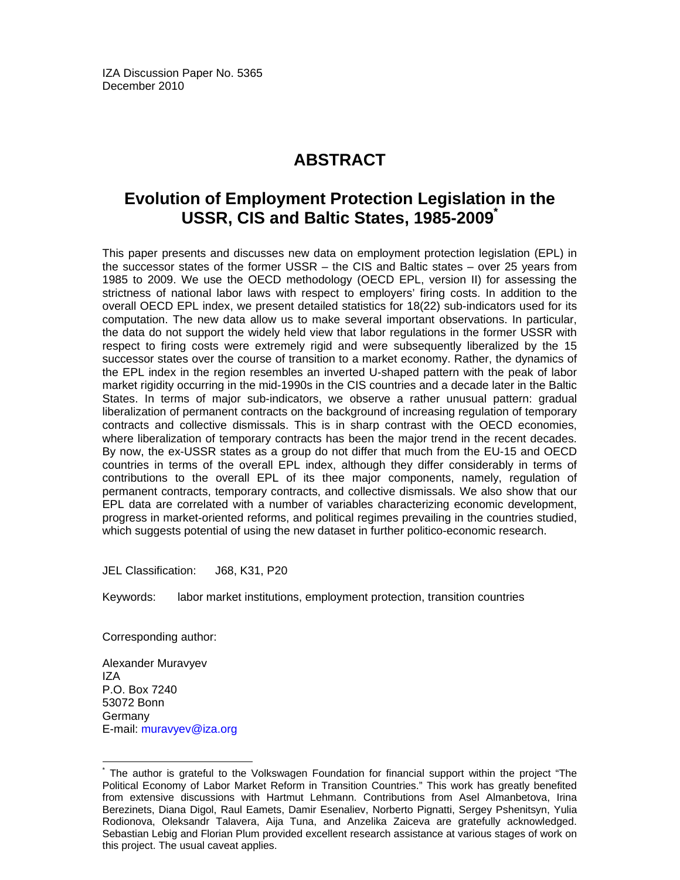IZA Discussion Paper No. 5365 December 2010

# **ABSTRACT**

# **Evolution of Employment Protection Legislation in the USSR, CIS and Baltic States, 1985-2009\***

This paper presents and discusses new data on employment protection legislation (EPL) in the successor states of the former USSR – the CIS and Baltic states – over 25 years from 1985 to 2009. We use the OECD methodology (OECD EPL, version II) for assessing the strictness of national labor laws with respect to employers' firing costs. In addition to the overall OECD EPL index, we present detailed statistics for 18(22) sub-indicators used for its computation. The new data allow us to make several important observations. In particular, the data do not support the widely held view that labor regulations in the former USSR with respect to firing costs were extremely rigid and were subsequently liberalized by the 15 successor states over the course of transition to a market economy. Rather, the dynamics of the EPL index in the region resembles an inverted U-shaped pattern with the peak of labor market rigidity occurring in the mid-1990s in the CIS countries and a decade later in the Baltic States. In terms of major sub-indicators, we observe a rather unusual pattern: gradual liberalization of permanent contracts on the background of increasing regulation of temporary contracts and collective dismissals. This is in sharp contrast with the OECD economies, where liberalization of temporary contracts has been the major trend in the recent decades. By now, the ex-USSR states as a group do not differ that much from the EU-15 and OECD countries in terms of the overall EPL index, although they differ considerably in terms of contributions to the overall EPL of its thee major components, namely, regulation of permanent contracts, temporary contracts, and collective dismissals. We also show that our EPL data are correlated with a number of variables characterizing economic development, progress in market-oriented reforms, and political regimes prevailing in the countries studied, which suggests potential of using the new dataset in further politico-economic research.

JEL Classification: J68, K31, P20

Keywords: labor market institutions, employment protection, transition countries

Corresponding author:

Alexander Muravyev IZA P.O. Box 7240 53072 Bonn **Germany** E-mail: muravyev@iza.org

-

<sup>\*</sup> The author is grateful to the Volkswagen Foundation for financial support within the project "The Political Economy of Labor Market Reform in Transition Countries." This work has greatly benefited from extensive discussions with Hartmut Lehmann. Contributions from Asel Almanbetova, Irina Berezinets, Diana Digol, Raul Eamets, Damir Esenaliev, Norberto Pignatti, Sergey Pshenitsyn, Yulia Rodionova, Oleksandr Talavera, Aija Tuna, and Anzelika Zaiceva are gratefully acknowledged. Sebastian Lebig and Florian Plum provided excellent research assistance at various stages of work on this project. The usual caveat applies.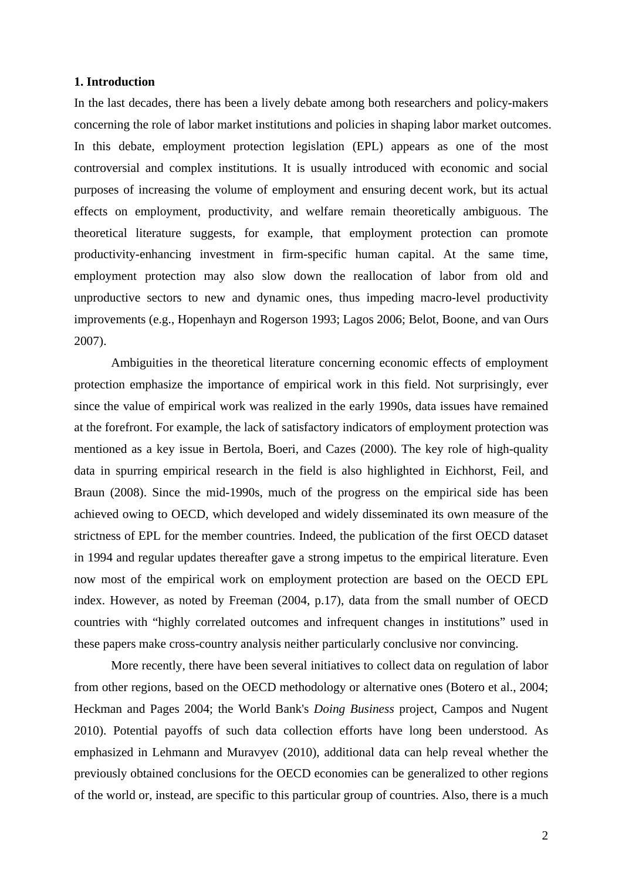## **1. Introduction**

In the last decades, there has been a lively debate among both researchers and policy-makers concerning the role of labor market institutions and policies in shaping labor market outcomes. In this debate, employment protection legislation (EPL) appears as one of the most controversial and complex institutions. It is usually introduced with economic and social purposes of increasing the volume of employment and ensuring decent work, but its actual effects on employment, productivity, and welfare remain theoretically ambiguous. The theoretical literature suggests, for example, that employment protection can promote productivity-enhancing investment in firm-specific human capital. At the same time, employment protection may also slow down the reallocation of labor from old and unproductive sectors to new and dynamic ones, thus impeding macro-level productivity improvements (e.g., Hopenhayn and Rogerson 1993; Lagos 2006; Belot, Boone, and van Ours 2007).

Ambiguities in the theoretical literature concerning economic effects of employment protection emphasize the importance of empirical work in this field. Not surprisingly, ever since the value of empirical work was realized in the early 1990s, data issues have remained at the forefront. For example, the lack of satisfactory indicators of employment protection was mentioned as a key issue in Bertola, Boeri, and Cazes (2000). The key role of high-quality data in spurring empirical research in the field is also highlighted in Eichhorst, Feil, and Braun (2008). Since the mid-1990s, much of the progress on the empirical side has been achieved owing to OECD, which developed and widely disseminated its own measure of the strictness of EPL for the member countries. Indeed, the publication of the first OECD dataset in 1994 and regular updates thereafter gave a strong impetus to the empirical literature. Even now most of the empirical work on employment protection are based on the OECD EPL index. However, as noted by Freeman (2004, p.17), data from the small number of OECD countries with "highly correlated outcomes and infrequent changes in institutions" used in these papers make cross-country analysis neither particularly conclusive nor convincing.

More recently, there have been several initiatives to collect data on regulation of labor from other regions, based on the OECD methodology or alternative ones (Botero et al., 2004; Heckman and Pages 2004; the World Bank's *Doing Business* project, Campos and Nugent 2010). Potential payoffs of such data collection efforts have long been understood. As emphasized in Lehmann and Muravyev (2010), additional data can help reveal whether the previously obtained conclusions for the OECD economies can be generalized to other regions of the world or, instead, are specific to this particular group of countries. Also, there is a much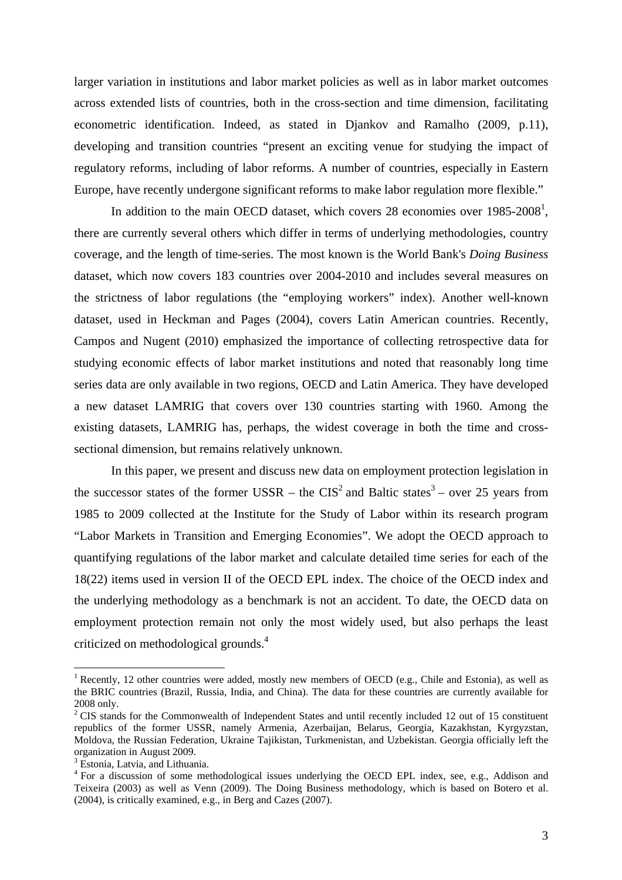larger variation in institutions and labor market policies as well as in labor market outcomes across extended lists of countries, both in the cross-section and time dimension, facilitating econometric identification. Indeed, as stated in Djankov and Ramalho (2009, p.11), developing and transition countries "present an exciting venue for studying the impact of regulatory reforms, including of labor reforms. A number of countries, especially in Eastern Europe, have recently undergone significant reforms to make labor regulation more flexible."

In addition to the main OECD dataset, which covers 28 economies over  $1985-2008<sup>1</sup>$ , there are currently several others which differ in terms of underlying methodologies, country coverage, and the length of time-series. The most known is the World Bank's *Doing Business* dataset, which now covers 183 countries over 2004-2010 and includes several measures on the strictness of labor regulations (the "employing workers" index). Another well-known dataset, used in Heckman and Pages (2004), covers Latin American countries. Recently, Campos and Nugent (2010) emphasized the importance of collecting retrospective data for studying economic effects of labor market institutions and noted that reasonably long time series data are only available in two regions, OECD and Latin America. They have developed a new dataset LAMRIG that covers over 130 countries starting with 1960. Among the existing datasets, LAMRIG has, perhaps, the widest coverage in both the time and crosssectional dimension, but remains relatively unknown.

In this paper, we present and discuss new data on employment protection legislation in the successor states of the former USSR – the  $CIS<sup>2</sup>$  and Baltic states<sup>3</sup> – over 25 years from 1985 to 2009 collected at the Institute for the Study of Labor within its research program "Labor Markets in Transition and Emerging Economies". We adopt the OECD approach to quantifying regulations of the labor market and calculate detailed time series for each of the 18(22) items used in version II of the OECD EPL index. The choice of the OECD index and the underlying methodology as a benchmark is not an accident. To date, the OECD data on employment protection remain not only the most widely used, but also perhaps the least criticized on methodological grounds.<sup>4</sup>

<sup>&</sup>lt;sup>1</sup> Recently, 12 other countries were added, mostly new members of OECD (e.g., Chile and Estonia), as well as the BRIC countries (Brazil, Russia, India, and China). The data for these countries are currently available for 2008 only.

 $2^2$  CIS stands for the Commonwealth of Independent States and until recently included 12 out of 15 constituent republics of the former USSR, namely Armenia, Azerbaijan, Belarus, Georgia, Kazakhstan, Kyrgyzstan, Moldova, the Russian Federation, Ukraine Tajikistan, Turkmenistan, and Uzbekistan. Georgia officially left the organization in August 2009.

<sup>&</sup>lt;sup>3</sup> Estonia, Latvia, and Lithuania.

<sup>&</sup>lt;sup>4</sup> For a discussion of some methodological issues underlying the OECD EPL index, see, e.g., Addison and Teixeira (2003) as well as Venn (2009). The Doing Business methodology, which is based on Botero et al. (2004), is critically examined, e.g., in Berg and Cazes (2007).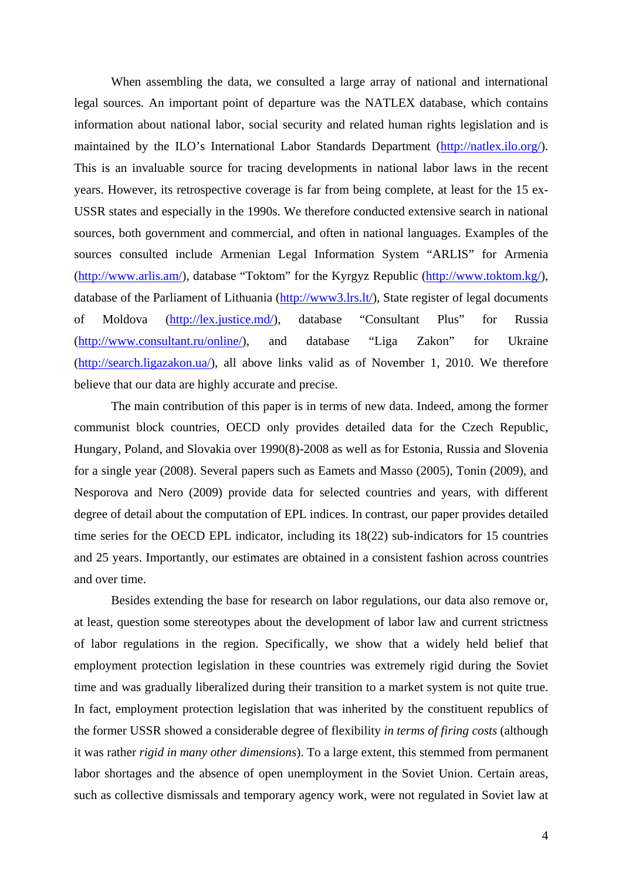When assembling the data, we consulted a large array of national and international legal sources. An important point of departure was the NATLEX database, which contains information about national labor, social security and related human rights legislation and is maintained by the ILO's International Labor Standards Department (http://natlex.ilo.org/). This is an invaluable source for tracing developments in national labor laws in the recent years. However, its retrospective coverage is far from being complete, at least for the 15 ex-USSR states and especially in the 1990s. We therefore conducted extensive search in national sources, both government and commercial, and often in national languages. Examples of the sources consulted include Armenian Legal Information System "ARLIS" for Armenia (http://www.arlis.am/), database "Toktom" for the Kyrgyz Republic (http://www.toktom.kg/), database of the Parliament of Lithuania (http://www3.lrs.lt/), State register of legal documents of Moldova (http://lex.justice.md/), database "Consultant Plus" for Russia (http://www.consultant.ru/online/), and database "Liga Zakon" for Ukraine (http://search.ligazakon.ua/), all above links valid as of November 1, 2010. We therefore believe that our data are highly accurate and precise.

The main contribution of this paper is in terms of new data. Indeed, among the former communist block countries, OECD only provides detailed data for the Czech Republic, Hungary, Poland, and Slovakia over 1990(8)-2008 as well as for Estonia, Russia and Slovenia for a single year (2008). Several papers such as Eamets and Masso (2005), Tonin (2009), and Nesporova and Nero (2009) provide data for selected countries and years, with different degree of detail about the computation of EPL indices. In contrast, our paper provides detailed time series for the OECD EPL indicator, including its 18(22) sub-indicators for 15 countries and 25 years. Importantly, our estimates are obtained in a consistent fashion across countries and over time.

Besides extending the base for research on labor regulations, our data also remove or, at least, question some stereotypes about the development of labor law and current strictness of labor regulations in the region. Specifically, we show that a widely held belief that employment protection legislation in these countries was extremely rigid during the Soviet time and was gradually liberalized during their transition to a market system is not quite true. In fact, employment protection legislation that was inherited by the constituent republics of the former USSR showed a considerable degree of flexibility *in terms of firing costs* (although it was rather *rigid in many other dimensions*). To a large extent, this stemmed from permanent labor shortages and the absence of open unemployment in the Soviet Union. Certain areas, such as collective dismissals and temporary agency work, were not regulated in Soviet law at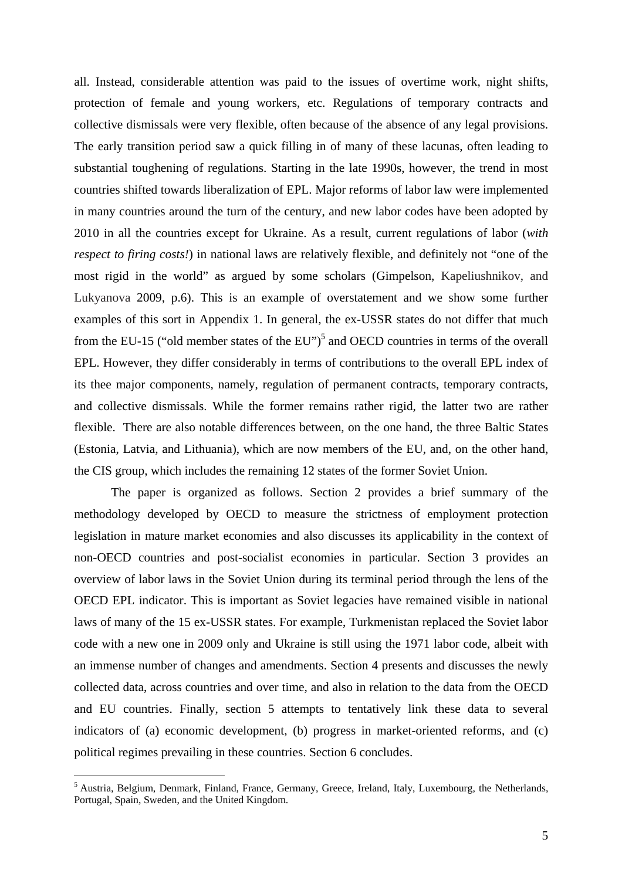all. Instead, considerable attention was paid to the issues of overtime work, night shifts, protection of female and young workers, etc. Regulations of temporary contracts and collective dismissals were very flexible, often because of the absence of any legal provisions. The early transition period saw a quick filling in of many of these lacunas, often leading to substantial toughening of regulations. Starting in the late 1990s, however, the trend in most countries shifted towards liberalization of EPL. Major reforms of labor law were implemented in many countries around the turn of the century, and new labor codes have been adopted by 2010 in all the countries except for Ukraine. As a result, current regulations of labor (*with respect to firing costs!*) in national laws are relatively flexible, and definitely not "one of the most rigid in the world" as argued by some scholars (Gimpelson, Kapeliushnikov, and Lukyanova 2009, p.6). This is an example of overstatement and we show some further examples of this sort in Appendix 1. In general, the ex-USSR states do not differ that much from the EU-15 ("old member states of the EU")<sup>5</sup> and OECD countries in terms of the overall EPL. However, they differ considerably in terms of contributions to the overall EPL index of its thee major components, namely, regulation of permanent contracts, temporary contracts, and collective dismissals. While the former remains rather rigid, the latter two are rather flexible. There are also notable differences between, on the one hand, the three Baltic States (Estonia, Latvia, and Lithuania), which are now members of the EU, and, on the other hand, the CIS group, which includes the remaining 12 states of the former Soviet Union.

The paper is organized as follows. Section 2 provides a brief summary of the methodology developed by OECD to measure the strictness of employment protection legislation in mature market economies and also discusses its applicability in the context of non-OECD countries and post-socialist economies in particular. Section 3 provides an overview of labor laws in the Soviet Union during its terminal period through the lens of the OECD EPL indicator. This is important as Soviet legacies have remained visible in national laws of many of the 15 ex-USSR states. For example, Turkmenistan replaced the Soviet labor code with a new one in 2009 only and Ukraine is still using the 1971 labor code, albeit with an immense number of changes and amendments. Section 4 presents and discusses the newly collected data, across countries and over time, and also in relation to the data from the OECD and EU countries. Finally, section 5 attempts to tentatively link these data to several indicators of (a) economic development, (b) progress in market-oriented reforms, and (c) political regimes prevailing in these countries. Section 6 concludes.

<sup>&</sup>lt;sup>5</sup> Austria, Belgium, Denmark, Finland, France, Germany, Greece, Ireland, Italy, Luxembourg, the Netherlands, Portugal, Spain, Sweden, and the United Kingdom.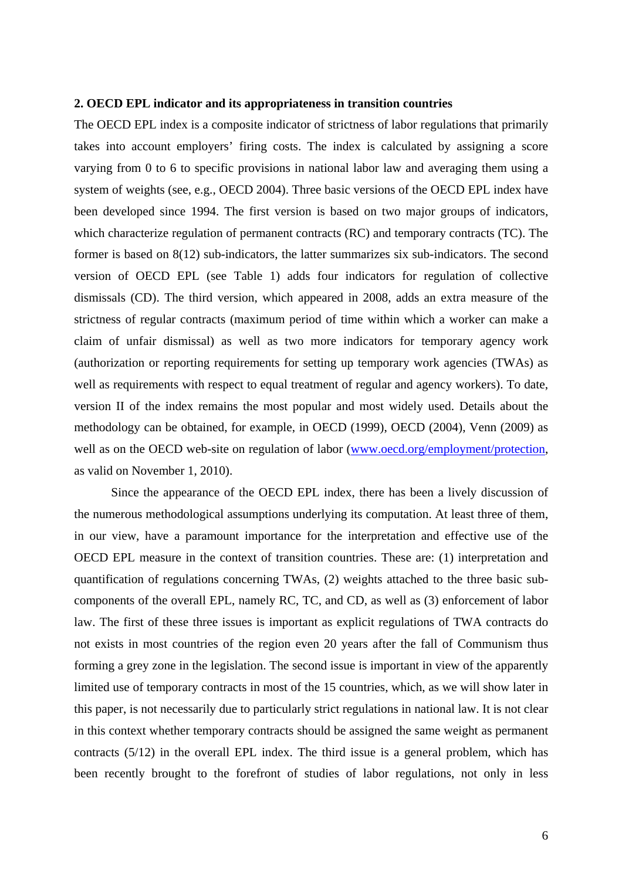## **2. OECD EPL indicator and its appropriateness in transition countries**

The OECD EPL index is a composite indicator of strictness of labor regulations that primarily takes into account employers' firing costs. The index is calculated by assigning a score varying from 0 to 6 to specific provisions in national labor law and averaging them using a system of weights (see, e.g., OECD 2004). Three basic versions of the OECD EPL index have been developed since 1994. The first version is based on two major groups of indicators, which characterize regulation of permanent contracts (RC) and temporary contracts (TC). The former is based on 8(12) sub-indicators, the latter summarizes six sub-indicators. The second version of OECD EPL (see Table 1) adds four indicators for regulation of collective dismissals (CD). The third version, which appeared in 2008, adds an extra measure of the strictness of regular contracts (maximum period of time within which a worker can make a claim of unfair dismissal) as well as two more indicators for temporary agency work (authorization or reporting requirements for setting up temporary work agencies (TWAs) as well as requirements with respect to equal treatment of regular and agency workers). To date, version II of the index remains the most popular and most widely used. Details about the methodology can be obtained, for example, in OECD (1999), OECD (2004), Venn (2009) as well as on the OECD web-site on regulation of labor (www.oecd.org/employment/protection, as valid on November 1, 2010).

Since the appearance of the OECD EPL index, there has been a lively discussion of the numerous methodological assumptions underlying its computation. At least three of them, in our view, have a paramount importance for the interpretation and effective use of the OECD EPL measure in the context of transition countries. These are: (1) interpretation and quantification of regulations concerning TWAs, (2) weights attached to the three basic subcomponents of the overall EPL, namely RC, TC, and CD, as well as (3) enforcement of labor law. The first of these three issues is important as explicit regulations of TWA contracts do not exists in most countries of the region even 20 years after the fall of Communism thus forming a grey zone in the legislation. The second issue is important in view of the apparently limited use of temporary contracts in most of the 15 countries, which, as we will show later in this paper, is not necessarily due to particularly strict regulations in national law. It is not clear in this context whether temporary contracts should be assigned the same weight as permanent contracts (5/12) in the overall EPL index. The third issue is a general problem, which has been recently brought to the forefront of studies of labor regulations, not only in less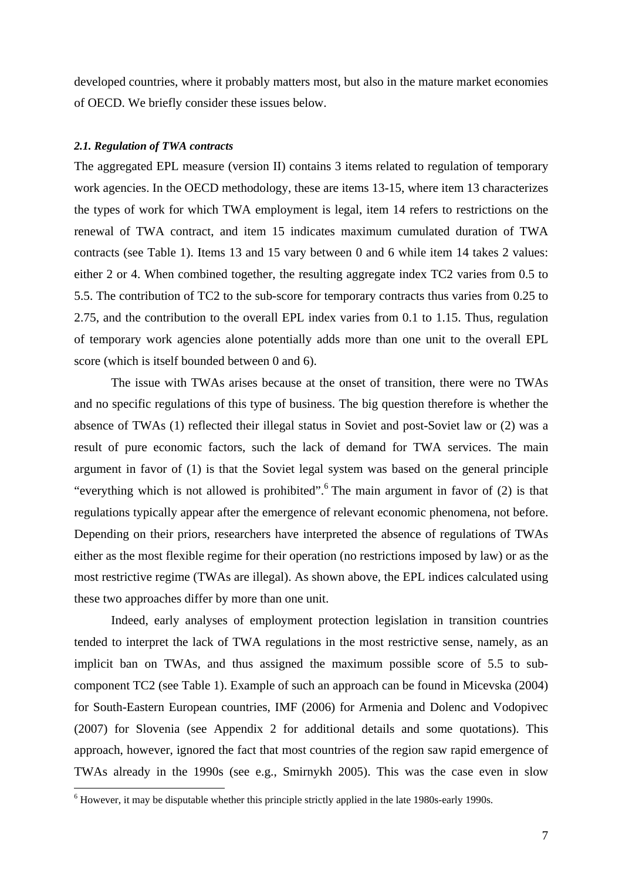developed countries, where it probably matters most, but also in the mature market economies of OECD. We briefly consider these issues below.

## *2.1. Regulation of TWA contracts*

The aggregated EPL measure (version II) contains 3 items related to regulation of temporary work agencies. In the OECD methodology, these are items 13-15, where item 13 characterizes the types of work for which TWA employment is legal, item 14 refers to restrictions on the renewal of TWA contract, and item 15 indicates maximum cumulated duration of TWA contracts (see Table 1). Items 13 and 15 vary between 0 and 6 while item 14 takes 2 values: either 2 or 4. When combined together, the resulting aggregate index TC2 varies from 0.5 to 5.5. The contribution of TC2 to the sub-score for temporary contracts thus varies from 0.25 to 2.75, and the contribution to the overall EPL index varies from 0.1 to 1.15. Thus, regulation of temporary work agencies alone potentially adds more than one unit to the overall EPL score (which is itself bounded between 0 and 6).

The issue with TWAs arises because at the onset of transition, there were no TWAs and no specific regulations of this type of business. The big question therefore is whether the absence of TWAs (1) reflected their illegal status in Soviet and post-Soviet law or (2) was a result of pure economic factors, such the lack of demand for TWA services. The main argument in favor of (1) is that the Soviet legal system was based on the general principle "everything which is not allowed is prohibited".<sup>6</sup> The main argument in favor of  $(2)$  is that regulations typically appear after the emergence of relevant economic phenomena, not before. Depending on their priors, researchers have interpreted the absence of regulations of TWAs either as the most flexible regime for their operation (no restrictions imposed by law) or as the most restrictive regime (TWAs are illegal). As shown above, the EPL indices calculated using these two approaches differ by more than one unit.

Indeed, early analyses of employment protection legislation in transition countries tended to interpret the lack of TWA regulations in the most restrictive sense, namely, as an implicit ban on TWAs, and thus assigned the maximum possible score of 5.5 to subcomponent TC2 (see Table 1). Example of such an approach can be found in Micevska (2004) for South-Eastern European countries, IMF (2006) for Armenia and Dolenc and Vodopivec (2007) for Slovenia (see Appendix 2 for additional details and some quotations). This approach, however, ignored the fact that most countries of the region saw rapid emergence of TWAs already in the 1990s (see e.g., Smirnykh 2005). This was the case even in slow

 6 However, it may be disputable whether this principle strictly applied in the late 1980s-early 1990s.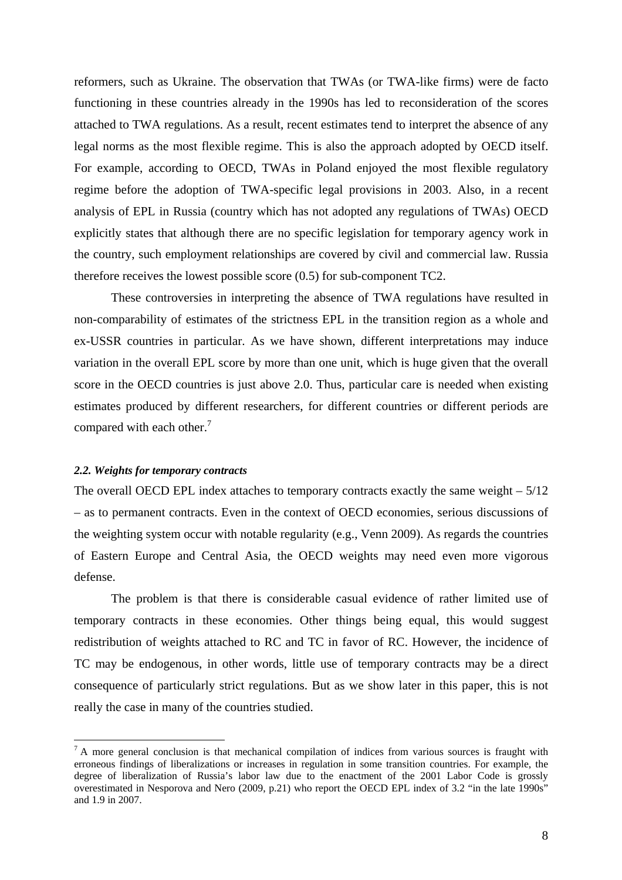reformers, such as Ukraine. The observation that TWAs (or TWA-like firms) were de facto functioning in these countries already in the 1990s has led to reconsideration of the scores attached to TWA regulations. As a result, recent estimates tend to interpret the absence of any legal norms as the most flexible regime. This is also the approach adopted by OECD itself. For example, according to OECD, TWAs in Poland enjoyed the most flexible regulatory regime before the adoption of TWA-specific legal provisions in 2003. Also, in a recent analysis of EPL in Russia (country which has not adopted any regulations of TWAs) OECD explicitly states that although there are no specific legislation for temporary agency work in the country, such employment relationships are covered by civil and commercial law. Russia therefore receives the lowest possible score (0.5) for sub-component TC2.

These controversies in interpreting the absence of TWA regulations have resulted in non-comparability of estimates of the strictness EPL in the transition region as a whole and ex-USSR countries in particular. As we have shown, different interpretations may induce variation in the overall EPL score by more than one unit, which is huge given that the overall score in the OECD countries is just above 2.0. Thus, particular care is needed when existing estimates produced by different researchers, for different countries or different periods are compared with each other.<sup>7</sup>

### *2.2. Weights for temporary contracts*

 $\overline{a}$ 

The overall OECD EPL index attaches to temporary contracts exactly the same weight  $-5/12$ – as to permanent contracts. Even in the context of OECD economies, serious discussions of the weighting system occur with notable regularity (e.g., Venn 2009). As regards the countries of Eastern Europe and Central Asia, the OECD weights may need even more vigorous defense.

The problem is that there is considerable casual evidence of rather limited use of temporary contracts in these economies. Other things being equal, this would suggest redistribution of weights attached to RC and TC in favor of RC. However, the incidence of TC may be endogenous, in other words, little use of temporary contracts may be a direct consequence of particularly strict regulations. But as we show later in this paper, this is not really the case in many of the countries studied.

 $7 A$  more general conclusion is that mechanical compilation of indices from various sources is fraught with erroneous findings of liberalizations or increases in regulation in some transition countries. For example, the degree of liberalization of Russia's labor law due to the enactment of the 2001 Labor Code is grossly overestimated in Nesporova and Nero (2009, p.21) who report the OECD EPL index of 3.2 "in the late 1990s" and 1.9 in 2007.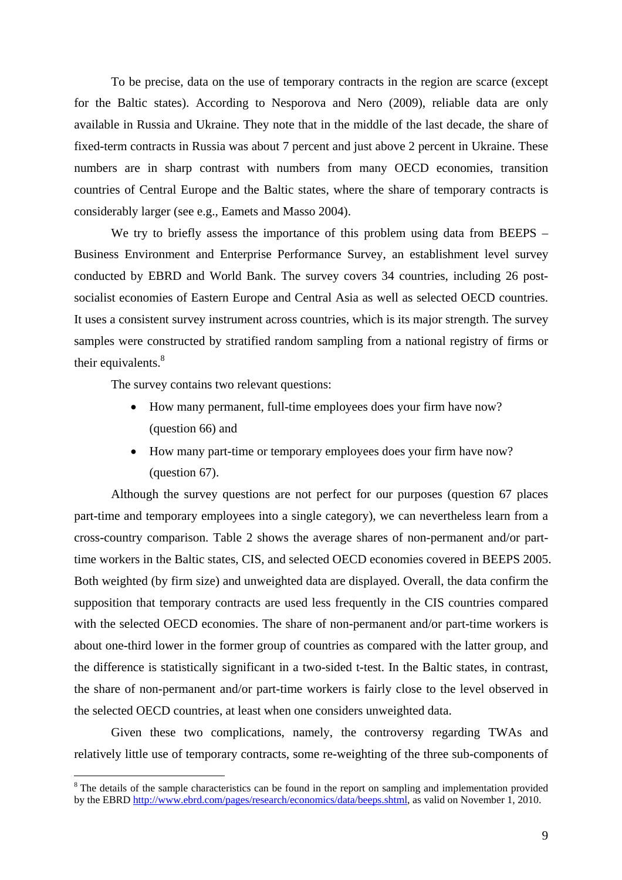To be precise, data on the use of temporary contracts in the region are scarce (except for the Baltic states). According to Nesporova and Nero (2009), reliable data are only available in Russia and Ukraine. They note that in the middle of the last decade, the share of fixed-term contracts in Russia was about 7 percent and just above 2 percent in Ukraine. These numbers are in sharp contrast with numbers from many OECD economies, transition countries of Central Europe and the Baltic states, where the share of temporary contracts is considerably larger (see e.g., Eamets and Masso 2004).

We try to briefly assess the importance of this problem using data from BEEPS – Business Environment and Enterprise Performance Survey, an establishment level survey conducted by EBRD and World Bank. The survey covers 34 countries, including 26 postsocialist economies of Eastern Europe and Central Asia as well as selected OECD countries. It uses a consistent survey instrument across countries, which is its major strength. The survey samples were constructed by stratified random sampling from a national registry of firms or their equivalents.<sup>8</sup>

The survey contains two relevant questions:

 $\overline{a}$ 

- How many permanent, full-time employees does your firm have now? (question 66) and
- How many part-time or temporary employees does your firm have now? (question 67).

Although the survey questions are not perfect for our purposes (question 67 places part-time and temporary employees into a single category), we can nevertheless learn from a cross-country comparison. Table 2 shows the average shares of non-permanent and/or parttime workers in the Baltic states, CIS, and selected OECD economies covered in BEEPS 2005. Both weighted (by firm size) and unweighted data are displayed. Overall, the data confirm the supposition that temporary contracts are used less frequently in the CIS countries compared with the selected OECD economies. The share of non-permanent and/or part-time workers is about one-third lower in the former group of countries as compared with the latter group, and the difference is statistically significant in a two-sided t-test. In the Baltic states, in contrast, the share of non-permanent and/or part-time workers is fairly close to the level observed in the selected OECD countries, at least when one considers unweighted data.

Given these two complications, namely, the controversy regarding TWAs and relatively little use of temporary contracts, some re-weighting of the three sub-components of

<sup>&</sup>lt;sup>8</sup> The details of the sample characteristics can be found in the report on sampling and implementation provided by the EBRD http://www.ebrd.com/pages/research/economics/data/beeps.shtml, as valid on November 1, 2010.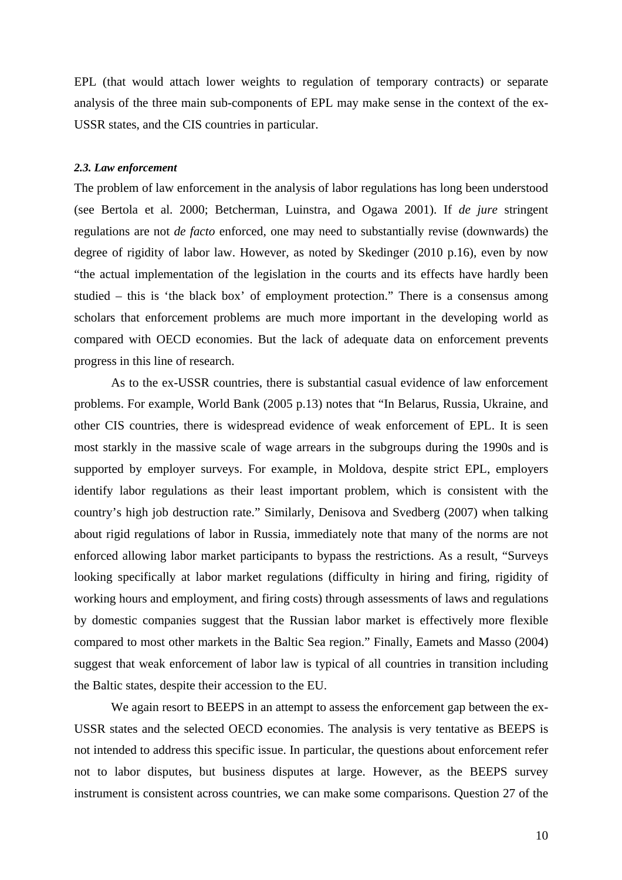EPL (that would attach lower weights to regulation of temporary contracts) or separate analysis of the three main sub-components of EPL may make sense in the context of the ex-USSR states, and the CIS countries in particular.

### *2.3. Law enforcement*

The problem of law enforcement in the analysis of labor regulations has long been understood (see Bertola et al. 2000; Betcherman, Luinstra, and Ogawa 2001). If *de jure* stringent regulations are not *de facto* enforced, one may need to substantially revise (downwards) the degree of rigidity of labor law. However, as noted by Skedinger (2010 p.16), even by now "the actual implementation of the legislation in the courts and its effects have hardly been studied – this is 'the black box' of employment protection." There is a consensus among scholars that enforcement problems are much more important in the developing world as compared with OECD economies. But the lack of adequate data on enforcement prevents progress in this line of research.

As to the ex-USSR countries, there is substantial casual evidence of law enforcement problems. For example, World Bank (2005 p.13) notes that "In Belarus, Russia, Ukraine, and other CIS countries, there is widespread evidence of weak enforcement of EPL. It is seen most starkly in the massive scale of wage arrears in the subgroups during the 1990s and is supported by employer surveys. For example, in Moldova, despite strict EPL, employers identify labor regulations as their least important problem, which is consistent with the country's high job destruction rate." Similarly, Denisova and Svedberg (2007) when talking about rigid regulations of labor in Russia, immediately note that many of the norms are not enforced allowing labor market participants to bypass the restrictions. As a result, "Surveys looking specifically at labor market regulations (difficulty in hiring and firing, rigidity of working hours and employment, and firing costs) through assessments of laws and regulations by domestic companies suggest that the Russian labor market is effectively more flexible compared to most other markets in the Baltic Sea region." Finally, Eamets and Masso (2004) suggest that weak enforcement of labor law is typical of all countries in transition including the Baltic states, despite their accession to the EU.

 We again resort to BEEPS in an attempt to assess the enforcement gap between the ex-USSR states and the selected OECD economies. The analysis is very tentative as BEEPS is not intended to address this specific issue. In particular, the questions about enforcement refer not to labor disputes, but business disputes at large. However, as the BEEPS survey instrument is consistent across countries, we can make some comparisons. Question 27 of the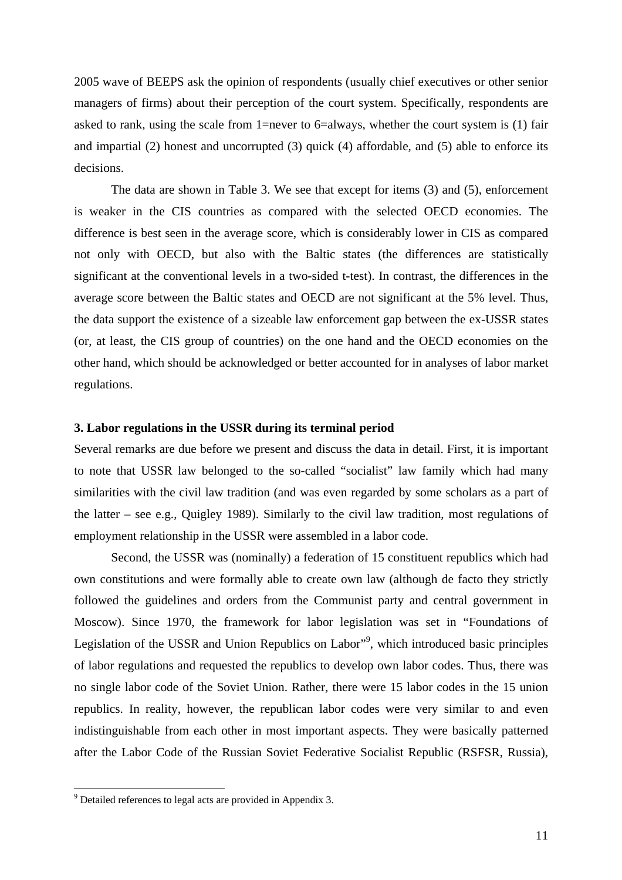2005 wave of BEEPS ask the opinion of respondents (usually chief executives or other senior managers of firms) about their perception of the court system. Specifically, respondents are asked to rank, using the scale from 1=never to 6=always, whether the court system is (1) fair and impartial (2) honest and uncorrupted (3) quick (4) affordable, and (5) able to enforce its decisions.

The data are shown in Table 3. We see that except for items (3) and (5), enforcement is weaker in the CIS countries as compared with the selected OECD economies. The difference is best seen in the average score, which is considerably lower in CIS as compared not only with OECD, but also with the Baltic states (the differences are statistically significant at the conventional levels in a two-sided t-test). In contrast, the differences in the average score between the Baltic states and OECD are not significant at the 5% level. Thus, the data support the existence of a sizeable law enforcement gap between the ex-USSR states (or, at least, the CIS group of countries) on the one hand and the OECD economies on the other hand, which should be acknowledged or better accounted for in analyses of labor market regulations.

## **3. Labor regulations in the USSR during its terminal period**

Several remarks are due before we present and discuss the data in detail. First, it is important to note that USSR law belonged to the so-called "socialist" law family which had many similarities with the civil law tradition (and was even regarded by some scholars as a part of the latter – see e.g., Quigley 1989). Similarly to the civil law tradition, most regulations of employment relationship in the USSR were assembled in a labor code.

Second, the USSR was (nominally) a federation of 15 constituent republics which had own constitutions and were formally able to create own law (although de facto they strictly followed the guidelines and orders from the Communist party and central government in Moscow). Since 1970, the framework for labor legislation was set in "Foundations of Legislation of the USSR and Union Republics on Labor"<sup>9</sup>, which introduced basic principles of labor regulations and requested the republics to develop own labor codes. Thus, there was no single labor code of the Soviet Union. Rather, there were 15 labor codes in the 15 union republics. In reality, however, the republican labor codes were very similar to and even indistinguishable from each other in most important aspects. They were basically patterned after the Labor Code of the Russian Soviet Federative Socialist Republic (RSFSR, Russia),

 $9^9$  Detailed references to legal acts are provided in Appendix 3.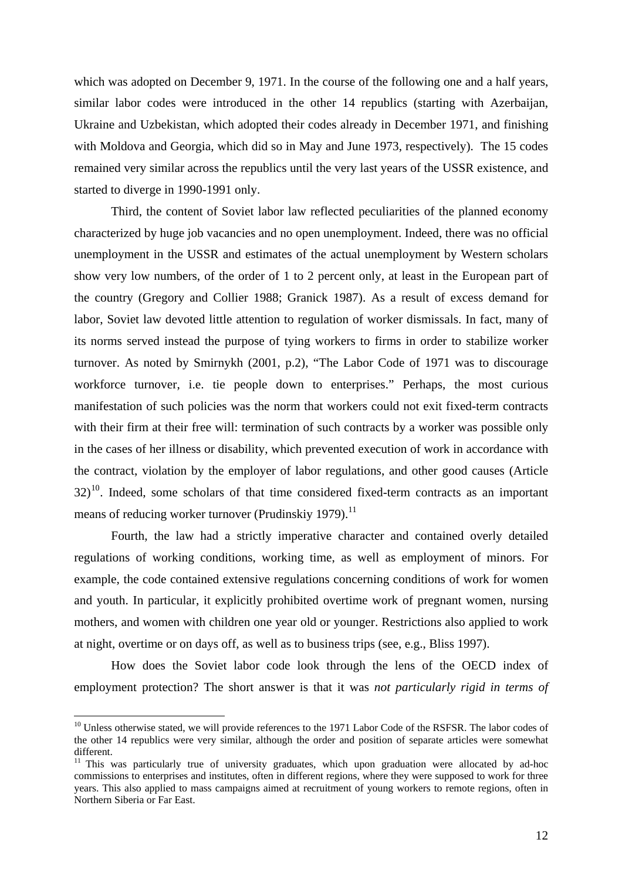which was adopted on December 9, 1971. In the course of the following one and a half years, similar labor codes were introduced in the other 14 republics (starting with Azerbaijan, Ukraine and Uzbekistan, which adopted their codes already in December 1971, and finishing with Moldova and Georgia, which did so in May and June 1973, respectively). The 15 codes remained very similar across the republics until the very last years of the USSR existence, and started to diverge in 1990-1991 only.

Third, the content of Soviet labor law reflected peculiarities of the planned economy characterized by huge job vacancies and no open unemployment. Indeed, there was no official unemployment in the USSR and estimates of the actual unemployment by Western scholars show very low numbers, of the order of 1 to 2 percent only, at least in the European part of the country (Gregory and Collier 1988; Granick 1987). As a result of excess demand for labor, Soviet law devoted little attention to regulation of worker dismissals. In fact, many of its norms served instead the purpose of tying workers to firms in order to stabilize worker turnover. As noted by Smirnykh (2001, p.2), "The Labor Code of 1971 was to discourage workforce turnover, i.e. tie people down to enterprises." Perhaps, the most curious manifestation of such policies was the norm that workers could not exit fixed-term contracts with their firm at their free will: termination of such contracts by a worker was possible only in the cases of her illness or disability, which prevented execution of work in accordance with the contract, violation by the employer of labor regulations, and other good causes (Article  $32$ <sup>10</sup>. Indeed, some scholars of that time considered fixed-term contracts as an important means of reducing worker turnover (Prudinskiy 1979). $^{11}$ 

Fourth, the law had a strictly imperative character and contained overly detailed regulations of working conditions, working time, as well as employment of minors. For example, the code contained extensive regulations concerning conditions of work for women and youth. In particular, it explicitly prohibited overtime work of pregnant women, nursing mothers, and women with children one year old or younger. Restrictions also applied to work at night, overtime or on days off, as well as to business trips (see, e.g., Bliss 1997).

How does the Soviet labor code look through the lens of the OECD index of employment protection? The short answer is that it was *not particularly rigid in terms of* 

<sup>&</sup>lt;sup>10</sup> Unless otherwise stated, we will provide references to the 1971 Labor Code of the RSFSR. The labor codes of the other 14 republics were very similar, although the order and position of separate articles were somewhat different.

<sup>&</sup>lt;sup>11</sup> This was particularly true of university graduates, which upon graduation were allocated by ad-hoc commissions to enterprises and institutes, often in different regions, where they were supposed to work for three years. This also applied to mass campaigns aimed at recruitment of young workers to remote regions, often in Northern Siberia or Far East.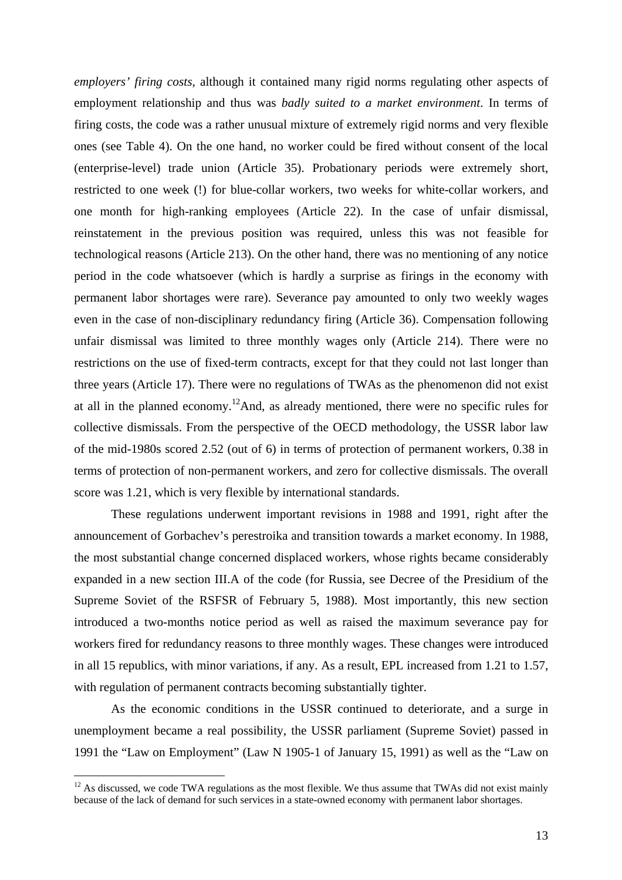*employers' firing costs*, although it contained many rigid norms regulating other aspects of employment relationship and thus was *badly suited to a market environment*. In terms of firing costs, the code was a rather unusual mixture of extremely rigid norms and very flexible ones (see Table 4). On the one hand, no worker could be fired without consent of the local (enterprise-level) trade union (Article 35). Probationary periods were extremely short, restricted to one week (!) for blue-collar workers, two weeks for white-collar workers, and one month for high-ranking employees (Article 22). In the case of unfair dismissal, reinstatement in the previous position was required, unless this was not feasible for technological reasons (Article 213). On the other hand, there was no mentioning of any notice period in the code whatsoever (which is hardly a surprise as firings in the economy with permanent labor shortages were rare). Severance pay amounted to only two weekly wages even in the case of non-disciplinary redundancy firing (Article 36). Compensation following unfair dismissal was limited to three monthly wages only (Article 214). There were no restrictions on the use of fixed-term contracts, except for that they could not last longer than three years (Article 17). There were no regulations of TWAs as the phenomenon did not exist at all in the planned economy.<sup>12</sup>And, as already mentioned, there were no specific rules for collective dismissals. From the perspective of the OECD methodology, the USSR labor law of the mid-1980s scored 2.52 (out of 6) in terms of protection of permanent workers, 0.38 in terms of protection of non-permanent workers, and zero for collective dismissals. The overall score was 1.21, which is very flexible by international standards.

 These regulations underwent important revisions in 1988 and 1991, right after the announcement of Gorbachev's perestroika and transition towards a market economy. In 1988, the most substantial change concerned displaced workers, whose rights became considerably expanded in a new section III.A of the code (for Russia, see Decree of the Presidium of the Supreme Soviet of the RSFSR of February 5, 1988). Most importantly, this new section introduced a two-months notice period as well as raised the maximum severance pay for workers fired for redundancy reasons to three monthly wages. These changes were introduced in all 15 republics, with minor variations, if any. As a result, EPL increased from 1.21 to 1.57, with regulation of permanent contracts becoming substantially tighter.

As the economic conditions in the USSR continued to deteriorate, and a surge in unemployment became a real possibility, the USSR parliament (Supreme Soviet) passed in 1991 the "Law on Employment" (Law N 1905-1 of January 15, 1991) as well as the "Law on

 $12$  As discussed, we code TWA regulations as the most flexible. We thus assume that TWAs did not exist mainly because of the lack of demand for such services in a state-owned economy with permanent labor shortages.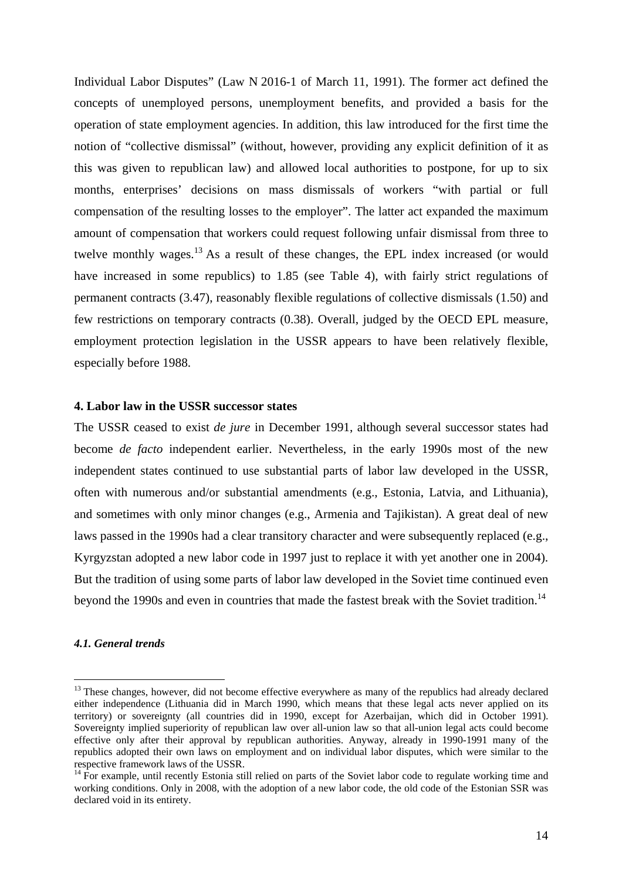Individual Labor Disputes" (Law N 2016-1 of March 11, 1991). The former act defined the concepts of unemployed persons, unemployment benefits, and provided a basis for the operation of state employment agencies. In addition, this law introduced for the first time the notion of "collective dismissal" (without, however, providing any explicit definition of it as this was given to republican law) and allowed local authorities to postpone, for up to six months, enterprises' decisions on mass dismissals of workers "with partial or full compensation of the resulting losses to the employer". The latter act expanded the maximum amount of compensation that workers could request following unfair dismissal from three to twelve monthly wages.<sup>13</sup> As a result of these changes, the EPL index increased (or would have increased in some republics) to 1.85 (see Table 4), with fairly strict regulations of permanent contracts (3.47), reasonably flexible regulations of collective dismissals (1.50) and few restrictions on temporary contracts (0.38). Overall, judged by the OECD EPL measure, employment protection legislation in the USSR appears to have been relatively flexible, especially before 1988.

## **4. Labor law in the USSR successor states**

The USSR ceased to exist *de jure* in December 1991, although several successor states had become *de facto* independent earlier. Nevertheless, in the early 1990s most of the new independent states continued to use substantial parts of labor law developed in the USSR, often with numerous and/or substantial amendments (e.g., Estonia, Latvia, and Lithuania), and sometimes with only minor changes (e.g., Armenia and Tajikistan). A great deal of new laws passed in the 1990s had a clear transitory character and were subsequently replaced (e.g., Kyrgyzstan adopted a new labor code in 1997 just to replace it with yet another one in 2004). But the tradition of using some parts of labor law developed in the Soviet time continued even beyond the 1990s and even in countries that made the fastest break with the Soviet tradition.<sup>14</sup>

### *4.1. General trends*

<sup>&</sup>lt;sup>13</sup> These changes, however, did not become effective everywhere as many of the republics had already declared either independence (Lithuania did in March 1990, which means that these legal acts never applied on its territory) or sovereignty (all countries did in 1990, except for Azerbaijan, which did in October 1991). Sovereignty implied superiority of republican law over all-union law so that all-union legal acts could become effective only after their approval by republican authorities. Anyway, already in 1990-1991 many of the republics adopted their own laws on employment and on individual labor disputes, which were similar to the respective framework laws of the USSR.

<sup>&</sup>lt;sup>14</sup> For example, until recently Estonia still relied on parts of the Soviet labor code to regulate working time and working conditions. Only in 2008, with the adoption of a new labor code, the old code of the Estonian SSR was declared void in its entirety.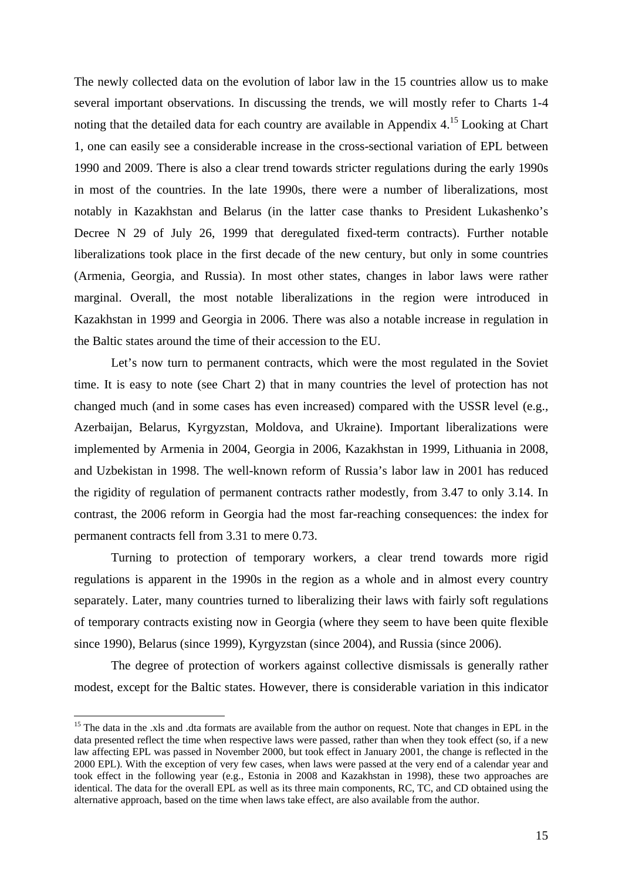The newly collected data on the evolution of labor law in the 15 countries allow us to make several important observations. In discussing the trends, we will mostly refer to Charts 1-4 noting that the detailed data for each country are available in Appendix 4.15 Looking at Chart 1, one can easily see a considerable increase in the cross-sectional variation of EPL between 1990 and 2009. There is also a clear trend towards stricter regulations during the early 1990s in most of the countries. In the late 1990s, there were a number of liberalizations, most notably in Kazakhstan and Belarus (in the latter case thanks to President Lukashenko's Decree N 29 of July 26, 1999 that deregulated fixed-term contracts). Further notable liberalizations took place in the first decade of the new century, but only in some countries (Armenia, Georgia, and Russia). In most other states, changes in labor laws were rather marginal. Overall, the most notable liberalizations in the region were introduced in Kazakhstan in 1999 and Georgia in 2006. There was also a notable increase in regulation in the Baltic states around the time of their accession to the EU.

Let's now turn to permanent contracts, which were the most regulated in the Soviet time. It is easy to note (see Chart 2) that in many countries the level of protection has not changed much (and in some cases has even increased) compared with the USSR level (e.g., Azerbaijan, Belarus, Kyrgyzstan, Moldova, and Ukraine). Important liberalizations were implemented by Armenia in 2004, Georgia in 2006, Kazakhstan in 1999, Lithuania in 2008, and Uzbekistan in 1998. The well-known reform of Russia's labor law in 2001 has reduced the rigidity of regulation of permanent contracts rather modestly, from 3.47 to only 3.14. In contrast, the 2006 reform in Georgia had the most far-reaching consequences: the index for permanent contracts fell from 3.31 to mere 0.73.

Turning to protection of temporary workers, a clear trend towards more rigid regulations is apparent in the 1990s in the region as a whole and in almost every country separately. Later, many countries turned to liberalizing their laws with fairly soft regulations of temporary contracts existing now in Georgia (where they seem to have been quite flexible since 1990), Belarus (since 1999), Kyrgyzstan (since 2004), and Russia (since 2006).

The degree of protection of workers against collective dismissals is generally rather modest, except for the Baltic states. However, there is considerable variation in this indicator

<sup>&</sup>lt;sup>15</sup> The data in the .xls and .dta formats are available from the author on request. Note that changes in EPL in the data presented reflect the time when respective laws were passed, rather than when they took effect (so, if a new law affecting EPL was passed in November 2000, but took effect in January 2001, the change is reflected in the 2000 EPL). With the exception of very few cases, when laws were passed at the very end of a calendar year and took effect in the following year (e.g., Estonia in 2008 and Kazakhstan in 1998), these two approaches are identical. The data for the overall EPL as well as its three main components, RC, TC, and CD obtained using the alternative approach, based on the time when laws take effect, are also available from the author.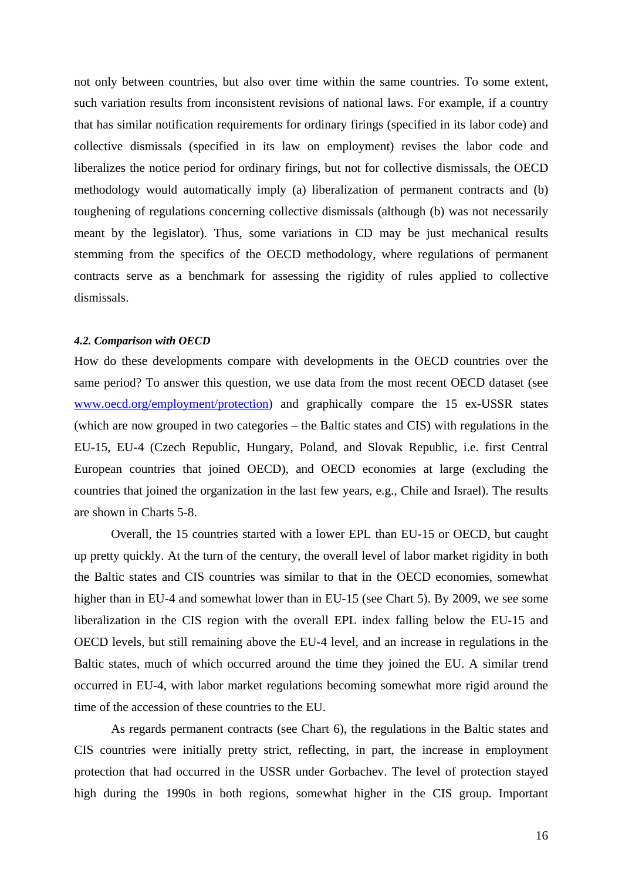not only between countries, but also over time within the same countries. To some extent, such variation results from inconsistent revisions of national laws. For example, if a country that has similar notification requirements for ordinary firings (specified in its labor code) and collective dismissals (specified in its law on employment) revises the labor code and liberalizes the notice period for ordinary firings, but not for collective dismissals, the OECD methodology would automatically imply (a) liberalization of permanent contracts and (b) toughening of regulations concerning collective dismissals (although (b) was not necessarily meant by the legislator). Thus, some variations in CD may be just mechanical results stemming from the specifics of the OECD methodology, where regulations of permanent contracts serve as a benchmark for assessing the rigidity of rules applied to collective dismissals.

### *4.2. Comparison with OECD*

How do these developments compare with developments in the OECD countries over the same period? To answer this question, we use data from the most recent OECD dataset (see www.oecd.org/employment/protection) and graphically compare the 15 ex-USSR states (which are now grouped in two categories – the Baltic states and CIS) with regulations in the EU-15, EU-4 (Czech Republic, Hungary, Poland, and Slovak Republic, i.e. first Central European countries that joined OECD), and OECD economies at large (excluding the countries that joined the organization in the last few years, e.g., Chile and Israel). The results are shown in Charts 5-8.

Overall, the 15 countries started with a lower EPL than EU-15 or OECD, but caught up pretty quickly. At the turn of the century, the overall level of labor market rigidity in both the Baltic states and CIS countries was similar to that in the OECD economies, somewhat higher than in EU-4 and somewhat lower than in EU-15 (see Chart 5). By 2009, we see some liberalization in the CIS region with the overall EPL index falling below the EU-15 and OECD levels, but still remaining above the EU-4 level, and an increase in regulations in the Baltic states, much of which occurred around the time they joined the EU. A similar trend occurred in EU-4, with labor market regulations becoming somewhat more rigid around the time of the accession of these countries to the EU.

As regards permanent contracts (see Chart 6), the regulations in the Baltic states and CIS countries were initially pretty strict, reflecting, in part, the increase in employment protection that had occurred in the USSR under Gorbachev. The level of protection stayed high during the 1990s in both regions, somewhat higher in the CIS group. Important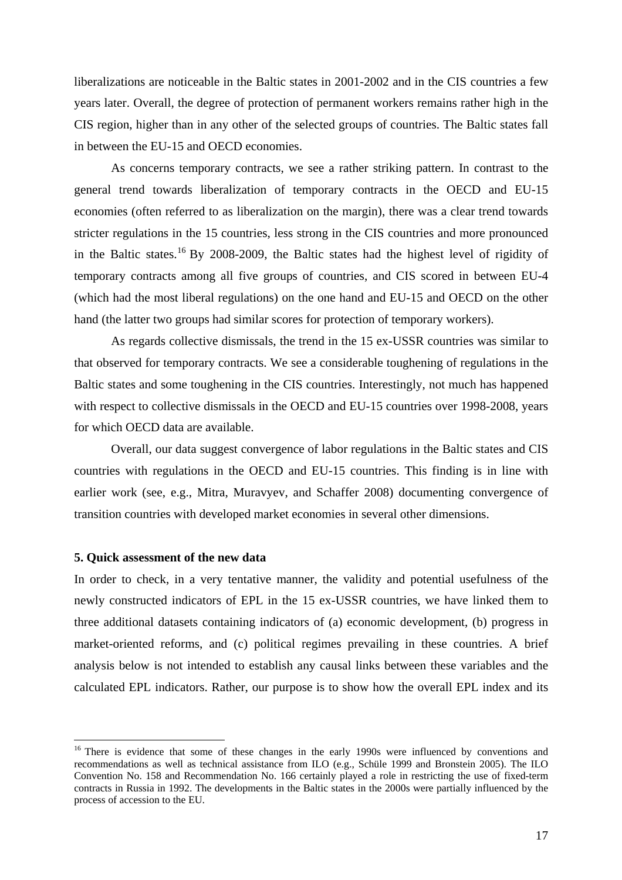liberalizations are noticeable in the Baltic states in 2001-2002 and in the CIS countries a few years later. Overall, the degree of protection of permanent workers remains rather high in the CIS region, higher than in any other of the selected groups of countries. The Baltic states fall in between the EU-15 and OECD economies.

As concerns temporary contracts, we see a rather striking pattern. In contrast to the general trend towards liberalization of temporary contracts in the OECD and EU-15 economies (often referred to as liberalization on the margin), there was a clear trend towards stricter regulations in the 15 countries, less strong in the CIS countries and more pronounced in the Baltic states.16 By 2008-2009, the Baltic states had the highest level of rigidity of temporary contracts among all five groups of countries, and CIS scored in between EU-4 (which had the most liberal regulations) on the one hand and EU-15 and OECD on the other hand (the latter two groups had similar scores for protection of temporary workers).

As regards collective dismissals, the trend in the 15 ex-USSR countries was similar to that observed for temporary contracts. We see a considerable toughening of regulations in the Baltic states and some toughening in the CIS countries. Interestingly, not much has happened with respect to collective dismissals in the OECD and EU-15 countries over 1998-2008, years for which OECD data are available.

Overall, our data suggest convergence of labor regulations in the Baltic states and CIS countries with regulations in the OECD and EU-15 countries. This finding is in line with earlier work (see, e.g., Mitra, Muravyev, and Schaffer 2008) documenting convergence of transition countries with developed market economies in several other dimensions.

### **5. Quick assessment of the new data**

 $\overline{a}$ 

In order to check, in a very tentative manner, the validity and potential usefulness of the newly constructed indicators of EPL in the 15 ex-USSR countries, we have linked them to three additional datasets containing indicators of (a) economic development, (b) progress in market-oriented reforms, and (c) political regimes prevailing in these countries. A brief analysis below is not intended to establish any causal links between these variables and the calculated EPL indicators. Rather, our purpose is to show how the overall EPL index and its

<sup>&</sup>lt;sup>16</sup> There is evidence that some of these changes in the early 1990s were influenced by conventions and recommendations as well as technical assistance from ILO (e.g., Schüle 1999 and Bronstein 2005). The ILO Convention No. 158 and Recommendation No. 166 certainly played a role in restricting the use of fixed-term contracts in Russia in 1992. The developments in the Baltic states in the 2000s were partially influenced by the process of accession to the EU.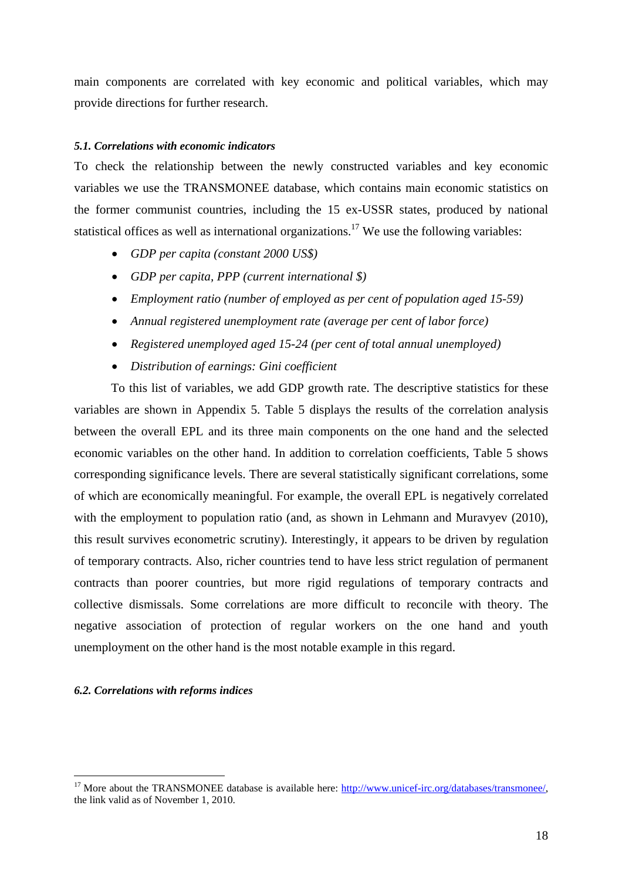main components are correlated with key economic and political variables, which may provide directions for further research.

## *5.1. Correlations with economic indicators*

To check the relationship between the newly constructed variables and key economic variables we use the TRANSMONEE database, which contains main economic statistics on the former communist countries, including the 15 ex-USSR states, produced by national statistical offices as well as international organizations.<sup>17</sup> We use the following variables:

- *GDP per capita (constant 2000 US\$)*
- *GDP per capita, PPP (current international \$)*
- *Employment ratio (number of employed as per cent of population aged 15-59)*
- *Annual registered unemployment rate (average per cent of labor force)*
- *Registered unemployed aged 15-24 (per cent of total annual unemployed)*
- *Distribution of earnings: Gini coefficient*

To this list of variables, we add GDP growth rate. The descriptive statistics for these variables are shown in Appendix 5. Table 5 displays the results of the correlation analysis between the overall EPL and its three main components on the one hand and the selected economic variables on the other hand. In addition to correlation coefficients, Table 5 shows corresponding significance levels. There are several statistically significant correlations, some of which are economically meaningful. For example, the overall EPL is negatively correlated with the employment to population ratio (and, as shown in Lehmann and Muravyev (2010), this result survives econometric scrutiny). Interestingly, it appears to be driven by regulation of temporary contracts. Also, richer countries tend to have less strict regulation of permanent contracts than poorer countries, but more rigid regulations of temporary contracts and collective dismissals. Some correlations are more difficult to reconcile with theory. The negative association of protection of regular workers on the one hand and youth unemployment on the other hand is the most notable example in this regard.

### *6.2. Correlations with reforms indices*

<sup>&</sup>lt;sup>17</sup> More about the TRANSMONEE database is available here: http://www.unicef-irc.org/databases/transmonee/, the link valid as of November 1, 2010.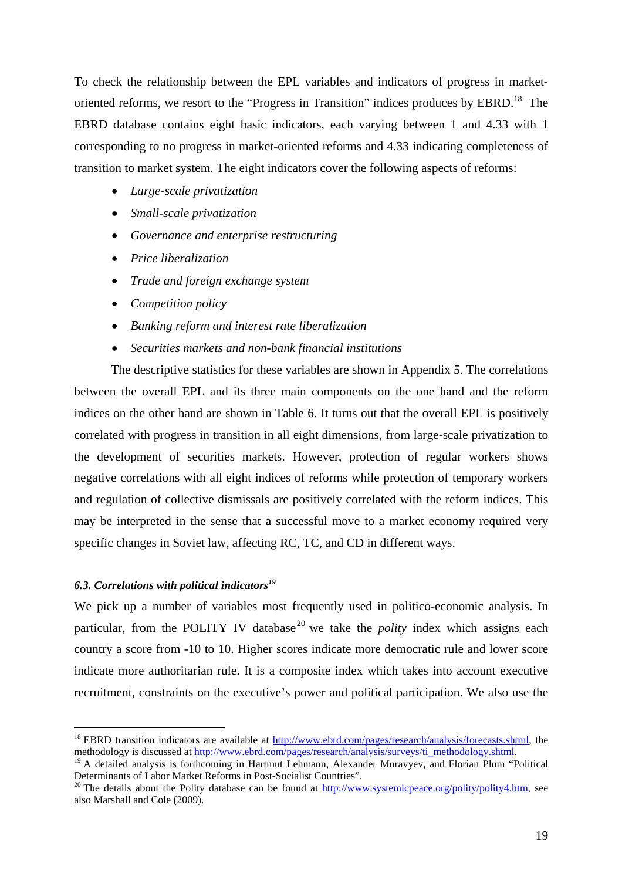To check the relationship between the EPL variables and indicators of progress in marketoriented reforms, we resort to the "Progress in Transition" indices produces by EBRD.<sup>18</sup> The EBRD database contains eight basic indicators, each varying between 1 and 4.33 with 1 corresponding to no progress in market-oriented reforms and 4.33 indicating completeness of transition to market system. The eight indicators cover the following aspects of reforms:

- *Large-scale privatization*
- *Small-scale privatization*
- *Governance and enterprise restructuring*
- *Price liberalization*
- *Trade and foreign exchange system*
- *Competition policy*
- *Banking reform and interest rate liberalization*
- *Securities markets and non-bank financial institutions*

 The descriptive statistics for these variables are shown in Appendix 5. The correlations between the overall EPL and its three main components on the one hand and the reform indices on the other hand are shown in Table 6. It turns out that the overall EPL is positively correlated with progress in transition in all eight dimensions, from large-scale privatization to the development of securities markets. However, protection of regular workers shows negative correlations with all eight indices of reforms while protection of temporary workers and regulation of collective dismissals are positively correlated with the reform indices. This may be interpreted in the sense that a successful move to a market economy required very specific changes in Soviet law, affecting RC, TC, and CD in different ways.

# *6.3. Correlations with political indicators19*

 $\overline{a}$ 

We pick up a number of variables most frequently used in politico-economic analysis. In particular, from the POLITY IV database<sup>20</sup> we take the *polity* index which assigns each country a score from -10 to 10. Higher scores indicate more democratic rule and lower score indicate more authoritarian rule. It is a composite index which takes into account executive recruitment, constraints on the executive's power and political participation. We also use the

<sup>&</sup>lt;sup>18</sup> EBRD transition indicators are available at  $\frac{http://www.ebrd.com/pages/research/analysis/forecasts.html}{http://www.ebrd.com/pages/research/analysis/surveys/ti - methodology.shtml}$ , the

<sup>&</sup>lt;sup>19</sup> A detailed analysis is forthcoming in Hartmut Lehmann, Alexander Muravyev, and Florian Plum "Political Determinants of Labor Market Reforms in Post-Socialist Countries".<br><sup>20</sup> The details about the Polity database can be found at http://www.systemicpeace.org/polity/polity4.htm, see

also Marshall and Cole (2009).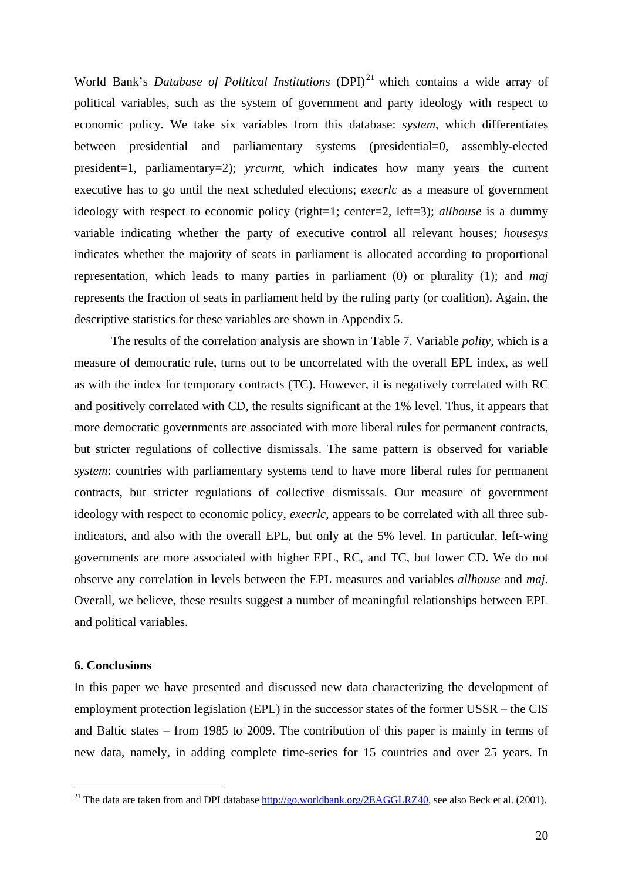World Bank's *Database of Political Institutions* (DPI)<sup>21</sup> which contains a wide array of political variables, such as the system of government and party ideology with respect to economic policy. We take six variables from this database: *system*, which differentiates between presidential and parliamentary systems (presidential=0, assembly-elected president=1, parliamentary=2); *yrcurnt*, which indicates how many years the current executive has to go until the next scheduled elections; *execrlc* as a measure of government ideology with respect to economic policy (right=1; center=2, left=3); *allhouse* is a dummy variable indicating whether the party of executive control all relevant houses; *housesys* indicates whether the majority of seats in parliament is allocated according to proportional representation, which leads to many parties in parliament (0) or plurality (1); and *maj* represents the fraction of seats in parliament held by the ruling party (or coalition). Again, the descriptive statistics for these variables are shown in Appendix 5.

 The results of the correlation analysis are shown in Table 7. Variable *polity*, which is a measure of democratic rule, turns out to be uncorrelated with the overall EPL index, as well as with the index for temporary contracts (TC). However, it is negatively correlated with RC and positively correlated with CD, the results significant at the 1% level. Thus, it appears that more democratic governments are associated with more liberal rules for permanent contracts, but stricter regulations of collective dismissals. The same pattern is observed for variable *system*: countries with parliamentary systems tend to have more liberal rules for permanent contracts, but stricter regulations of collective dismissals. Our measure of government ideology with respect to economic policy, *execrlc*, appears to be correlated with all three subindicators, and also with the overall EPL, but only at the 5% level. In particular, left-wing governments are more associated with higher EPL, RC, and TC, but lower CD. We do not observe any correlation in levels between the EPL measures and variables *allhouse* and *maj*. Overall, we believe, these results suggest a number of meaningful relationships between EPL and political variables.

## **6. Conclusions**

 $\overline{a}$ 

In this paper we have presented and discussed new data characterizing the development of employment protection legislation (EPL) in the successor states of the former USSR – the CIS and Baltic states – from 1985 to 2009. The contribution of this paper is mainly in terms of new data, namely, in adding complete time-series for 15 countries and over 25 years. In

<sup>&</sup>lt;sup>21</sup> The data are taken from and DPI database  $\frac{http://go.worldbank.org/2EAGGLRZ40}{http://go.worldbank.org/2EAGGLRZ40}$ , see also Beck et al. (2001).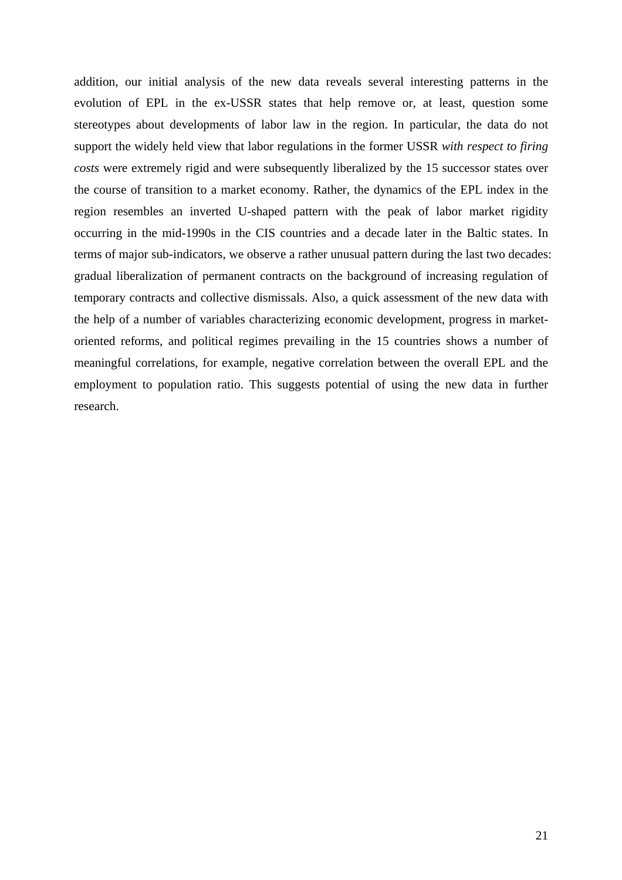addition, our initial analysis of the new data reveals several interesting patterns in the evolution of EPL in the ex-USSR states that help remove or, at least, question some stereotypes about developments of labor law in the region. In particular, the data do not support the widely held view that labor regulations in the former USSR *with respect to firing costs* were extremely rigid and were subsequently liberalized by the 15 successor states over the course of transition to a market economy. Rather, the dynamics of the EPL index in the region resembles an inverted U-shaped pattern with the peak of labor market rigidity occurring in the mid-1990s in the CIS countries and a decade later in the Baltic states. In terms of major sub-indicators, we observe a rather unusual pattern during the last two decades: gradual liberalization of permanent contracts on the background of increasing regulation of temporary contracts and collective dismissals. Also, a quick assessment of the new data with the help of a number of variables characterizing economic development, progress in marketoriented reforms, and political regimes prevailing in the 15 countries shows a number of meaningful correlations, for example, negative correlation between the overall EPL and the employment to population ratio. This suggests potential of using the new data in further research.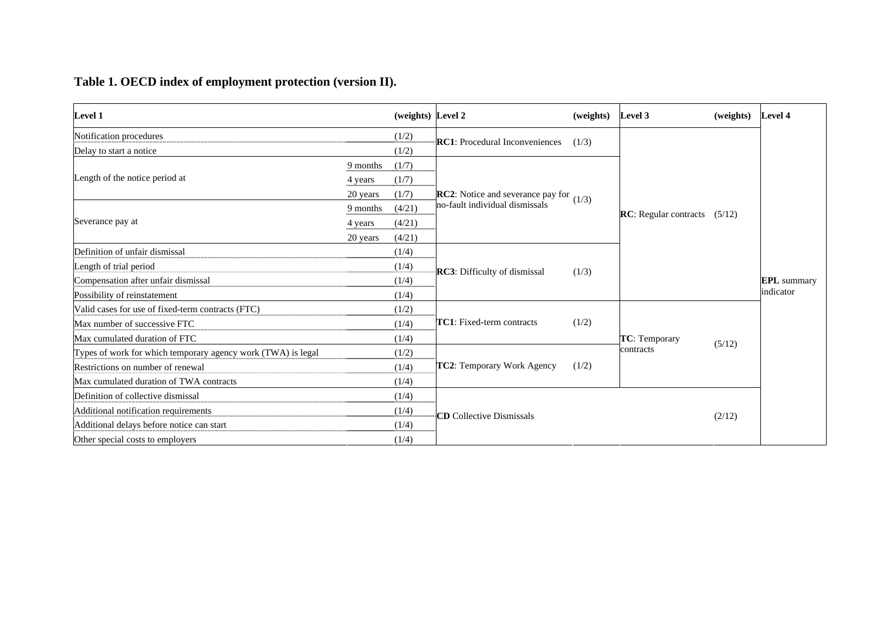# **Table 1. OECD index of employment protection (version II).**

| <b>Level 1</b>                                               |          | (weights) Level 2 |                                                   | (weights) | Level 3                      | (weights) | <b>Level 4</b>                  |
|--------------------------------------------------------------|----------|-------------------|---------------------------------------------------|-----------|------------------------------|-----------|---------------------------------|
| Notification procedures                                      |          | (1/2)             | <b>RC1:</b> Procedural Inconveniences             | (1/3)     |                              |           |                                 |
| Delay to start a notice                                      |          | (1/2)             |                                                   |           |                              |           |                                 |
|                                                              | 9 months | (1/7)             |                                                   |           |                              |           |                                 |
| Length of the notice period at                               | 4 years  | (1/7)             |                                                   |           |                              |           |                                 |
|                                                              | 20 years | (1/7)             | <b>RC2</b> : Notice and severance pay for $(1/3)$ |           | RC: Regular contracts (5/12) |           |                                 |
|                                                              | 9 months | (4/21)            | no-fault individual dismissals                    |           |                              |           | <b>EPL</b> summary<br>indicator |
| Severance pay at                                             | 4 years  | (4/21)            |                                                   |           |                              |           |                                 |
|                                                              | 20 years | (4/21)            |                                                   |           |                              |           |                                 |
| Definition of unfair dismissal                               |          | (1/4)             | RC3: Difficulty of dismissal                      |           |                              |           |                                 |
| Length of trial period                                       |          | (1/4)             |                                                   | (1/3)     |                              |           |                                 |
| Compensation after unfair dismissal                          |          | (1/4)             |                                                   |           |                              |           |                                 |
| Possibility of reinstatement                                 |          | (1/4)             |                                                   |           |                              |           |                                 |
| Valid cases for use of fixed-term contracts (FTC)            |          | (1/2)             |                                                   |           |                              |           |                                 |
| Max number of successive FTC                                 |          | (1/4)             | <b>TC1:</b> Fixed-term contracts                  | (1/2)     |                              |           |                                 |
| Max cumulated duration of FTC                                |          | (1/4)             |                                                   |           | TC: Temporary                | (5/12)    |                                 |
| Types of work for which temporary agency work (TWA) is legal |          | (1/2)             |                                                   |           | contracts                    |           |                                 |
| Restrictions on number of renewal                            |          | (1/4)             | TC2: Temporary Work Agency                        | (1/2)     |                              |           |                                 |
| Max cumulated duration of TWA contracts                      |          | (1/4)             |                                                   |           |                              |           |                                 |
| Definition of collective dismissal                           |          | (1/4)             |                                                   |           |                              |           |                                 |
| Additional notification requirements                         |          | (1/4)             | <b>CD</b> Collective Dismissals                   |           |                              | (2/12)    |                                 |
| Additional delays before notice can start                    |          | (1/4)             |                                                   |           |                              |           |                                 |
| Other special costs to employers                             |          | (1/4)             |                                                   |           |                              |           |                                 |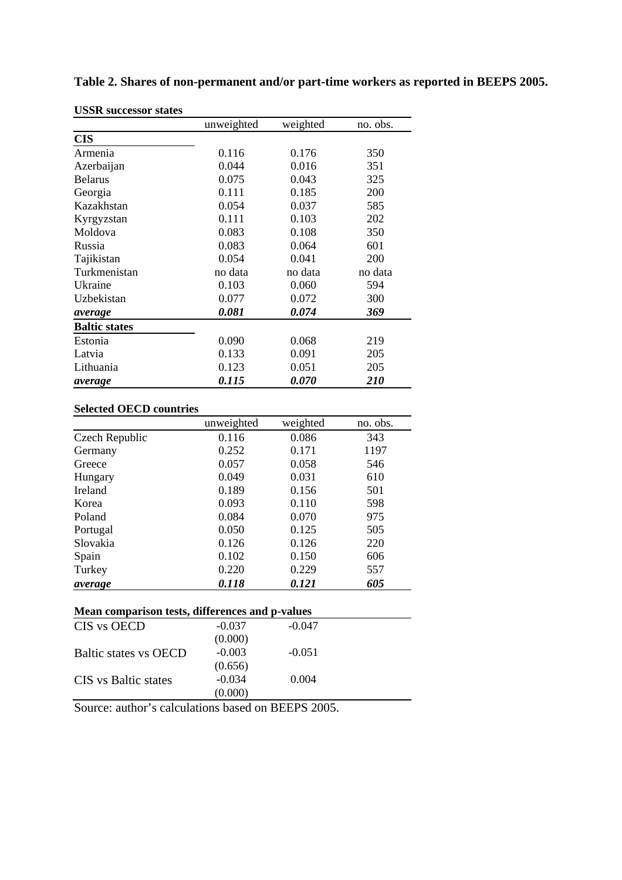| <b>USSR</b> successor states |            |          |          |
|------------------------------|------------|----------|----------|
|                              | unweighted | weighted | no. obs. |
| <b>CIS</b>                   |            |          |          |
| Armenia                      | 0.116      | 0.176    | 350      |
| Azerbaijan                   | 0.044      | 0.016    | 351      |
| <b>Belarus</b>               | 0.075      | 0.043    | 325      |
| Georgia                      | 0.111      | 0.185    | 200      |
| Kazakhstan                   | 0.054      | 0.037    | 585      |
| Kyrgyzstan                   | 0.111      | 0.103    | 202      |
| Moldova                      | 0.083      | 0.108    | 350      |
| Russia                       | 0.083      | 0.064    | 601      |
| Tajikistan                   | 0.054      | 0.041    | 200      |
| Turkmenistan                 | no data    | no data  | no data  |
| Ukraine                      | 0.103      | 0.060    | 594      |
| Uzbekistan                   | 0.077      | 0.072    | 300      |
| average                      | 0.081      | 0.074    | 369      |
| <b>Baltic states</b>         |            |          |          |
| Estonia                      | 0.090      | 0.068    | 219      |
| Latvia                       | 0.133      | 0.091    | 205      |
| Lithuania                    | 0.123      | 0.051    | 205      |
| average                      | 0.115      | 0.070    | 210      |

**Table 2. Shares of non-permanent and/or part-time workers as reported in BEEPS 2005.** 

|                                                 | unweighted | weighted | no. obs. |
|-------------------------------------------------|------------|----------|----------|
| Czech Republic                                  | 0.116      | 0.086    | 343      |
| Germany                                         | 0.252      | 0.171    | 1197     |
| Greece                                          | 0.057      | 0.058    | 546      |
| Hungary                                         | 0.049      | 0.031    | 610      |
| Ireland                                         | 0.189      | 0.156    | 501      |
| Korea                                           | 0.093      | 0.110    | 598      |
| Poland                                          | 0.084      | 0.070    | 975      |
| Portugal                                        | 0.050      | 0.125    | 505      |
| Slovakia                                        | 0.126      | 0.126    | 220      |
| Spain                                           | 0.102      | 0.150    | 606      |
| Turkey                                          | 0.220      | 0.229    | 557      |
| average                                         | 0.118      | 0.121    | 605      |
| Mean comparison tests, differences and p-values |            |          |          |
| CIS vs OECD                                     | $-0.037$   | $-0.047$ |          |
|                                                 | (0.000)    |          |          |
| <b>Baltic states vs OECD</b>                    | $-0.003$   | $-0.051$ |          |
|                                                 | (0.656)    |          |          |
| <b>CIS</b> vs Baltic states                     | $-0.034$   | 0.004    |          |
|                                                 | (0.000)    |          |          |

Source: author's calculations based on BEEPS 2005.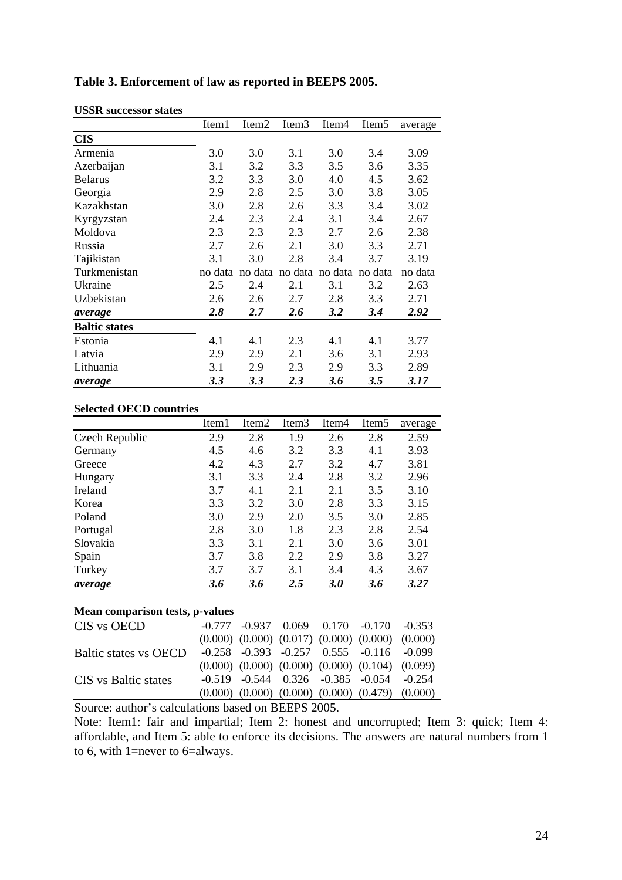| <b>USSR</b> successor states |         |                   |                   |                   |                   |         |
|------------------------------|---------|-------------------|-------------------|-------------------|-------------------|---------|
|                              | Item1   | Item <sub>2</sub> | Item <sub>3</sub> | Item <sub>4</sub> | Item <sub>5</sub> | average |
| <b>CIS</b>                   |         |                   |                   |                   |                   |         |
| Armenia                      | 3.0     | 3.0               | 3.1               | 3.0               | 3.4               | 3.09    |
| Azerbaijan                   | 3.1     | 3.2               | 3.3               | 3.5               | 3.6               | 3.35    |
| <b>Belarus</b>               | 3.2     | 3.3               | 3.0               | 4.0               | 4.5               | 3.62    |
| Georgia                      | 2.9     | 2.8               | 2.5               | 3.0               | 3.8               | 3.05    |
| Kazakhstan                   | 3.0     | 2.8               | 2.6               | 3.3               | 3.4               | 3.02    |
| Kyrgyzstan                   | 2.4     | 2.3               | 2.4               | 3.1               | 3.4               | 2.67    |
| Moldova                      | 2.3     | 2.3               | 2.3               | 2.7               | 2.6               | 2.38    |
| Russia                       | 2.7     | 2.6               | 2.1               | 3.0               | 3.3               | 2.71    |
| Tajikistan                   | 3.1     | 3.0               | 2.8               | 3.4               | 3.7               | 3.19    |
| Turkmenistan                 | no data | no data           | no data           | no data           | no data           | no data |
| Ukraine                      | 2.5     | 2.4               | 2.1               | 3.1               | 3.2               | 2.63    |
| Uzbekistan                   | 2.6     | 2.6               | 2.7               | 2.8               | 3.3               | 2.71    |
| average                      | 2.8     | 2.7               | 2.6               | 3.2               | 3.4               | 2.92    |
| <b>Baltic states</b>         |         |                   |                   |                   |                   |         |
| Estonia                      | 4.1     | 4.1               | 2.3               | 4.1               | 4.1               | 3.77    |
| Latvia                       | 2.9     | 2.9               | 2.1               | 3.6               | 3.1               | 2.93    |
| Lithuania                    | 3.1     | 2.9               | 2.3               | 2.9               | 3.3               | 2.89    |
| average                      | 3.3     | 3.3               | 2.3               | 3.6               | 3.5               | 3.17    |

# **Table 3. Enforcement of law as reported in BEEPS 2005.**

### **Selected OECD countries**

|                                        | Item1 | Item2 | Item <sub>3</sub> | Item4 | Item <sub>5</sub> | average |  |  |  |  |
|----------------------------------------|-------|-------|-------------------|-------|-------------------|---------|--|--|--|--|
| Czech Republic                         | 2.9   | 2.8   | 1.9               | 2.6   | 2.8               | 2.59    |  |  |  |  |
| Germany                                | 4.5   | 4.6   | 3.2               | 3.3   | 4.1               | 3.93    |  |  |  |  |
| Greece                                 | 4.2   | 4.3   | 2.7               | 3.2   | 4.7               | 3.81    |  |  |  |  |
| Hungary                                | 3.1   | 3.3   | 2.4               | 2.8   | 3.2               | 2.96    |  |  |  |  |
| Ireland                                | 3.7   | 4.1   | 2.1               | 2.1   | 3.5               | 3.10    |  |  |  |  |
| Korea                                  | 3.3   | 3.2   | 3.0               | 2.8   | 3.3               | 3.15    |  |  |  |  |
| Poland                                 | 3.0   | 2.9   | 2.0               | 3.5   | 3.0               | 2.85    |  |  |  |  |
| Portugal                               | 2.8   | 3.0   | 1.8               | 2.3   | 2.8               | 2.54    |  |  |  |  |
| Slovakia                               | 3.3   | 3.1   | 2.1               | 3.0   | 3.6               | 3.01    |  |  |  |  |
| Spain                                  | 3.7   | 3.8   | 2.2               | 2.9   | 3.8               | 3.27    |  |  |  |  |
| Turkey                                 | 3.7   | 3.7   | 3.1               | 3.4   | 4.3               | 3.67    |  |  |  |  |
| average                                | 3.6   | 3.6   | 2.5               | 3.0   | 3.6               | 3.27    |  |  |  |  |
| <b>Mean comparison tests, p-values</b> |       |       |                   |       |                   |         |  |  |  |  |

| CIS vs OECD                  |  |  | $-0.777$ $-0.937$ $0.069$ $0.170$ $-0.170$ $-0.353$         |                                                             |
|------------------------------|--|--|-------------------------------------------------------------|-------------------------------------------------------------|
|                              |  |  | $(0.000)$ $(0.000)$ $(0.017)$ $(0.000)$ $(0.000)$ $(0.000)$ |                                                             |
| <b>Baltic states vs OECD</b> |  |  | $-0.258$ $-0.393$ $-0.257$ $0.555$ $-0.116$ $-0.099$        |                                                             |
|                              |  |  | $(0.000)$ $(0.000)$ $(0.000)$ $(0.000)$ $(0.104)$ $(0.099)$ |                                                             |
| <b>CIS</b> vs Baltic states  |  |  | $-0.519$ $-0.544$ $0.326$ $-0.385$ $-0.054$ $-0.254$        |                                                             |
|                              |  |  |                                                             | $(0.000)$ $(0.000)$ $(0.000)$ $(0.000)$ $(0.479)$ $(0.000)$ |

Source: author's calculations based on BEEPS 2005.

Note: Item1: fair and impartial; Item 2: honest and uncorrupted; Item 3: quick; Item 4: affordable, and Item 5: able to enforce its decisions. The answers are natural numbers from 1 to 6, with 1=never to 6=always.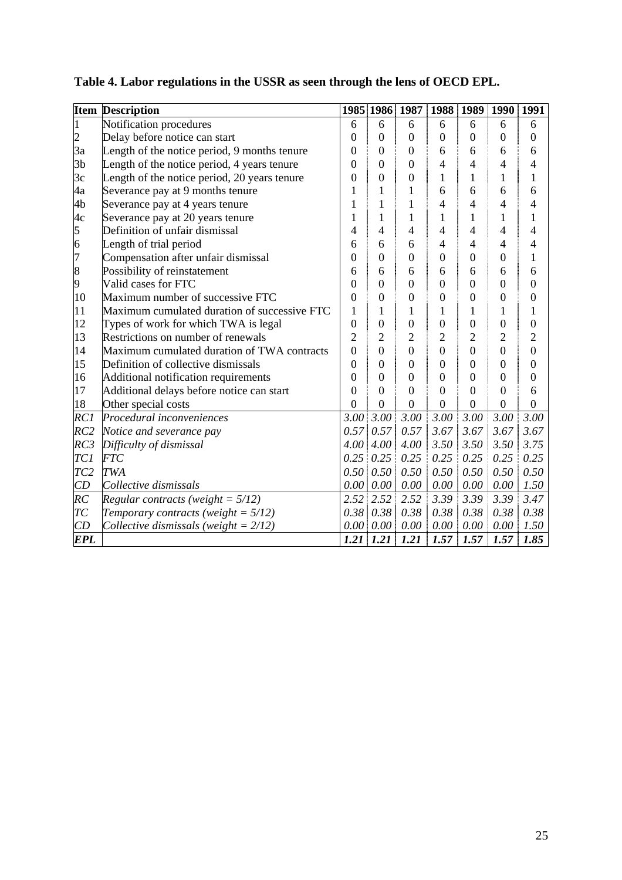|                                       | <b>Item Description</b>                      |                  | 1985 1986 1987   |                  |                  | 1988 1989        | 1990 1991      |                  |
|---------------------------------------|----------------------------------------------|------------------|------------------|------------------|------------------|------------------|----------------|------------------|
|                                       | Notification procedures                      | 6                | 6                | 6                | 6                | 6                | 6              | 6                |
|                                       | Delay before notice can start                | 0                | $\overline{0}$   | $\overline{0}$   | $\overline{0}$   | $\boldsymbol{0}$ | $\overline{0}$ | $\boldsymbol{0}$ |
| 3a                                    | Length of the notice period, 9 months tenure | $\overline{0}$   | $\boldsymbol{0}$ | $\overline{0}$   | 6                | 6                | 6              | 6                |
| 3 <sub>b</sub>                        | Length of the notice period, 4 years tenure  | 0                | $\overline{0}$   | $\overline{0}$   | $\overline{4}$   | $\overline{4}$   | $\overline{4}$ | 4                |
| 3c                                    | Length of the notice period, 20 years tenure | 0                | $\overline{0}$   | $\overline{0}$   | 1                | $\mathbf{1}$     | $\mathbf{1}$   | 1                |
| 4a                                    | Severance pay at 9 months tenure             | $\mathbf{1}$     | 1                | $\mathbf{1}$     | 6                | 6                | 6              | 6                |
| 4b                                    | Severance pay at 4 years tenure              | $\mathbf{1}$     | $\mathbf{1}$     | $\mathbf{1}$     | $\overline{4}$   | $\overline{4}$   | 4              | 4                |
| 4c                                    | Severance pay at 20 years tenure             | $\mathbf{1}$     | 1                | $\mathbf{1}$     | 1                | $\mathbf{1}$     | $\mathbf{1}$   | 1                |
| $\begin{array}{c} 5 \\ 6 \end{array}$ | Definition of unfair dismissal               | 4                | 4                | $\overline{4}$   | $\overline{4}$   | $\overline{4}$   | $\overline{4}$ | 4                |
|                                       | Length of trial period                       | 6                | 6                | 6                | 4                | 4                | 4              | 4                |
| 7                                     | Compensation after unfair dismissal          | $\overline{0}$   | $\mathbf{0}$     | $\overline{0}$   | $\boldsymbol{0}$ | $\boldsymbol{0}$ | $\overline{0}$ | 1                |
| 8                                     | Possibility of reinstatement                 | 6                | 6                | 6                | 6                | 6                | 6              | 6                |
| 9                                     | Valid cases for FTC                          | 0                | $\overline{0}$   | $\overline{0}$   | $\overline{0}$   | $\boldsymbol{0}$ | $\overline{0}$ | $\overline{0}$   |
| 10                                    | Maximum number of successive FTC             | 0                | $\overline{0}$   | $\overline{0}$   | $\overline{0}$   | $\boldsymbol{0}$ | $\overline{0}$ | $\overline{0}$   |
| 11                                    | Maximum cumulated duration of successive FTC | 1                | 1                | $\mathbf{1}$     | 1                | $\mathbf{1}$     | 1              | 1                |
| 12                                    | Types of work for which TWA is legal         | $\overline{0}$   | $\boldsymbol{0}$ | $\overline{0}$   | $\overline{0}$   | $\boldsymbol{0}$ | $\overline{0}$ | $\boldsymbol{0}$ |
| 13                                    | Restrictions on number of renewals           | $\overline{2}$   | $\overline{c}$   | $\overline{2}$   | $\overline{c}$   | $\overline{2}$   | $\overline{2}$ | $\overline{c}$   |
| 14                                    | Maximum cumulated duration of TWA contracts  | $\boldsymbol{0}$ | $\overline{0}$   | $\overline{0}$   | $\overline{0}$   | $\overline{0}$   | $\overline{0}$ | $\overline{0}$   |
| 15                                    | Definition of collective dismissals          | $\overline{0}$   | $\mathbf{0}$     | $\overline{0}$   | $\overline{0}$   | $\boldsymbol{0}$ | $\overline{0}$ | $\overline{0}$   |
| 16                                    | Additional notification requirements         | 0                | $\overline{0}$   | $\overline{0}$   | $\overline{0}$   | $\boldsymbol{0}$ | $\overline{0}$ | $\overline{0}$   |
| 17                                    | Additional delays before notice can start    | $\overline{0}$   | $\overline{0}$   | $\overline{0}$   | $\overline{0}$   | $\overline{0}$   | $\overline{0}$ | 6                |
| 18                                    | Other special costs                          | $\overline{0}$   | $\overline{0}$   | $\boldsymbol{0}$ | $\boldsymbol{0}$ | $\boldsymbol{0}$ | $\overline{0}$ | $\boldsymbol{0}$ |
| RC1                                   | Procedural inconveniences                    | 3.00             | 3.00             | 3.00             | 3.00             | 3.00             | 3.00           | 3.00             |
| RC2                                   | Notice and severance pay                     | 0.57             | 0.57             | 0.57             | 3.67             | 3.67             | 3.67           | 3.67             |
| RC3                                   | Difficulty of dismissal                      | 4.00             | $4.00\vert$      | 4.00             | 3.50             | 3.50             | 3.50           | 3.75             |
| TC <sub>1</sub>                       | <b>FTC</b>                                   | 0.25             | 0.25             | 0.25             | 0.25             | 0.25             | 0.25           | 0.25             |
| TC <sub>2</sub>                       | <b>TWA</b>                                   | 0.50             | 0.50             | 0.50             | 0.50             | 0.50             | 0.50           | 0.50             |
| CD                                    | Collective dismissals                        | $0.00\vert$      | $0.00\vert$      | $0.00\,$         | 0.00             | $0.00\,$         | $0.00\,$       | 1.50             |
| RC                                    | Regular contracts (weight = $5/12$ )         | 2.52             | 2.52             | 2.52             | 3.39             | 3.39             | 3.39           | 3.47             |
| T <sub>C</sub>                        | Temporary contracts (weight = $5/12$ )       | 0.38             | 0.38             | 0.38             | 0.38             | 0.38             | 0.38           | 0.38             |
| CD                                    | Collective dismissals (weight = $2/12$ )     | 0.00             | 0.00             | $0.00\,$         | 0.00             | 0.00             | 0.00           | 1.50             |
| <b>EPL</b>                            |                                              | 1.21             | 1.21             | 1.21             | 1.57             | 1.57             | 1.57           | 1.85             |

# **Table 4. Labor regulations in the USSR as seen through the lens of OECD EPL.**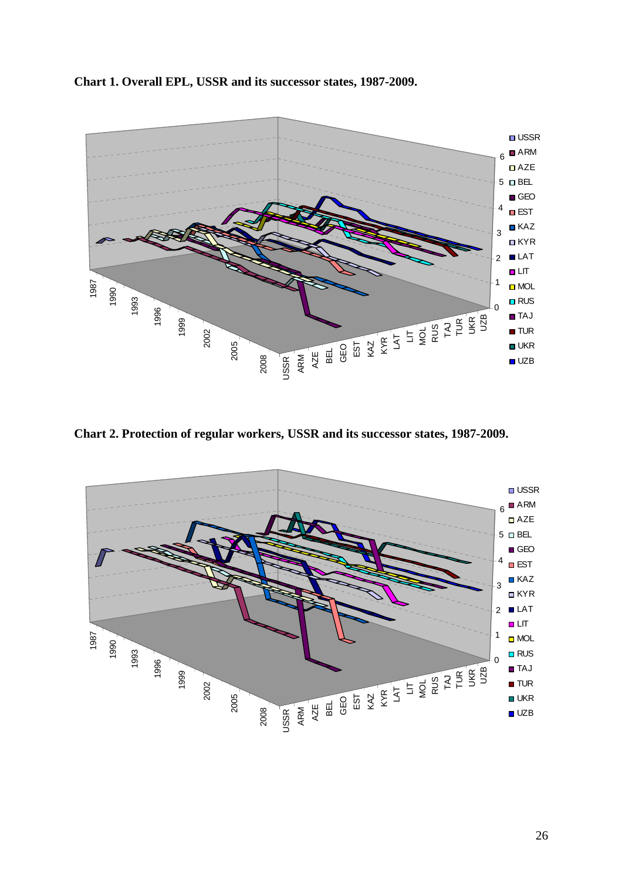**Chart 1. Overall EPL, USSR and its successor states, 1987-2009.** 



**Chart 2. Protection of regular workers, USSR and its successor states, 1987-2009.** 

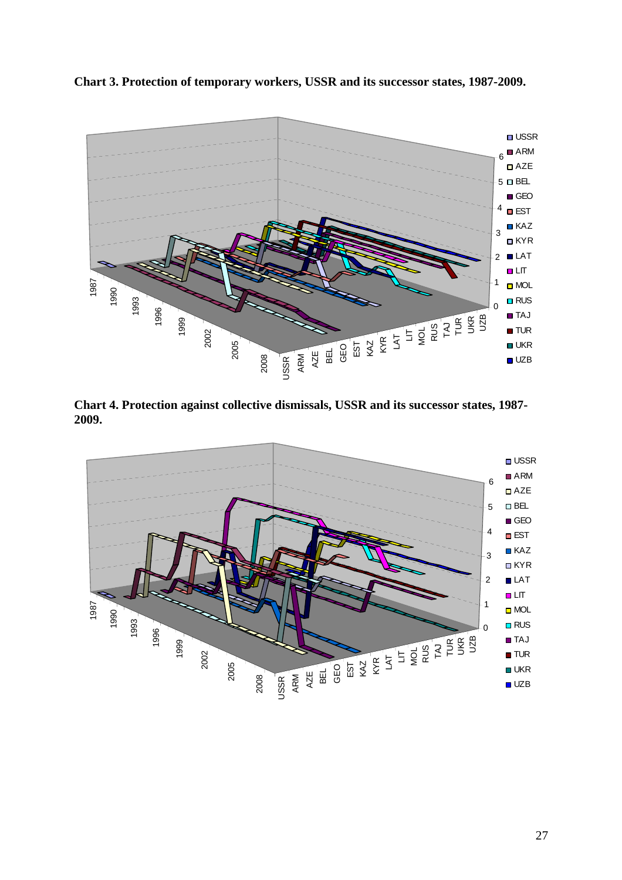**Chart 3. Protection of temporary workers, USSR and its successor states, 1987-2009.** 



**Chart 4. Protection against collective dismissals, USSR and its successor states, 1987- 2009.** 

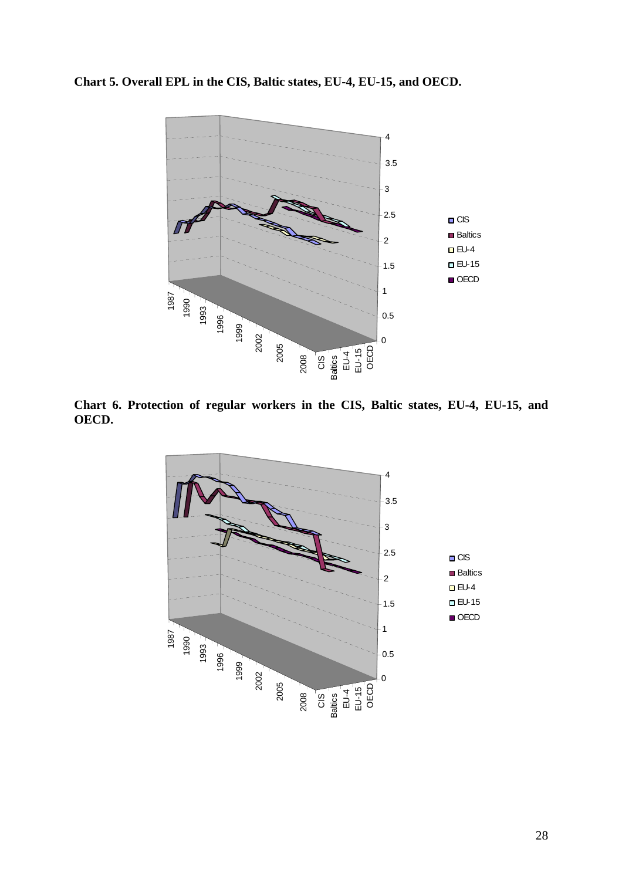**Chart 5. Overall EPL in the CIS, Baltic states, EU-4, EU-15, and OECD.** 



**Chart 6. Protection of regular workers in the CIS, Baltic states, EU-4, EU-15, and OECD.** 

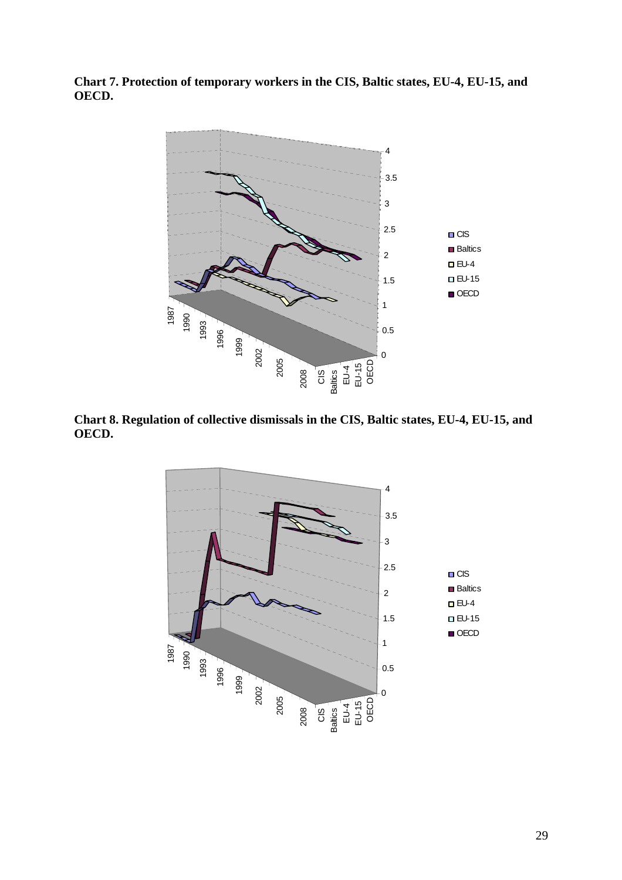**Chart 7. Protection of temporary workers in the CIS, Baltic states, EU-4, EU-15, and OECD.** 



**Chart 8. Regulation of collective dismissals in the CIS, Baltic states, EU-4, EU-15, and OECD.** 

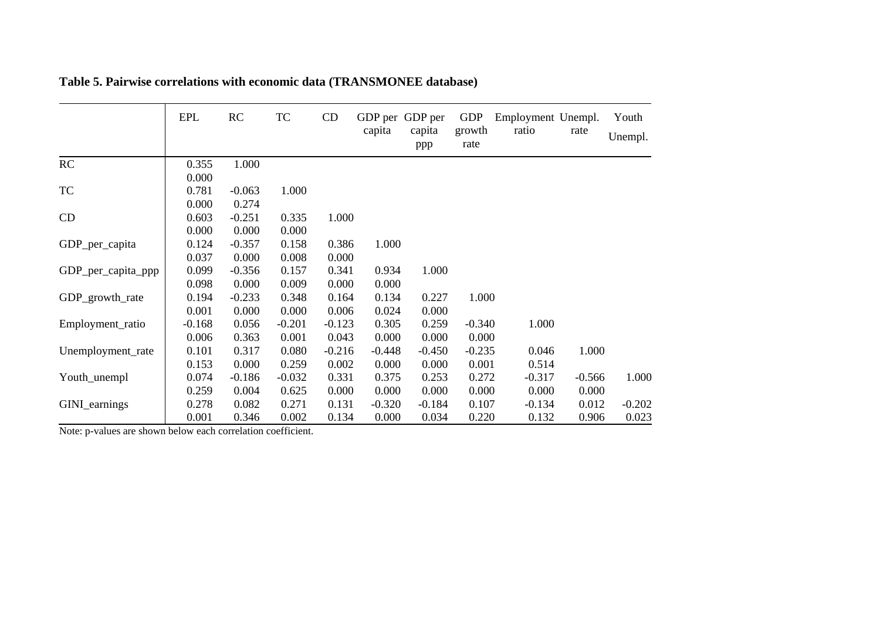|                    | <b>EPL</b> | RC       | TC       | CD       | capita   | GDP per GDP per<br>capita<br>ppp | <b>GDP</b><br>growth<br>rate | Employment Unempl.<br>ratio | rate     | Youth<br>Unempl. |
|--------------------|------------|----------|----------|----------|----------|----------------------------------|------------------------------|-----------------------------|----------|------------------|
| RC                 | 0.355      | 1.000    |          |          |          |                                  |                              |                             |          |                  |
|                    | 0.000      |          |          |          |          |                                  |                              |                             |          |                  |
| <b>TC</b>          | 0.781      | $-0.063$ | 1.000    |          |          |                                  |                              |                             |          |                  |
|                    | 0.000      | 0.274    |          |          |          |                                  |                              |                             |          |                  |
| CD                 | 0.603      | $-0.251$ | 0.335    | 1.000    |          |                                  |                              |                             |          |                  |
|                    | 0.000      | 0.000    | 0.000    |          |          |                                  |                              |                             |          |                  |
| GDP_per_capita     | 0.124      | $-0.357$ | 0.158    | 0.386    | 1.000    |                                  |                              |                             |          |                  |
|                    | 0.037      | 0.000    | 0.008    | 0.000    |          |                                  |                              |                             |          |                  |
| GDP_per_capita_ppp | 0.099      | $-0.356$ | 0.157    | 0.341    | 0.934    | 1.000                            |                              |                             |          |                  |
|                    | 0.098      | 0.000    | 0.009    | 0.000    | 0.000    |                                  |                              |                             |          |                  |
| GDP_growth_rate    | 0.194      | $-0.233$ | 0.348    | 0.164    | 0.134    | 0.227                            | 1.000                        |                             |          |                  |
|                    | 0.001      | 0.000    | 0.000    | 0.006    | 0.024    | 0.000                            |                              |                             |          |                  |
| Employment_ratio   | $-0.168$   | 0.056    | $-0.201$ | $-0.123$ | 0.305    | 0.259                            | $-0.340$                     | 1.000                       |          |                  |
|                    | 0.006      | 0.363    | 0.001    | 0.043    | 0.000    | 0.000                            | 0.000                        |                             |          |                  |
| Unemployment_rate  | 0.101      | 0.317    | 0.080    | $-0.216$ | $-0.448$ | $-0.450$                         | $-0.235$                     | 0.046                       | 1.000    |                  |
|                    | 0.153      | 0.000    | 0.259    | 0.002    | 0.000    | 0.000                            | 0.001                        | 0.514                       |          |                  |
| Youth_unempl       | 0.074      | $-0.186$ | $-0.032$ | 0.331    | 0.375    | 0.253                            | 0.272                        | $-0.317$                    | $-0.566$ | 1.000            |
|                    | 0.259      | 0.004    | 0.625    | 0.000    | 0.000    | 0.000                            | 0.000                        | 0.000                       | 0.000    |                  |
| GINI_earnings      | 0.278      | 0.082    | 0.271    | 0.131    | $-0.320$ | $-0.184$                         | 0.107                        | $-0.134$                    | 0.012    | $-0.202$         |
|                    | 0.001      | 0.346    | 0.002    | 0.134    | 0.000    | 0.034                            | 0.220                        | 0.132                       | 0.906    | 0.023            |

**Table 5. Pairwise correlations with economic data (TRANSMONEE database)** 

Note: p-values are shown below each correlation coefficient.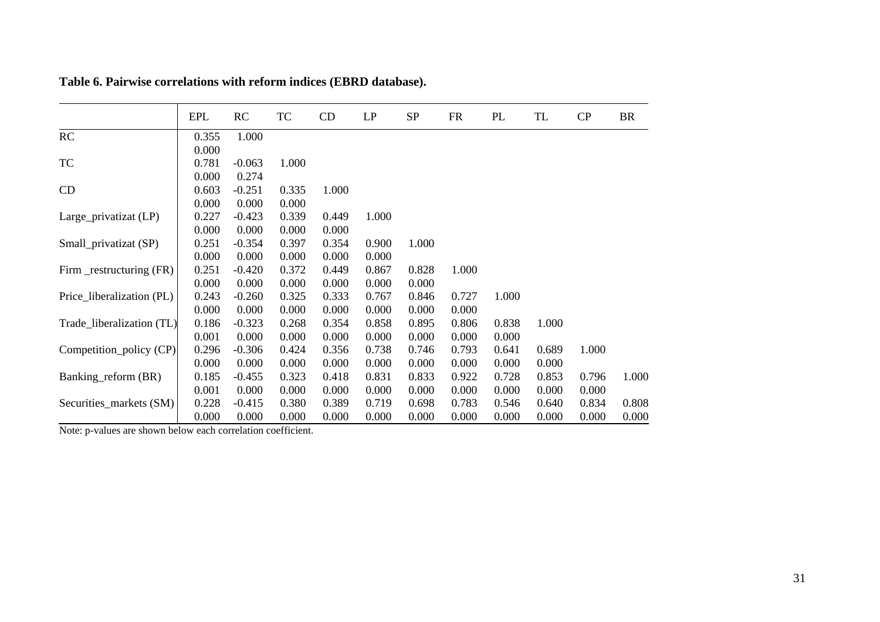|                           | EPL   | RC       | TC    | CD    | LP    | <b>SP</b> | <b>FR</b> | PL    | TL    | CP    | <b>BR</b> |
|---------------------------|-------|----------|-------|-------|-------|-----------|-----------|-------|-------|-------|-----------|
| RC                        | 0.355 | 1.000    |       |       |       |           |           |       |       |       |           |
|                           | 0.000 |          |       |       |       |           |           |       |       |       |           |
| TC                        | 0.781 | $-0.063$ | 1.000 |       |       |           |           |       |       |       |           |
|                           | 0.000 | 0.274    |       |       |       |           |           |       |       |       |           |
| CD                        | 0.603 | $-0.251$ | 0.335 | 1.000 |       |           |           |       |       |       |           |
|                           | 0.000 | 0.000    | 0.000 |       |       |           |           |       |       |       |           |
| Large_privatizat (LP)     | 0.227 | $-0.423$ | 0.339 | 0.449 | 1.000 |           |           |       |       |       |           |
|                           | 0.000 | 0.000    | 0.000 | 0.000 |       |           |           |       |       |       |           |
| Small_privatizat (SP)     | 0.251 | $-0.354$ | 0.397 | 0.354 | 0.900 | 1.000     |           |       |       |       |           |
|                           | 0.000 | 0.000    | 0.000 | 0.000 | 0.000 |           |           |       |       |       |           |
| Firm _restructuring (FR)  | 0.251 | $-0.420$ | 0.372 | 0.449 | 0.867 | 0.828     | 1.000     |       |       |       |           |
|                           | 0.000 | 0.000    | 0.000 | 0.000 | 0.000 | 0.000     |           |       |       |       |           |
| Price_liberalization (PL) | 0.243 | $-0.260$ | 0.325 | 0.333 | 0.767 | 0.846     | 0.727     | 1.000 |       |       |           |
|                           | 0.000 | 0.000    | 0.000 | 0.000 | 0.000 | 0.000     | 0.000     |       |       |       |           |
| Trade_liberalization (TL) | 0.186 | $-0.323$ | 0.268 | 0.354 | 0.858 | 0.895     | 0.806     | 0.838 | 1.000 |       |           |
|                           | 0.001 | 0.000    | 0.000 | 0.000 | 0.000 | 0.000     | 0.000     | 0.000 |       |       |           |
| Competition_policy (CP)   | 0.296 | $-0.306$ | 0.424 | 0.356 | 0.738 | 0.746     | 0.793     | 0.641 | 0.689 | 1.000 |           |
|                           | 0.000 | 0.000    | 0.000 | 0.000 | 0.000 | 0.000     | 0.000     | 0.000 | 0.000 |       |           |
| Banking reform (BR)       | 0.185 | $-0.455$ | 0.323 | 0.418 | 0.831 | 0.833     | 0.922     | 0.728 | 0.853 | 0.796 | 1.000     |
|                           | 0.001 | 0.000    | 0.000 | 0.000 | 0.000 | 0.000     | 0.000     | 0.000 | 0.000 | 0.000 |           |
| Securities_markets (SM)   | 0.228 | $-0.415$ | 0.380 | 0.389 | 0.719 | 0.698     | 0.783     | 0.546 | 0.640 | 0.834 | 0.808     |
|                           | 0.000 | 0.000    | 0.000 | 0.000 | 0.000 | 0.000     | 0.000     | 0.000 | 0.000 | 0.000 | 0.000     |

**Table 6. Pairwise correlations with reform indices (EBRD database).** 

Note: p-values are shown below each correlation coefficient.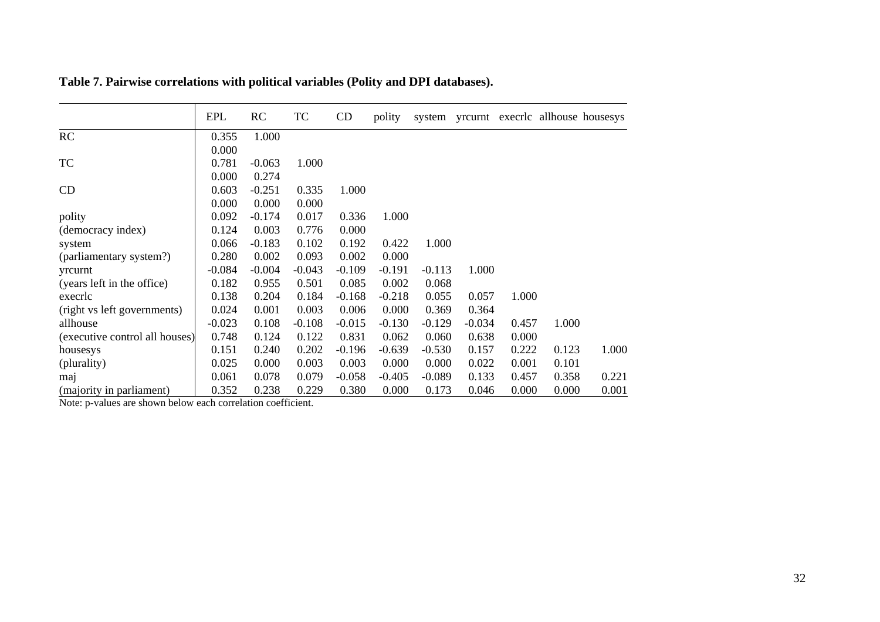|                                | <b>EPL</b> | RC       | TC       | CD       | polity   | system   |          |       |       | yrcurnt execric allhouse housesys |
|--------------------------------|------------|----------|----------|----------|----------|----------|----------|-------|-------|-----------------------------------|
| RC                             | 0.355      | 1.000    |          |          |          |          |          |       |       |                                   |
|                                | 0.000      |          |          |          |          |          |          |       |       |                                   |
| <b>TC</b>                      | 0.781      | $-0.063$ | 1.000    |          |          |          |          |       |       |                                   |
|                                | 0.000      | 0.274    |          |          |          |          |          |       |       |                                   |
| CD                             | 0.603      | $-0.251$ | 0.335    | 1.000    |          |          |          |       |       |                                   |
|                                | 0.000      | 0.000    | 0.000    |          |          |          |          |       |       |                                   |
| polity                         | 0.092      | $-0.174$ | 0.017    | 0.336    | 1.000    |          |          |       |       |                                   |
| (democracy index)              | 0.124      | 0.003    | 0.776    | 0.000    |          |          |          |       |       |                                   |
| system                         | 0.066      | $-0.183$ | 0.102    | 0.192    | 0.422    | 1.000    |          |       |       |                                   |
| (parliamentary system?)        | 0.280      | 0.002    | 0.093    | 0.002    | 0.000    |          |          |       |       |                                   |
| yrcurnt                        | $-0.084$   | $-0.004$ | $-0.043$ | $-0.109$ | $-0.191$ | $-0.113$ | 1.000    |       |       |                                   |
| (years left in the office)     | 0.182      | 0.955    | 0.501    | 0.085    | 0.002    | 0.068    |          |       |       |                                   |
| execric                        | 0.138      | 0.204    | 0.184    | $-0.168$ | $-0.218$ | 0.055    | 0.057    | 1.000 |       |                                   |
| (right vs left governments)    | 0.024      | 0.001    | 0.003    | 0.006    | 0.000    | 0.369    | 0.364    |       |       |                                   |
| allhouse                       | $-0.023$   | 0.108    | $-0.108$ | $-0.015$ | $-0.130$ | $-0.129$ | $-0.034$ | 0.457 | 1.000 |                                   |
| (executive control all houses) | 0.748      | 0.124    | 0.122    | 0.831    | 0.062    | 0.060    | 0.638    | 0.000 |       |                                   |
| housesys                       | 0.151      | 0.240    | 0.202    | $-0.196$ | $-0.639$ | $-0.530$ | 0.157    | 0.222 | 0.123 | 1.000                             |
| (plurality)                    | 0.025      | 0.000    | 0.003    | 0.003    | 0.000    | 0.000    | 0.022    | 0.001 | 0.101 |                                   |
| maj                            | 0.061      | 0.078    | 0.079    | $-0.058$ | $-0.405$ | $-0.089$ | 0.133    | 0.457 | 0.358 | 0.221                             |
| (majority in parliament)       | 0.352      | 0.238    | 0.229    | 0.380    | 0.000    | 0.173    | 0.046    | 0.000 | 0.000 | 0.001                             |

**Table 7. Pairwise correlations with political variables (Polity and DPI databases).** 

Note: p-values are shown below each correlation coefficient.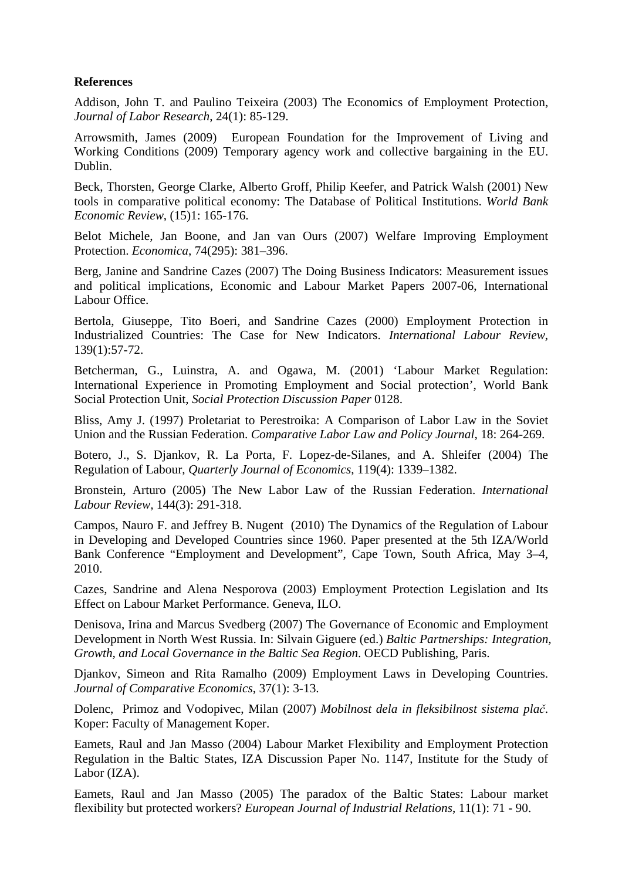# **References**

Addison, John T. and Paulino Teixeira (2003) The Economics of Employment Protection, *Journal of Labor Research*, 24(1): 85-129.

Arrowsmith, James (2009) European Foundation for the Improvement of Living and Working Conditions (2009) Temporary agency work and collective bargaining in the EU. Dublin.

Beck, Thorsten, George Clarke, Alberto Groff, Philip Keefer, and Patrick Walsh (2001) New tools in comparative political economy: The Database of Political Institutions. *World Bank Economic Review*, (15)1: 165-176.

Belot Michele, Jan Boone, and Jan van Ours (2007) Welfare Improving Employment Protection. *Economica*, 74(295): 381–396.

Berg, Janine and Sandrine Cazes (2007) The Doing Business Indicators: Measurement issues and political implications, Economic and Labour Market Papers 2007-06, International Labour Office.

Bertola, Giuseppe, Tito Boeri, and Sandrine Cazes (2000) Employment Protection in Industrialized Countries: The Case for New Indicators. *International Labour Review*, 139(1):57-72.

Betcherman, G., Luinstra, A. and Ogawa, M. (2001) 'Labour Market Regulation: International Experience in Promoting Employment and Social protection', World Bank Social Protection Unit, *Social Protection Discussion Paper* 0128.

Bliss, Amy J. (1997) Proletariat to Perestroika: A Comparison of Labor Law in the Soviet Union and the Russian Federation. *Comparative Labor Law and Policy Journal*, 18: 264-269.

Botero, J., S. Djankov, R. La Porta, F. Lopez-de-Silanes, and A. Shleifer (2004) The Regulation of Labour, *Quarterly Journal of Economics*, 119(4): 1339–1382.

Bronstein, Arturo (2005) The New Labor Law of the Russian Federation. *International Labour Review,* 144(3): 291-318.

Campos, Nauro F. and Jeffrey B. Nugent (2010) The Dynamics of the Regulation of Labour in Developing and Developed Countries since 1960. Paper presented at the 5th IZA/World Bank Conference "Employment and Development", Cape Town, South Africa, May 3–4, 2010.

Cazes, Sandrine and Alena Nesporova (2003) Employment Protection Legislation and Its Effect on Labour Market Performance. Geneva, ILO.

Denisova, Irina and Marcus Svedberg (2007) The Governance of Economic and Employment Development in North West Russia. In: Silvain Giguere (ed.) *Baltic Partnerships: Integration, Growth, and Local Governance in the Baltic Sea Region*. OECD Publishing, Paris.

Djankov, Simeon and Rita Ramalho (2009) Employment Laws in Developing Countries. *Journal of Comparative Economics*, 37(1): 3-13.

Dolenc, Primoz and Vodopivec, Milan (2007) *Mobilnost dela in fleksibilnost sistema plač*. Koper: Faculty of Management Koper.

Eamets, Raul and Jan Masso (2004) Labour Market Flexibility and Employment Protection Regulation in the Baltic States, IZA Discussion Paper No. 1147, Institute for the Study of Labor (IZA).

Eamets, Raul and Jan Masso (2005) The paradox of the Baltic States: Labour market flexibility but protected workers? *European Journal of Industrial Relations*, 11(1): 71 - 90.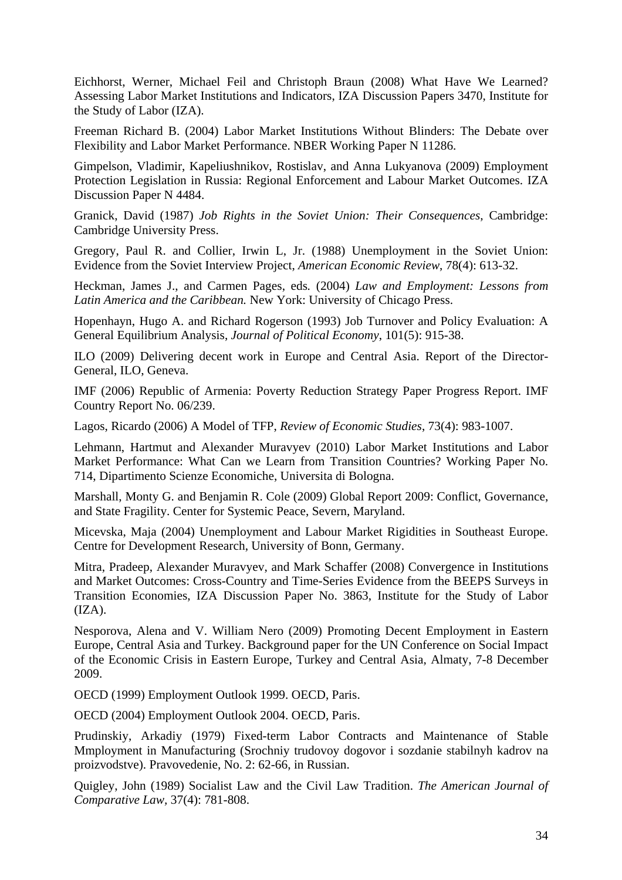Eichhorst, Werner, Michael Feil and Christoph Braun (2008) What Have We Learned? Assessing Labor Market Institutions and Indicators, IZA Discussion Papers 3470, Institute for the Study of Labor (IZA).

Freeman Richard B. (2004) Labor Market Institutions Without Blinders: The Debate over Flexibility and Labor Market Performance. NBER Working Paper N 11286.

Gimpelson, Vladimir, Kapeliushnikov, Rostislav, and Anna Lukyanova (2009) Employment Protection Legislation in Russia: Regional Enforcement and Labour Market Outcomes. IZA Discussion Paper N 4484.

Granick, David (1987) *Job Rights in the Soviet Union: Their Consequences*, Cambridge: Cambridge University Press.

Gregory, Paul R. and Collier, Irwin L, Jr. (1988) Unemployment in the Soviet Union: Evidence from the Soviet Interview Project, *American Economic Review*, 78(4): 613-32.

Heckman, James J., and Carmen Pages, eds*.* (2004) *Law and Employment: Lessons from Latin America and the Caribbean.* New York: University of Chicago Press.

Hopenhayn, Hugo A. and Richard Rogerson (1993) Job Turnover and Policy Evaluation: A General Equilibrium Analysis, *Journal of Political Economy*, 101(5): 915-38.

ILO (2009) Delivering decent work in Europe and Central Asia. Report of the Director-General, ILO, Geneva.

IMF (2006) Republic of Armenia: Poverty Reduction Strategy Paper Progress Report. IMF Country Report No. 06/239.

Lagos, Ricardo (2006) A Model of TFP, *Review of Economic Studies*, 73(4): 983-1007.

Lehmann, Hartmut and Alexander Muravyev (2010) Labor Market Institutions and Labor Market Performance: What Can we Learn from Transition Countries? Working Paper No. 714, Dipartimento Scienze Economiche, Universita di Bologna.

Marshall, Monty G. and Benjamin R. Cole (2009) Global Report 2009: Conflict, Governance, and State Fragility. Center for Systemic Peace, Severn, Maryland.

Micevska, Maja (2004) Unemployment and Labour Market Rigidities in Southeast Europe. Centre for Development Research, University of Bonn, Germany.

Mitra, Pradeep, Alexander Muravyev, and Mark Schaffer (2008) Convergence in Institutions and Market Outcomes: Cross-Country and Time-Series Evidence from the BEEPS Surveys in Transition Economies, IZA Discussion Paper No. 3863, Institute for the Study of Labor  $(IZA).$ 

Nesporova, Alena and V. William Nero (2009) Promoting Decent Employment in Eastern Europe, Central Asia and Turkey. Background paper for the UN Conference on Social Impact of the Economic Crisis in Eastern Europe, Turkey and Central Asia, Almaty, 7-8 December 2009.

OECD (1999) Employment Outlook 1999. OECD, Paris.

OECD (2004) Employment Outlook 2004. OECD, Paris.

Prudinskiy, Arkadiy (1979) Fixed-term Labor Contracts and Maintenance of Stable Mmployment in Manufacturing (Srochniy trudovoy dogovor i sozdanie stabilnyh kadrov na proizvodstve). Pravovedenie, No. 2: 62-66, in Russian.

Quigley, John (1989) Socialist Law and the Civil Law Tradition. *The American Journal of Comparative Law,* 37(4): 781-808.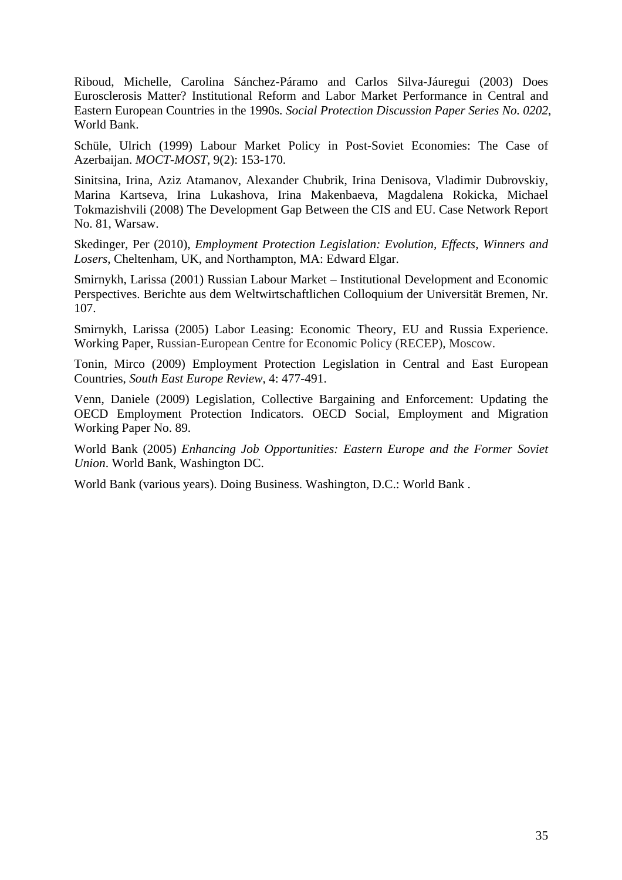Riboud, Michelle, Carolina Sánchez-Páramo and Carlos Silva-Jáuregui (2003) Does Eurosclerosis Matter? Institutional Reform and Labor Market Performance in Central and Eastern European Countries in the 1990s. *Social Protection Discussion Paper Series No. 0202*, World Bank.

Schüle, Ulrich (1999) Labour Market Policy in Post-Soviet Economies: The Case of Azerbaijan. *MOCT-MOST*, 9(2): 153-170.

Sinitsina, Irina, Aziz Atamanov, Alexander Chubrik, Irina Denisova, Vladimir Dubrovskiy, Marina Kartseva, Irina Lukashova, Irina Makenbaeva, Magdalena Rokicka, Michael Tokmazishvili (2008) The Development Gap Between the CIS and EU. Case Network Report No. 81, Warsaw.

Skedinger, Per (2010), *Employment Protection Legislation: Evolution, Effects, Winners and Losers*, Cheltenham, UK, and Northampton, MA: Edward Elgar.

Smirnykh, Larissa (2001) Russian Labour Market – Institutional Development and Economic Perspectives. Berichte aus dem Weltwirtschaftlichen Colloquium der Universität Bremen, Nr. 107.

Smirnykh, Larissa (2005) Labor Leasing: Economic Theory, EU and Russia Experience. Working Paper, Russian-European Centre for Economic Policy (RECEP), Moscow.

Tonin, Mirco (2009) Employment Protection Legislation in Central and East European Countries, *South East Europe Review*, 4: 477-491.

Venn, Daniele (2009) Legislation, Collective Bargaining and Enforcement: Updating the OECD Employment Protection Indicators. OECD Social, Employment and Migration Working Paper No. 89.

World Bank (2005) *Enhancing Job Opportunities: Eastern Europe and the Former Soviet Union*. World Bank, Washington DC.

World Bank (various years). Doing Business. Washington, D.C.: World Bank .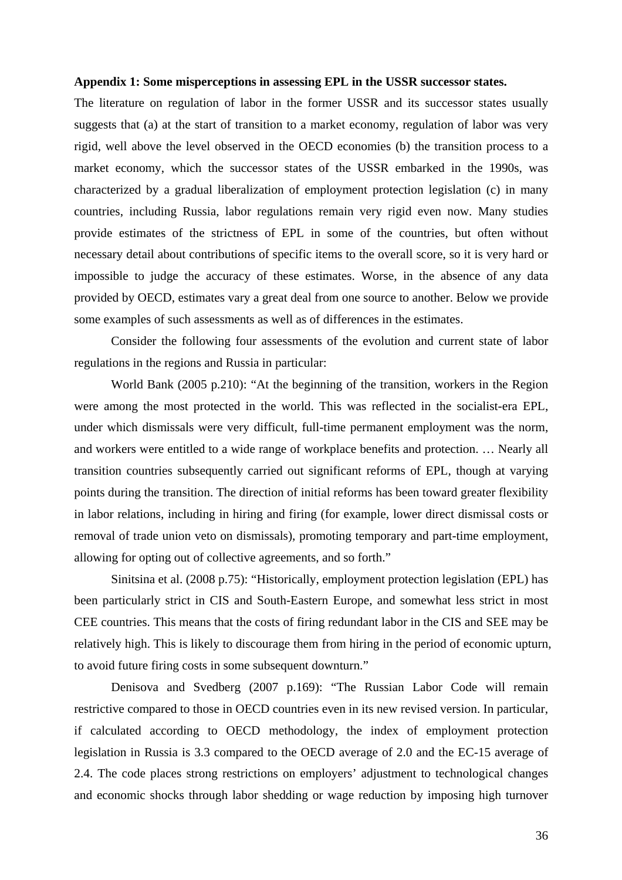### **Appendix 1: Some misperceptions in assessing EPL in the USSR successor states.**

The literature on regulation of labor in the former USSR and its successor states usually suggests that (a) at the start of transition to a market economy, regulation of labor was very rigid, well above the level observed in the OECD economies (b) the transition process to a market economy, which the successor states of the USSR embarked in the 1990s, was characterized by a gradual liberalization of employment protection legislation (c) in many countries, including Russia, labor regulations remain very rigid even now. Many studies provide estimates of the strictness of EPL in some of the countries, but often without necessary detail about contributions of specific items to the overall score, so it is very hard or impossible to judge the accuracy of these estimates. Worse, in the absence of any data provided by OECD, estimates vary a great deal from one source to another. Below we provide some examples of such assessments as well as of differences in the estimates.

Consider the following four assessments of the evolution and current state of labor regulations in the regions and Russia in particular:

World Bank (2005 p.210): "At the beginning of the transition, workers in the Region were among the most protected in the world. This was reflected in the socialist-era EPL, under which dismissals were very difficult, full-time permanent employment was the norm, and workers were entitled to a wide range of workplace benefits and protection. … Nearly all transition countries subsequently carried out significant reforms of EPL, though at varying points during the transition. The direction of initial reforms has been toward greater flexibility in labor relations, including in hiring and firing (for example, lower direct dismissal costs or removal of trade union veto on dismissals), promoting temporary and part-time employment, allowing for opting out of collective agreements, and so forth."

Sinitsina et al. (2008 p.75): "Historically, employment protection legislation (EPL) has been particularly strict in CIS and South-Eastern Europe, and somewhat less strict in most CEE countries. This means that the costs of firing redundant labor in the CIS and SEE may be relatively high. This is likely to discourage them from hiring in the period of economic upturn, to avoid future firing costs in some subsequent downturn."

Denisova and Svedberg (2007 p.169): "The Russian Labor Code will remain restrictive compared to those in OECD countries even in its new revised version. In particular, if calculated according to OECD methodology, the index of employment protection legislation in Russia is 3.3 compared to the OECD average of 2.0 and the EC-15 average of 2.4. The code places strong restrictions on employers' adjustment to technological changes and economic shocks through labor shedding or wage reduction by imposing high turnover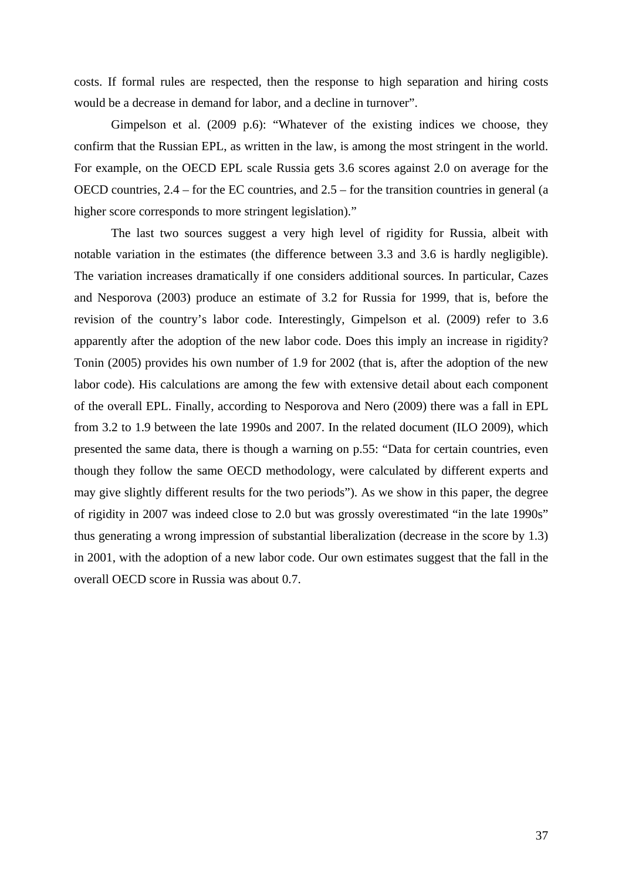costs. If formal rules are respected, then the response to high separation and hiring costs would be a decrease in demand for labor, and a decline in turnover".

Gimpelson et al. (2009 p.6): "Whatever of the existing indices we choose, they confirm that the Russian EPL, as written in the law, is among the most stringent in the world. For example, on the OECD EPL scale Russia gets 3.6 scores against 2.0 on average for the OECD countries, 2.4 – for the EC countries, and 2.5 – for the transition countries in general (a higher score corresponds to more stringent legislation)."

The last two sources suggest a very high level of rigidity for Russia, albeit with notable variation in the estimates (the difference between 3.3 and 3.6 is hardly negligible). The variation increases dramatically if one considers additional sources. In particular, Cazes and Nesporova (2003) produce an estimate of 3.2 for Russia for 1999, that is, before the revision of the country's labor code. Interestingly, Gimpelson et al. (2009) refer to 3.6 apparently after the adoption of the new labor code. Does this imply an increase in rigidity? Tonin (2005) provides his own number of 1.9 for 2002 (that is, after the adoption of the new labor code). His calculations are among the few with extensive detail about each component of the overall EPL. Finally, according to Nesporova and Nero (2009) there was a fall in EPL from 3.2 to 1.9 between the late 1990s and 2007. In the related document (ILO 2009), which presented the same data, there is though a warning on p.55: "Data for certain countries, even though they follow the same OECD methodology, were calculated by different experts and may give slightly different results for the two periods"). As we show in this paper, the degree of rigidity in 2007 was indeed close to 2.0 but was grossly overestimated "in the late 1990s" thus generating a wrong impression of substantial liberalization (decrease in the score by 1.3) in 2001, with the adoption of a new labor code. Our own estimates suggest that the fall in the overall OECD score in Russia was about 0.7.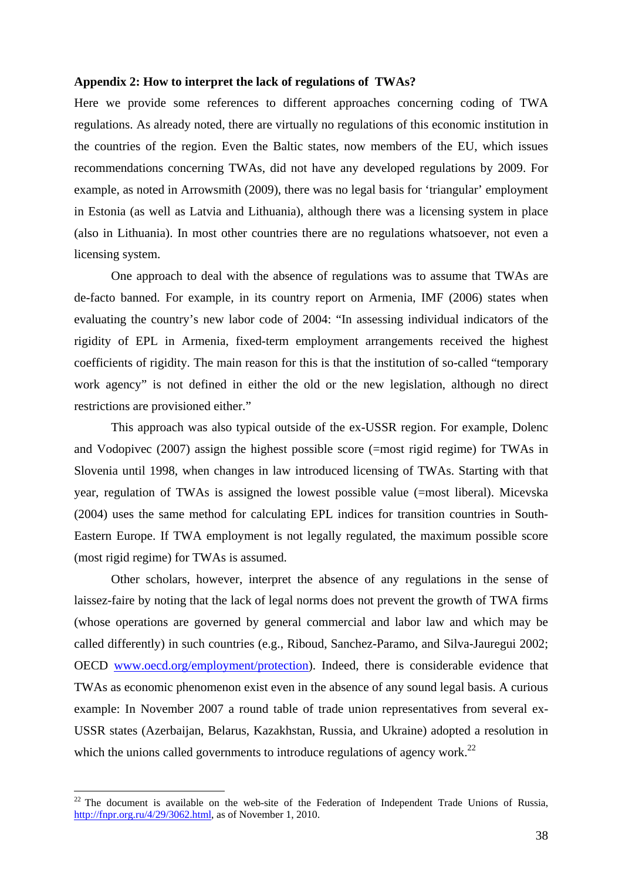### **Appendix 2: How to interpret the lack of regulations of TWAs?**

Here we provide some references to different approaches concerning coding of TWA regulations. As already noted, there are virtually no regulations of this economic institution in the countries of the region. Even the Baltic states, now members of the EU, which issues recommendations concerning TWAs, did not have any developed regulations by 2009. For example, as noted in Arrowsmith (2009), there was no legal basis for 'triangular' employment in Estonia (as well as Latvia and Lithuania), although there was a licensing system in place (also in Lithuania). In most other countries there are no regulations whatsoever, not even a licensing system.

One approach to deal with the absence of regulations was to assume that TWAs are de-facto banned. For example, in its country report on Armenia, IMF (2006) states when evaluating the country's new labor code of 2004: "In assessing individual indicators of the rigidity of EPL in Armenia, fixed-term employment arrangements received the highest coefficients of rigidity. The main reason for this is that the institution of so-called "temporary work agency" is not defined in either the old or the new legislation, although no direct restrictions are provisioned either."

This approach was also typical outside of the ex-USSR region. For example, Dolenc and Vodopivec (2007) assign the highest possible score (=most rigid regime) for TWAs in Slovenia until 1998, when changes in law introduced licensing of TWAs. Starting with that year, regulation of TWAs is assigned the lowest possible value (=most liberal). Micevska (2004) uses the same method for calculating EPL indices for transition countries in South-Eastern Europe. If TWA employment is not legally regulated, the maximum possible score (most rigid regime) for TWAs is assumed.

Other scholars, however, interpret the absence of any regulations in the sense of laissez-faire by noting that the lack of legal norms does not prevent the growth of TWA firms (whose operations are governed by general commercial and labor law and which may be called differently) in such countries (e.g., Riboud, Sanchez-Paramo, and Silva-Jauregui 2002; OECD www.oecd.org/employment/protection). Indeed, there is considerable evidence that TWAs as economic phenomenon exist even in the absence of any sound legal basis. A curious example: In November 2007 a round table of trade union representatives from several ex-USSR states (Azerbaijan, Belarus, Kazakhstan, Russia, and Ukraine) adopted a resolution in which the unions called governments to introduce regulations of agency work.<sup>22</sup>

<sup>&</sup>lt;sup>22</sup> The document is available on the web-site of the Federation of Independent Trade Unions of Russia, http://fnpr.org.ru/4/29/3062.html, as of November 1, 2010.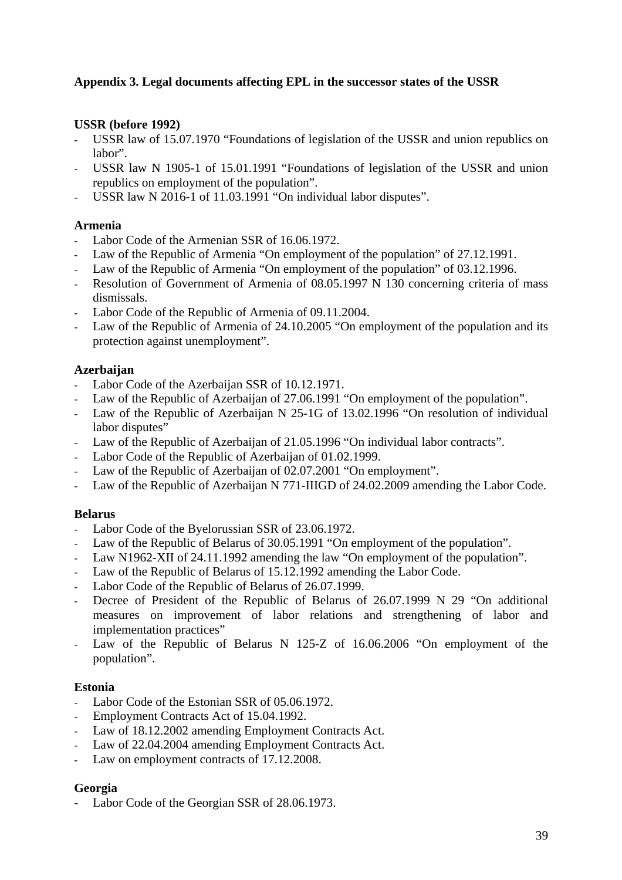# **Appendix 3. Legal documents affecting EPL in the successor states of the USSR**

# **USSR (before 1992)**

- USSR law of 15.07.1970 "Foundations of legislation of the USSR and union republics on labor".
- USSR law N 1905-1 of 15.01.1991 "Foundations of legislation of the USSR and union republics on employment of the population".
- USSR law N 2016-1 of 11.03.1991 "On individual labor disputes".

# **Armenia**

- Labor Code of the Armenian SSR of 16.06.1972.
- Law of the Republic of Armenia "On employment of the population" of 27.12.1991.
- Law of the Republic of Armenia "On employment of the population" of 03.12.1996.
- Resolution of Government of Armenia of 08.05.1997 N 130 concerning criteria of mass dismissals.
- Labor Code of the Republic of Armenia of 09.11.2004.
- Law of the Republic of Armenia of 24.10.2005 "On employment of the population and its protection against unemployment".

# **Azerbaijan**

- Labor Code of the Azerbaijan SSR of 10.12.1971.
- Law of the Republic of Azerbaijan of 27.06.1991 "On employment of the population".
- Law of the Republic of Azerbaijan N 25-1G of 13.02.1996 "On resolution of individual labor disputes"
- Law of the Republic of Azerbaijan of 21.05.1996 "On individual labor contracts".
- Labor Code of the Republic of Azerbaijan of 01.02.1999.
- Law of the Republic of Azerbaijan of 02.07.2001 "On employment".
- Law of the Republic of Azerbaijan N 771-IIIGD of 24.02.2009 amending the Labor Code.

# **Belarus**

- Labor Code of the Byelorussian SSR of 23.06.1972.
- Law of the Republic of Belarus of 30.05.1991 "On employment of the population".
- Law N1962-XII of 24.11.1992 amending the law "On employment of the population".
- Law of the Republic of Belarus of 15.12.1992 amending the Labor Code.
- Labor Code of the Republic of Belarus of 26.07.1999.
- Decree of President of the Republic of Belarus of 26.07.1999 N 29 "On additional measures on improvement of labor relations and strengthening of labor and implementation practices"
- Law of the Republic of Belarus N 125-Z of 16.06.2006 "On employment of the population".

# **Estonia**

- Labor Code of the Estonian SSR of 05.06.1972.
- Employment Contracts Act of 15.04.1992.
- Law of 18.12.2002 amending Employment Contracts Act.
- Law of 22.04.2004 amending Employment Contracts Act.
- Law on employment contracts of 17.12.2008.

# **Georgia**

Labor Code of the Georgian SSR of 28.06.1973.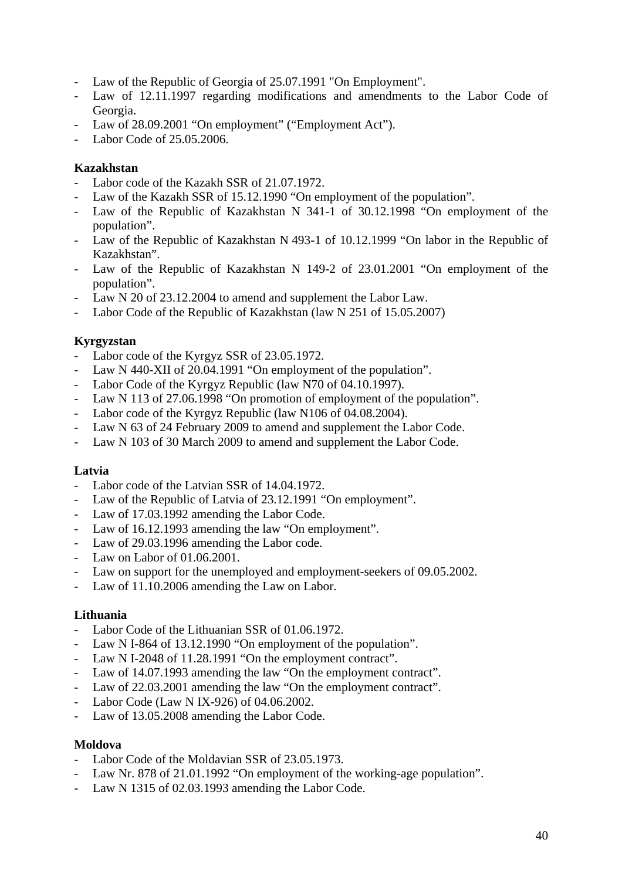- Law of the Republic of Georgia of 25.07.1991 "On Employment".
- Law of 12.11.1997 regarding modifications and amendments to the Labor Code of Georgia.
- Law of 28.09.2001 "On employment" ("Employment Act").
- Labor Code of 25.05.2006.

# **Kazakhstan**

- Labor code of the Kazakh SSR of 21.07.1972.
- Law of the Kazakh SSR of 15.12.1990 "On employment of the population".
- Law of the Republic of Kazakhstan N 341-1 of 30.12.1998 "On employment of the population".
- Law of the Republic of Kazakhstan N 493-1 of 10.12.1999 "On labor in the Republic of Kazakhstan".
- Law of the Republic of Kazakhstan N 149-2 of 23.01.2001 "On employment of the population".
- Law N 20 of 23.12.2004 to amend and supplement the Labor Law.
- Labor Code of the Republic of Kazakhstan (law N 251 of 15.05.2007)

# **Kyrgyzstan**

- Labor code of the Kyrgyz SSR of 23.05.1972.
- Law N 440-XII of 20.04.1991 "On employment of the population".
- Labor Code of the Kyrgyz Republic (law N70 of 04.10.1997).
- Law N 113 of 27.06.1998 "On promotion of employment of the population".
- Labor code of the Kyrgyz Republic (law N106 of 04.08.2004).
- Law N 63 of 24 February 2009 to amend and supplement the Labor Code.
- Law N 103 of 30 March 2009 to amend and supplement the Labor Code.

# **Latvia**

- Labor code of the Latvian SSR of 14.04.1972.
- Law of the Republic of Latvia of 23.12.1991 "On employment".
- Law of 17.03.1992 amending the Labor Code.
- Law of 16.12.1993 amending the law "On employment".
- Law of 29.03.1996 amending the Labor code.
- Law on Labor of 01.06.2001.
- Law on support for the unemployed and employment-seekers of 09.05.2002.
- Law of 11.10.2006 amending the Law on Labor.

# **Lithuania**

- Labor Code of the Lithuanian SSR of 01.06.1972.
- Law N I-864 of 13.12.1990 "On employment of the population".
- Law N I-2048 of 11.28.1991 "On the employment contract".
- Law of 14.07.1993 amending the law "On the employment contract".
- Law of 22.03.2001 amending the law "On the employment contract".
- Labor Code (Law N IX-926) of 04.06.2002.
- Law of 13.05.2008 amending the Labor Code.

# **Moldova**

- Labor Code of the Moldavian SSR of 23.05.1973.
- Law Nr. 878 of 21.01.1992 "On employment of the working-age population".
- Law N 1315 of 02.03.1993 amending the Labor Code.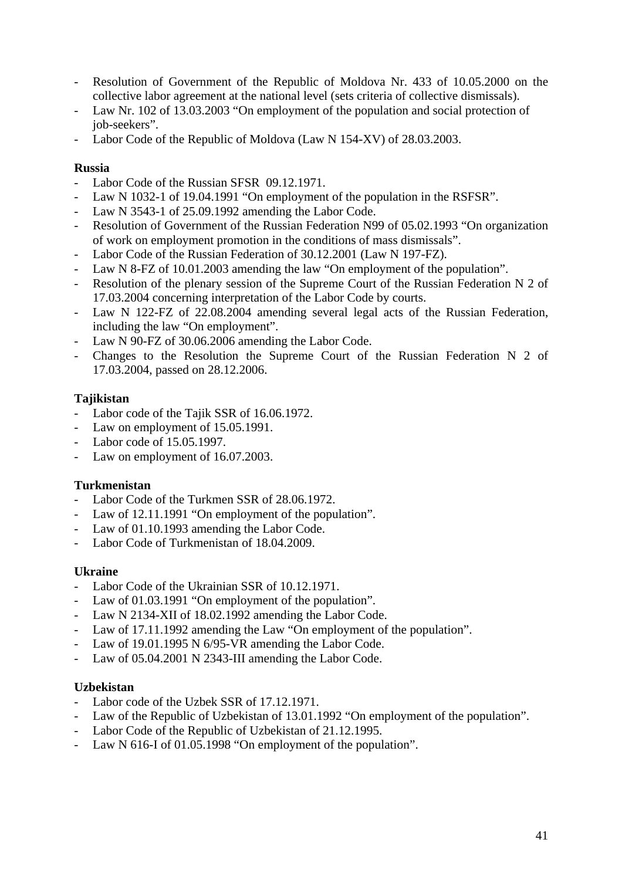- Resolution of Government of the Republic of Moldova Nr. 433 of 10.05.2000 on the collective labor agreement at the national level (sets criteria of collective dismissals).
- Law Nr. 102 of 13.03.2003 "On employment of the population and social protection of job-seekers".
- Labor Code of the Republic of Moldova (Law N 154-XV) of 28.03.2003.

# **Russia**

- Labor Code of the Russian SFSR 09.12.1971.
- Law N 1032-1 of 19.04.1991 "On employment of the population in the RSFSR".
- Law N 3543-1 of 25.09.1992 amending the Labor Code.
- Resolution of Government of the Russian Federation N99 of 05.02.1993 "On organization of work on employment promotion in the conditions of mass dismissals".
- Labor Code of the Russian Federation of 30.12.2001 (Law N 197-FZ).
- Law N 8-FZ of 10.01.2003 amending the law "On employment of the population".
- Resolution of the plenary session of the Supreme Court of the Russian Federation N 2 of 17.03.2004 concerning interpretation of the Labor Code by courts.
- Law N 122-FZ of 22.08.2004 amending several legal acts of the Russian Federation, including the law "On employment".
- Law N 90-FZ of 30.06.2006 amending the Labor Code.
- Changes to the Resolution the Supreme Court of the Russian Federation N 2 of 17.03.2004, passed on 28.12.2006.

# **Tajikistan**

- Labor code of the Tajik SSR of 16.06.1972.
- Law on employment of 15.05.1991.
- Labor code of 15.05.1997.
- Law on employment of 16.07.2003.

# **Turkmenistan**

- Labor Code of the Turkmen SSR of 28.06.1972.
- Law of 12.11.1991 "On employment of the population".
- Law of 01.10.1993 amending the Labor Code.
- Labor Code of Turkmenistan of 18.04.2009.

# **Ukraine**

- Labor Code of the Ukrainian SSR of 10.12.1971.
- Law of 01.03.1991 "On employment of the population".
- Law N 2134-XII of 18.02.1992 amending the Labor Code.
- Law of 17.11.1992 amending the Law "On employment of the population".
- Law of 19.01.1995 N 6/95-VR amending the Labor Code.
- Law of 05.04.2001 N 2343-III amending the Labor Code.

# **Uzbekistan**

- Labor code of the Uzbek SSR of 17.12.1971.
- Law of the Republic of Uzbekistan of 13.01.1992 "On employment of the population".
- Labor Code of the Republic of Uzbekistan of 21.12.1995.
- Law N 616-I of 01.05.1998 "On employment of the population".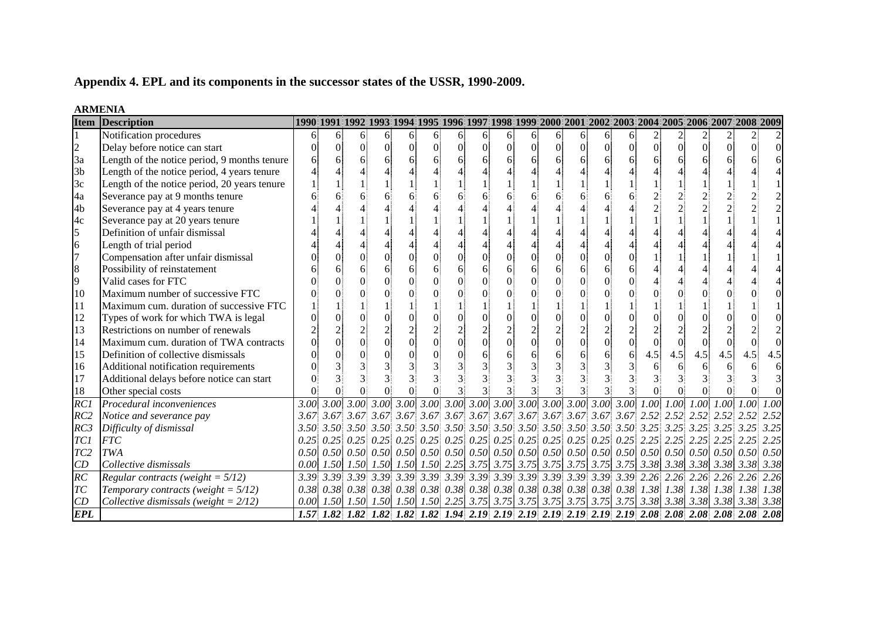# **Appendix 4. EPL and its components in the successor states of the USSR, 1990-2009.**

|                 | <b>Item Description</b>                      |      |                | 1990 1991 1992 1993 1994 1995 1996 1997 1998 1999 2000 2001 2002 2003 2004 2005 2006 2007 2008 2009                                                |                |          |               |    |          |          |                 |                |          |                  |                                                                                                                                                                                                                                                                                                                                                                                  |                |     |     |          |     |      |
|-----------------|----------------------------------------------|------|----------------|----------------------------------------------------------------------------------------------------------------------------------------------------|----------------|----------|---------------|----|----------|----------|-----------------|----------------|----------|------------------|----------------------------------------------------------------------------------------------------------------------------------------------------------------------------------------------------------------------------------------------------------------------------------------------------------------------------------------------------------------------------------|----------------|-----|-----|----------|-----|------|
|                 | Notification procedures                      | 6    | 6              | 61                                                                                                                                                 | 6              | 61       | 6             | 61 | 6        | 6        | $\vert 6 \vert$ | 6              | 6        | 6 <sup>1</sup>   | 6                                                                                                                                                                                                                                                                                                                                                                                |                |     |     |          |     |      |
| $\overline{c}$  | Delay before notice can start                |      | $\overline{0}$ | 0                                                                                                                                                  | $\overline{0}$ | $\Omega$ | $\Omega$      |    | $\Omega$ | $\Omega$ | $\overline{0}$  | $\overline{0}$ | $\Omega$ | $\boldsymbol{0}$ | $\Omega$                                                                                                                                                                                                                                                                                                                                                                         | $\overline{0}$ |     |     | $\Omega$ |     |      |
| 3a              | Length of the notice period, 9 months tenure |      | 6              |                                                                                                                                                    | 6              |          | 6             |    | 6        | 6        |                 | 6              |          | 6                |                                                                                                                                                                                                                                                                                                                                                                                  | 6              |     |     |          |     |      |
| 3 <sub>b</sub>  | Length of the notice period, 4 years tenure  |      |                |                                                                                                                                                    |                |          |               |    |          |          |                 |                |          |                  |                                                                                                                                                                                                                                                                                                                                                                                  |                |     |     |          |     |      |
| 3c              | Length of the notice period, 20 years tenure |      |                |                                                                                                                                                    |                |          |               |    |          |          |                 |                |          |                  |                                                                                                                                                                                                                                                                                                                                                                                  |                |     |     |          |     |      |
| 4a              | Severance pay at 9 months tenure             |      |                |                                                                                                                                                    |                |          |               |    |          |          |                 |                |          |                  |                                                                                                                                                                                                                                                                                                                                                                                  |                |     |     |          |     |      |
| 4b              | Severance pay at 4 years tenure              |      |                |                                                                                                                                                    |                |          |               |    |          |          |                 |                |          |                  |                                                                                                                                                                                                                                                                                                                                                                                  |                |     |     |          |     |      |
| 4c              | Severance pay at 20 years tenure             |      |                |                                                                                                                                                    |                |          |               |    |          |          |                 |                |          |                  |                                                                                                                                                                                                                                                                                                                                                                                  |                |     |     |          |     |      |
| 5               | Definition of unfair dismissal               |      |                |                                                                                                                                                    |                |          |               |    |          |          |                 |                |          |                  |                                                                                                                                                                                                                                                                                                                                                                                  |                |     |     |          |     |      |
| 6               | Length of trial period                       |      |                |                                                                                                                                                    |                |          |               |    |          |          |                 |                |          |                  |                                                                                                                                                                                                                                                                                                                                                                                  |                |     |     |          |     |      |
| 17              | Compensation after unfair dismissal          |      |                |                                                                                                                                                    | $\overline{0}$ |          |               |    |          | ∩        |                 | $\overline{0}$ |          | $\overline{0}$   |                                                                                                                                                                                                                                                                                                                                                                                  |                |     |     |          |     |      |
| 8               | Possibility of reinstatement                 |      |                |                                                                                                                                                    | 6              |          | 6             |    |          |          |                 | 6              |          | 6                |                                                                                                                                                                                                                                                                                                                                                                                  |                |     |     |          |     |      |
| 9               | Valid cases for FTC                          |      |                |                                                                                                                                                    | $\Omega$       | $\Omega$ |               |    |          |          |                 | $\Omega$       |          | $\Omega$         |                                                                                                                                                                                                                                                                                                                                                                                  |                |     |     |          |     |      |
| 10              | Maximum number of successive FTC             |      |                |                                                                                                                                                    | $\Omega$       | 0        |               |    |          |          |                 |                |          | $\Omega$         |                                                                                                                                                                                                                                                                                                                                                                                  |                |     |     |          |     |      |
| 11              | Maximum cum. duration of successive FTC      |      |                |                                                                                                                                                    |                |          |               |    |          |          |                 |                |          |                  |                                                                                                                                                                                                                                                                                                                                                                                  |                |     |     |          |     |      |
| 12              | Types of work for which TWA is legal         |      |                |                                                                                                                                                    | $\theta$       |          |               |    |          |          |                 |                |          | $\overline{0}$   |                                                                                                                                                                                                                                                                                                                                                                                  |                |     |     |          |     |      |
| 13              | Restrictions on number of renewals           |      |                |                                                                                                                                                    | $\overline{c}$ |          | $\mathcal{L}$ |    |          |          |                 | $\overline{c}$ |          | $\overline{2}$   |                                                                                                                                                                                                                                                                                                                                                                                  |                |     |     |          |     |      |
| 14              | Maximum cum. duration of TWA contracts       |      |                | Ωİ                                                                                                                                                 | $\overline{0}$ | $\Omega$ | $\theta$      |    |          | $\Omega$ |                 | $\overline{0}$ |          | $\overline{0}$   |                                                                                                                                                                                                                                                                                                                                                                                  |                |     |     |          |     |      |
| 15              | Definition of collective dismissals          |      |                |                                                                                                                                                    | $\theta$       |          |               |    |          | 6        |                 |                |          | 6                | 6                                                                                                                                                                                                                                                                                                                                                                                | 4.5            | 4.5 | 4.5 | 4.5      | 4.5 | 4.5  |
| 16              | Additional notification requirements         |      |                |                                                                                                                                                    |                |          |               |    |          |          |                 |                |          |                  |                                                                                                                                                                                                                                                                                                                                                                                  |                |     |     |          |     |      |
| 17              | Additional delays before notice can start    |      |                |                                                                                                                                                    | $\mathbf{3}$   |          |               |    |          |          |                 |                |          |                  |                                                                                                                                                                                                                                                                                                                                                                                  |                |     |     |          |     |      |
| 18              | Other special costs                          |      |                |                                                                                                                                                    |                |          |               |    |          |          |                 |                |          |                  |                                                                                                                                                                                                                                                                                                                                                                                  |                |     |     |          |     |      |
| RC1             | Procedural inconveniences                    |      |                |                                                                                                                                                    |                |          |               |    |          |          |                 |                |          |                  |                                                                                                                                                                                                                                                                                                                                                                                  |                |     |     |          |     |      |
| RC2             | Notice and severance pay                     |      |                |                                                                                                                                                    |                |          |               |    |          |          |                 |                |          |                  |                                                                                                                                                                                                                                                                                                                                                                                  |                |     |     |          |     | 2.52 |
| RC3             | Difficulty of dismissal                      |      | $3.50\,3.50$   |                                                                                                                                                    |                |          |               |    |          |          |                 |                |          |                  |                                                                                                                                                                                                                                                                                                                                                                                  |                |     |     |          |     | 3.25 |
| TC1             | <b>FTC</b>                                   | 0.25 | 0.25           |                                                                                                                                                    |                |          |               |    |          |          |                 |                |          |                  | $0.25\begin{bmatrix} 0.25 \end{bmatrix}$ $0.25\begin{bmatrix} 0.25 \end{bmatrix}$ $0.25\begin{bmatrix} 0.25 \end{bmatrix}$ $0.25\begin{bmatrix} 0.25 \end{bmatrix}$ $0.25\begin{bmatrix} 0.25 \end{bmatrix}$ $0.25\begin{bmatrix} 2.25 \end{bmatrix}$ $2.25\begin{bmatrix} 2.25 \end{bmatrix}$ $2.25\begin{bmatrix} 2.25 \end{bmatrix}$ $2.25\begin{bmatrix} 2.25 \end{bmatrix}$ |                |     |     |          |     | 2.25 |
| TC <sub>2</sub> | <b>TWA</b>                                   |      |                |                                                                                                                                                    |                |          |               |    |          |          |                 |                |          |                  |                                                                                                                                                                                                                                                                                                                                                                                  |                |     |     |          |     | 0.50 |
| CD              | Collective dismissals                        |      |                |                                                                                                                                                    |                |          |               |    |          |          |                 |                |          |                  |                                                                                                                                                                                                                                                                                                                                                                                  |                |     |     |          |     | 3.38 |
| $\overline{RC}$ | Regular contracts (weight = $5/12$ )         |      |                |                                                                                                                                                    |                |          |               |    |          |          |                 |                |          |                  |                                                                                                                                                                                                                                                                                                                                                                                  |                |     |     |          |     | 2.26 |
| T <sub>C</sub>  | Temporary contracts (weight = $5/12$ )       |      |                | $0.38$ $0.38$ $0.38$ $0.38$ $0.38$ $0.38$ $0.38$ $0.38$ $0.38$ $0.38$ $0.38$ $0.38$ $0.38$ $0.38$ $0.38$ $0.38$ $1.38$ $1.38$ $1.38$ $1.38$ $1.38$ |                |          |               |    |          |          |                 |                |          |                  |                                                                                                                                                                                                                                                                                                                                                                                  |                |     |     |          |     | 1.38 |
| CD              | Collective dismissals (weight = $2/12$ )     | 0.00 |                |                                                                                                                                                    |                |          |               |    |          |          |                 |                |          |                  |                                                                                                                                                                                                                                                                                                                                                                                  |                |     |     |          |     |      |
| <b>EPL</b>      |                                              |      |                | 1.57 1.82 1.82 1.82 1.82 1.82 1.94 2.19 2.19 2.19 2.19 2.19 2.19 2.19 2.08 2.08 2.08 2.08                                                          |                |          |               |    |          |          |                 |                |          |                  |                                                                                                                                                                                                                                                                                                                                                                                  |                |     |     |          |     | 2.08 |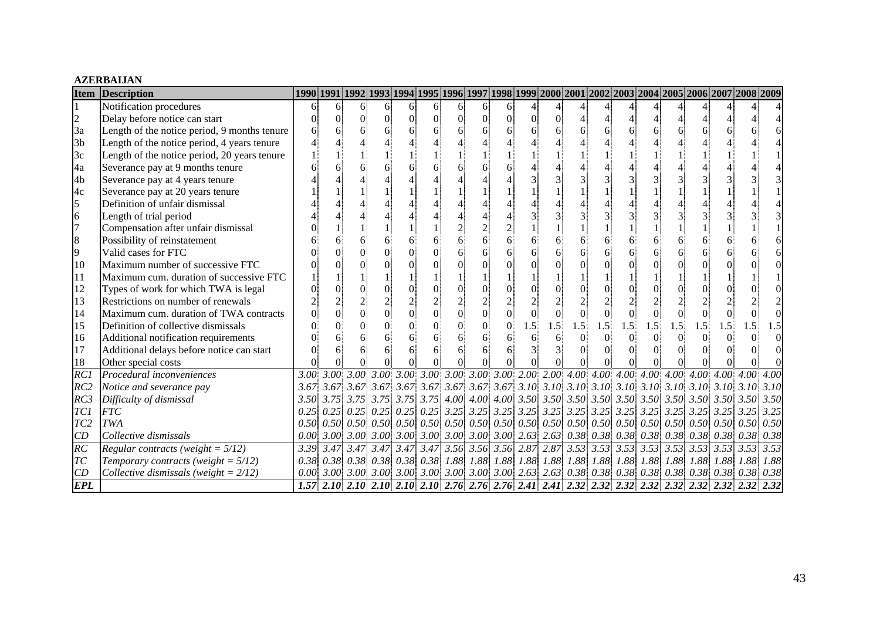#### **AZERBAIJAN**

| <b>Item</b>     | <b>Description</b>                           |                   |                  | 1990 1991 1992 1993 1994 1995 1996 1997 1998 1999 2000 2001 2002 2003 2004 2005 2006 2007 2008 2009                                                                                                                                                                                                                                                                                     |                |   |                                    |          |                |                                    |    |          |                |     |                             |                |     |     |     |                               |      |
|-----------------|----------------------------------------------|-------------------|------------------|-----------------------------------------------------------------------------------------------------------------------------------------------------------------------------------------------------------------------------------------------------------------------------------------------------------------------------------------------------------------------------------------|----------------|---|------------------------------------|----------|----------------|------------------------------------|----|----------|----------------|-----|-----------------------------|----------------|-----|-----|-----|-------------------------------|------|
|                 | Notification procedures                      | 6                 | 61               | 6.                                                                                                                                                                                                                                                                                                                                                                                      | 6              | 6 | 6                                  | 6        | 6              |                                    |    |          |                |     |                             |                |     |     |     |                               |      |
| $\overline{c}$  | Delay before notice can start                |                   |                  | O.                                                                                                                                                                                                                                                                                                                                                                                      | $\Omega$       | 0 | $\Omega$                           | $\Omega$ | $\Omega$       | $\Omega$                           |    | $\Omega$ |                |     |                             |                |     |     |     |                               |      |
| 3a              | Length of the notice period, 9 months tenure |                   |                  |                                                                                                                                                                                                                                                                                                                                                                                         |                |   | 6                                  |          |                |                                    |    | 6        |                |     |                             | 6              |     |     |     |                               |      |
| 3 <sub>b</sub>  | Length of the notice period, 4 years tenure  |                   |                  |                                                                                                                                                                                                                                                                                                                                                                                         |                |   |                                    |          |                |                                    |    |          |                |     |                             |                |     |     |     |                               |      |
| 3c              | Length of the notice period, 20 years tenure |                   |                  |                                                                                                                                                                                                                                                                                                                                                                                         |                |   |                                    |          |                |                                    |    |          |                |     |                             |                |     |     |     |                               |      |
| 4a              | Severance pay at 9 months tenure             |                   |                  |                                                                                                                                                                                                                                                                                                                                                                                         |                |   |                                    |          |                |                                    |    |          |                |     |                             |                |     |     |     |                               |      |
| 4 <sub>b</sub>  | Severance pay at 4 years tenure              |                   |                  |                                                                                                                                                                                                                                                                                                                                                                                         |                |   |                                    |          |                |                                    |    |          |                |     |                             |                |     |     |     |                               |      |
| 4c              | Severance pay at 20 years tenure             |                   |                  |                                                                                                                                                                                                                                                                                                                                                                                         |                |   |                                    |          |                |                                    |    |          |                |     |                             |                |     |     |     |                               |      |
| 5               | Definition of unfair dismissal               |                   |                  |                                                                                                                                                                                                                                                                                                                                                                                         |                |   |                                    |          |                |                                    |    |          |                |     |                             |                |     |     |     |                               |      |
| 6               | Length of trial period                       |                   |                  |                                                                                                                                                                                                                                                                                                                                                                                         |                |   |                                    |          |                |                                    |    |          |                |     |                             |                |     |     |     |                               |      |
| $\overline{7}$  | Compensation after unfair dismissal          |                   |                  |                                                                                                                                                                                                                                                                                                                                                                                         |                |   |                                    |          |                |                                    |    |          |                |     |                             |                |     |     |     |                               |      |
| 8               | Possibility of reinstatement                 |                   |                  |                                                                                                                                                                                                                                                                                                                                                                                         |                |   |                                    |          |                |                                    |    | 6        |                |     |                             | 6              |     |     |     |                               |      |
| 9               | Valid cases for FTC                          |                   |                  |                                                                                                                                                                                                                                                                                                                                                                                         |                |   | $\Omega$                           |          |                |                                    |    | 6        |                |     |                             | 6              |     |     |     |                               |      |
| 10              | Maximum number of successive FTC             |                   |                  |                                                                                                                                                                                                                                                                                                                                                                                         |                |   |                                    |          |                |                                    |    |          |                |     |                             | $\Omega$       |     |     |     |                               |      |
| 11              | Maximum cum. duration of successive FTC      |                   |                  |                                                                                                                                                                                                                                                                                                                                                                                         |                |   |                                    |          |                |                                    |    |          |                |     |                             |                |     |     |     |                               |      |
| 12              | Types of work for which TWA is legal         |                   |                  |                                                                                                                                                                                                                                                                                                                                                                                         |                |   |                                    |          |                |                                    |    |          |                |     |                             | $\Omega$       |     |     |     |                               |      |
| 13              | Restrictions on number of renewals           |                   |                  |                                                                                                                                                                                                                                                                                                                                                                                         |                |   |                                    |          |                |                                    |    |          |                |     |                             |                |     |     |     |                               |      |
| 14              | Maximum cum. duration of TWA contracts       |                   |                  |                                                                                                                                                                                                                                                                                                                                                                                         | $\overline{0}$ |   | $\overline{0}$                     |          | $\overline{0}$ |                                    |    | $\theta$ | $\overline{0}$ |     | $\overline{0}$              | $\overline{0}$ |     |     |     |                               |      |
| 15              | Definition of collective dismissals          |                   |                  |                                                                                                                                                                                                                                                                                                                                                                                         |                |   |                                    | $\Omega$ |                | $\Omega$                           | .5 | 1.5      | 1.5            | 1.5 | 1.5                         | 1.5            | 1.5 | 1.5 | 1.5 |                               |      |
| 16              | Additional notification requirements         |                   |                  |                                                                                                                                                                                                                                                                                                                                                                                         |                |   | 6                                  |          | 6              |                                    |    | 6        |                |     |                             | $\Omega$       |     |     |     |                               |      |
| 17              | Additional delays before notice can start    |                   |                  |                                                                                                                                                                                                                                                                                                                                                                                         |                |   |                                    |          |                |                                    |    |          |                |     |                             | $\Omega$       |     |     |     |                               |      |
| 18              | Other special costs                          |                   |                  |                                                                                                                                                                                                                                                                                                                                                                                         |                |   |                                    |          |                |                                    |    |          |                |     |                             |                |     |     |     |                               |      |
| $\overline{RC}$ | Procedural inconveniences                    | 3.00 <sub>1</sub> |                  |                                                                                                                                                                                                                                                                                                                                                                                         |                |   |                                    |          |                |                                    |    |          |                |     |                             |                |     |     |     |                               |      |
| RC2             | Notice and severance pay                     |                   |                  |                                                                                                                                                                                                                                                                                                                                                                                         |                |   |                                    |          |                |                                    |    |          |                |     |                             |                |     |     |     |                               |      |
| RC3             | Difficulty of dismissal                      |                   |                  |                                                                                                                                                                                                                                                                                                                                                                                         |                |   |                                    |          |                |                                    |    |          |                |     |                             |                |     |     |     |                               |      |
| TC1             | <b>FTC</b>                                   |                   |                  |                                                                                                                                                                                                                                                                                                                                                                                         |                |   |                                    |          |                |                                    |    |          |                |     |                             |                |     |     |     |                               | 3.25 |
| TC <sub>2</sub> | <b>TWA</b>                                   |                   |                  |                                                                                                                                                                                                                                                                                                                                                                                         |                |   |                                    |          |                |                                    |    |          |                |     |                             |                |     |     |     |                               | 0.50 |
| CD              | Collective dismissals                        |                   |                  | $0.00\begin{bmatrix} 3.00 \end{bmatrix}$ 3.00 $\begin{bmatrix} 3.00 \end{bmatrix}$ 3.00 $\begin{bmatrix} 3.00 \end{bmatrix}$ 3.00 $\begin{bmatrix} 3.00 \end{bmatrix}$ 3.00 $\begin{bmatrix} 2.63 \end{bmatrix}$ 2.63 $\begin{bmatrix} 0.38 \end{bmatrix}$ 0.38 $\begin{bmatrix} 0.38 \end{bmatrix}$ 0.38 $\begin{bmatrix} 0.38 \end{bmatrix}$ 0.38 $\begin{bmatrix} 0.38 \end{bmatrix$ |                |   |                                    |          |                |                                    |    |          |                |     |                             |                |     |     |     |                               | 0.38 |
| $\overline{RC}$ | Regular contracts (weight = $5/12$ )         |                   | $3.39 \mid 3.47$ |                                                                                                                                                                                                                                                                                                                                                                                         |                |   | $3.47$ $3.47$ $3.47$ $3.47$ $3.56$ |          |                | $3.56$ $3.56$ $2.87$ $2.87$ $3.53$ |    |          |                |     | $3.53$ $3.53$ $3.53$ $3.53$ |                |     |     |     | $3.53$ $3.53$ $3.53$          | 3.53 |
| TC              | Temporary contracts (weight = $5/12$ )       |                   |                  |                                                                                                                                                                                                                                                                                                                                                                                         |                |   |                                    |          |                |                                    |    |          |                |     |                             |                |     |     |     | 1.88 1.88 1.88 1.88 1.88 1.88 | 1.88 |
| CD              | Collective dismissals (weight = $2/12$ )     | 0.00              |                  |                                                                                                                                                                                                                                                                                                                                                                                         |                |   |                                    |          |                |                                    |    |          |                |     |                             |                |     |     |     |                               |      |
| <b>EPL</b>      |                                              |                   |                  |                                                                                                                                                                                                                                                                                                                                                                                         |                |   |                                    |          |                |                                    |    |          |                |     |                             |                |     |     |     |                               |      |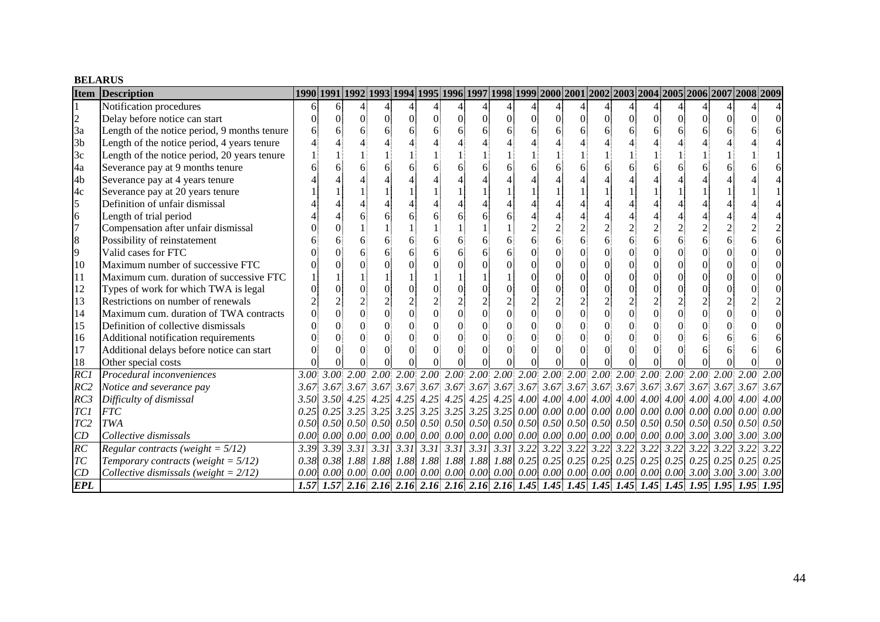#### **BELARUS**

| <b>Item</b>     | <b>Description</b>                           |      |                  | 1990 1991 1992 1993 1994 1995 1996 1997 1998 1999 2000 2001 2002 2003 2004 2005 2006 2007 2008 2009                                                |                |          |                     |          |          |          |          |                                           |                |                                  |                                                         |                |  |   |      |      |
|-----------------|----------------------------------------------|------|------------------|----------------------------------------------------------------------------------------------------------------------------------------------------|----------------|----------|---------------------|----------|----------|----------|----------|-------------------------------------------|----------------|----------------------------------|---------------------------------------------------------|----------------|--|---|------|------|
|                 | Notification procedures                      | 6    | 61               |                                                                                                                                                    |                |          |                     |          |          |          |          |                                           |                |                                  |                                                         |                |  |   |      |      |
| $\overline{c}$  | Delay before notice can start                |      | $\Omega$         | 0                                                                                                                                                  | $\Omega$       | $\Omega$ | $\Omega$            | $\Omega$ | $\Omega$ | $\theta$ | $\Omega$ | $\overline{0}$                            | $\Omega$       | $\overline{0}$                   | $\Omega$                                                | $\Omega$       |  | 0 |      |      |
| 3a              | Length of the notice period, 9 months tenure |      | 6                |                                                                                                                                                    | 6              |          | 6                   |          |          |          | 6        | 6                                         |                | 6                                | 6                                                       |                |  |   |      |      |
| 3 <sub>b</sub>  | Length of the notice period, 4 years tenure  |      |                  |                                                                                                                                                    |                |          |                     |          |          |          |          |                                           |                |                                  |                                                         |                |  |   |      |      |
| 3c              | Length of the notice period, 20 years tenure |      |                  |                                                                                                                                                    |                |          |                     |          |          |          |          |                                           |                |                                  |                                                         |                |  |   |      |      |
| 4a              | Severance pay at 9 months tenure             |      |                  |                                                                                                                                                    |                |          |                     |          |          |          |          | 6                                         |                |                                  |                                                         |                |  |   |      |      |
| 4 <sub>b</sub>  | Severance pay at 4 years tenure              |      |                  |                                                                                                                                                    |                |          |                     |          |          |          |          |                                           |                |                                  |                                                         |                |  |   |      |      |
| 4c              | Severance pay at 20 years tenure             |      |                  |                                                                                                                                                    |                |          |                     |          |          |          |          |                                           |                |                                  |                                                         |                |  |   |      |      |
| 5               | Definition of unfair dismissal               |      |                  |                                                                                                                                                    |                |          |                     |          |          |          |          |                                           |                |                                  |                                                         |                |  |   |      |      |
| 6               | Length of trial period                       |      |                  |                                                                                                                                                    | 6              |          |                     |          |          |          |          |                                           |                |                                  |                                                         |                |  |   |      |      |
| $\overline{7}$  | Compensation after unfair dismissal          |      |                  |                                                                                                                                                    |                |          |                     |          |          |          |          | $\overline{2}$                            |                | $\overline{2}$                   |                                                         |                |  |   |      |      |
| 8               | Possibility of reinstatement                 |      |                  |                                                                                                                                                    | 6              |          | 6                   | 6        |          |          | 6        | 6                                         |                | 6                                | 6                                                       | 6              |  | 6 |      |      |
| 9               | Valid cases for FTC                          |      |                  |                                                                                                                                                    | 6              |          | 6                   |          |          |          |          |                                           |                | $\overline{0}$                   | 0                                                       |                |  |   |      |      |
| 10              | Maximum number of successive FTC             |      |                  |                                                                                                                                                    |                |          | $\Omega$            |          |          |          |          | $\theta$                                  |                | $\overline{0}$                   | $\Omega$                                                |                |  |   |      |      |
| 11              | Maximum cum. duration of successive FTC      |      |                  |                                                                                                                                                    |                |          |                     |          |          |          | $\Omega$ | $\overline{0}$                            |                | $\overline{0}$                   | $\Omega$                                                | $\overline{0}$ |  |   |      |      |
| 12              | Types of work for which TWA is legal         |      |                  |                                                                                                                                                    | $\overline{0}$ |          | $\Omega$            |          |          |          |          | $\theta$                                  |                | $\overline{0}$                   | $\Omega$                                                |                |  |   |      |      |
| 13              | Restrictions on number of renewals           |      |                  |                                                                                                                                                    | $\frac{2}{0}$  |          |                     |          |          |          |          | $\begin{matrix}2\\0\end{matrix}$          |                | $\begin{matrix}2\\0\end{matrix}$ |                                                         |                |  |   |      |      |
| 14              | Maximum cum. duration of TWA contracts       |      | ∩                |                                                                                                                                                    |                | $\theta$ | $\theta$            |          |          |          | $\Omega$ |                                           | $\overline{0}$ |                                  | $\Omega$                                                | $\overline{0}$ |  | 0 |      |      |
| 15              | Definition of collective dismissals          |      |                  |                                                                                                                                                    | $\Omega$       | $\Omega$ | $\Omega$            |          |          |          |          | $\theta$                                  |                | $\Omega$                         | $\Omega$                                                |                |  |   |      |      |
| 16              | Additional notification requirements         |      |                  |                                                                                                                                                    | $\Omega$       |          | $\Omega$            |          |          |          |          | $\theta$                                  |                | $\theta$                         | $\Omega$                                                |                |  | 6 |      |      |
| 17              | Additional delays before notice can start    |      | ∩                |                                                                                                                                                    | $\Omega$       | 0        | $\Omega$            |          |          |          |          | $\Omega$                                  |                | $\theta$                         | 0                                                       |                |  |   |      |      |
| 18              | Other special costs                          |      |                  |                                                                                                                                                    |                |          | $\Omega$            |          |          |          |          |                                           |                |                                  |                                                         |                |  |   |      |      |
| RC              | Procedural inconveniences                    |      |                  |                                                                                                                                                    |                |          |                     |          |          |          |          |                                           |                |                                  |                                                         |                |  |   |      |      |
| RC2             | Notice and severance pay                     |      |                  |                                                                                                                                                    |                |          |                     |          |          |          |          |                                           |                |                                  |                                                         |                |  |   |      |      |
| RC3             | Difficulty of dismissal                      |      |                  | $3.50$ $3.50$ $4.25$ $4.25$ $4.25$ $4.25$ $4.25$ $4.25$ $4.25$ $4.25$ $4.00$ $4.00$ $4.00$ $4.00$ $4.00$ $4.00$ $4.00$ $4.00$ $4.00$ $4.00$ $4.00$ |                |          |                     |          |          |          |          |                                           |                |                                  |                                                         |                |  |   |      | 4.00 |
| TC1             | <b>FTC</b>                                   |      | 0.25 0.25        |                                                                                                                                                    |                |          |                     |          |          |          |          |                                           |                |                                  |                                                         |                |  |   |      | 0.00 |
| TC <sub>2</sub> | TWA                                          |      |                  | $0.50$ $0.50$ $0.50$ $0.50$ $0.50$ $0.50$ $0.50$ $0.50$ $0.50$ $0.50$ $0.50$ $0.50$ $0.50$ $0.50$ $0.50$ $0.50$ $0.50$ $0.50$ $0.50$               |                |          |                     |          |          |          |          |                                           |                |                                  |                                                         |                |  |   |      | 0.50 |
| CD              | Collective dismissals                        | 0.00 | 0.00             | 0.00                                                                                                                                               |                |          | 0.00 0.00 0.00 0.00 |          |          |          |          | 0.00 0.00 0.00 0.00                       | 0.00           |                                  | 0.00 0.00 0.00 0.00 3.00 3.00 3.00                      |                |  |   |      | 3.00 |
| RC              | Regular contracts (weight = $5/12$ )         | 3.39 | 3.39             | $3.31 \mid 3.31 \mid 3.31 \mid 3.31 \mid$                                                                                                          |                |          |                     | 3.31     |          |          |          | $3.31 \mid 3.31 \mid 3.22 \mid 3.22 \mid$ |                |                                  | $3.22$ $3.22$ $3.22$ $3.22$ $3.22$ $3.22$ $3.22$ $3.22$ |                |  |   | 3.22 | 3.22 |
| TC              | Temporary contracts (weight = $5/12$ )       |      | $0.38 \mid 0.38$ | 1.88 1.88                                                                                                                                          |                |          |                     |          |          |          |          |                                           |                |                                  |                                                         |                |  |   |      | 0.25 |
| CD              | Collective dismissals (weight = $2/12$ )     |      | 0.00 0.00        | $[0.00]$ $[0.00]$ $[0.00]$ $[0.00]$ $[0.00]$ $[0.00]$ $[0.00]$ $[0.00]$ $[0.00]$ $[0.00]$ $[0.00]$ $[0.00]$ $[3.00]$ $[3.00]$ $[3.00]$ $[3.00]$    |                |          |                     |          |          |          |          |                                           |                |                                  |                                                         |                |  |   |      |      |
| <b>EPL</b>      |                                              |      |                  |                                                                                                                                                    |                |          |                     |          |          |          |          |                                           |                |                                  |                                                         |                |  |   |      |      |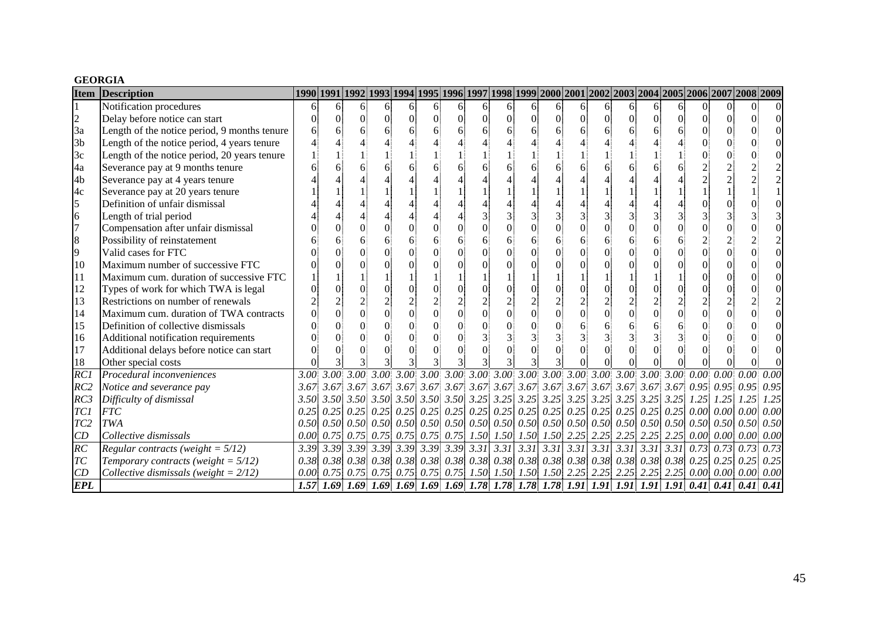#### **GEORGIA**

| <b>Item</b>     | <b>Description</b>                           | 1990 1991 1992 1993 1994 1995 1996 1997 1998 1999 2000 2001 2002 2003 2004 2005 2006 2007 2008 2009 |    |    |                |          |                |          |          |          |          |                |                 |                |                                                                                                          |                |          |                                                                                                                                                    |                        |      |
|-----------------|----------------------------------------------|-----------------------------------------------------------------------------------------------------|----|----|----------------|----------|----------------|----------|----------|----------|----------|----------------|-----------------|----------------|----------------------------------------------------------------------------------------------------------|----------------|----------|----------------------------------------------------------------------------------------------------------------------------------------------------|------------------------|------|
|                 | Notification procedures                      | 6                                                                                                   | 61 | 6. | 6              | 6.       | 6              | 61       | 6        | 61       | 6.       | 6              | 61              | 6              | 6                                                                                                        | 6.             | 61       | $\Omega$                                                                                                                                           |                        |      |
| $\overline{c}$  | Delay before notice can start                |                                                                                                     | 0  | 0l | $\overline{0}$ | $\Omega$ | $\Omega$       | $\Omega$ | $\Omega$ | $\Omega$ | $\Omega$ | $\Omega$       | $\vert 0 \vert$ | $\overline{0}$ | $\Omega$                                                                                                 | $\Omega$       | $\Omega$ |                                                                                                                                                    | 0                      |      |
| 3a              | Length of the notice period, 9 months tenure |                                                                                                     |    |    | 6              |          | 6              |          |          |          |          | 6              |                 |                |                                                                                                          | 6              |          |                                                                                                                                                    |                        |      |
| 3 <sub>b</sub>  | Length of the notice period, 4 years tenure  |                                                                                                     |    |    |                |          |                |          |          |          |          |                |                 |                |                                                                                                          |                |          |                                                                                                                                                    |                        |      |
| 3c              | Length of the notice period, 20 years tenure |                                                                                                     |    |    |                |          |                |          |          |          |          |                |                 |                |                                                                                                          |                |          |                                                                                                                                                    |                        |      |
| 4a              | Severance pay at 9 months tenure             |                                                                                                     |    |    |                |          |                |          |          |          |          |                |                 |                |                                                                                                          |                |          |                                                                                                                                                    |                        |      |
| 4 <sub>b</sub>  | Severance pay at 4 years tenure              |                                                                                                     |    |    |                |          |                |          |          |          |          |                |                 |                |                                                                                                          |                |          |                                                                                                                                                    |                        |      |
| 4c              | Severance pay at 20 years tenure             |                                                                                                     |    |    |                |          |                |          |          |          |          |                |                 |                |                                                                                                          |                |          |                                                                                                                                                    |                        |      |
| 5               | Definition of unfair dismissal               |                                                                                                     |    |    |                |          |                |          |          |          |          |                |                 |                |                                                                                                          |                |          |                                                                                                                                                    |                        |      |
| 6               | Length of trial period                       |                                                                                                     |    |    |                |          |                |          |          |          |          |                |                 | 3              |                                                                                                          | $\overline{3}$ |          |                                                                                                                                                    |                        |      |
| $\overline{7}$  | Compensation after unfair dismissal          |                                                                                                     |    |    |                |          | $\Omega$       | $\Omega$ |          |          |          | $\Omega$       |                 | $\Omega$       |                                                                                                          | $\overline{0}$ |          |                                                                                                                                                    |                        |      |
| 8               | Possibility of reinstatement                 |                                                                                                     |    |    |                |          | 6              |          | 6        |          |          | 6              | 6               | 6              |                                                                                                          | 6              |          |                                                                                                                                                    |                        |      |
| 9               | Valid cases for FTC                          |                                                                                                     |    |    |                |          | $\Omega$       |          |          |          |          |                |                 |                |                                                                                                          | $\overline{0}$ |          |                                                                                                                                                    |                        |      |
| 10              | Maximum number of successive FTC             |                                                                                                     |    |    |                |          |                |          |          |          |          |                |                 |                |                                                                                                          | $\Omega$       |          |                                                                                                                                                    |                        |      |
| 11              | Maximum cum. duration of successive FTC      |                                                                                                     |    |    |                |          |                |          |          |          |          |                |                 |                |                                                                                                          |                |          |                                                                                                                                                    |                        |      |
| 12              | Types of work for which TWA is legal         |                                                                                                     |    |    | $\theta$       |          | $\Omega$       | $\Omega$ |          |          |          |                |                 | $\Omega$       |                                                                                                          | $\overline{0}$ |          |                                                                                                                                                    |                        |      |
| 13              | Restrictions on number of renewals           |                                                                                                     |    |    |                |          |                |          |          |          |          |                |                 | $\overline{2}$ |                                                                                                          | $\overline{2}$ |          |                                                                                                                                                    |                        |      |
| 14              | Maximum cum. duration of TWA contracts       |                                                                                                     |    |    | $\overline{0}$ |          | $\overline{0}$ | $\Omega$ | $\Omega$ |          |          | $\overline{0}$ | $\overline{0}$  | $\overline{0}$ |                                                                                                          | $\overline{0}$ |          |                                                                                                                                                    |                        |      |
| 15              | Definition of collective dismissals          |                                                                                                     |    |    |                |          |                | $\Omega$ |          |          |          |                |                 |                |                                                                                                          | 6              |          |                                                                                                                                                    |                        |      |
| 16              | Additional notification requirements         |                                                                                                     |    |    |                |          | $\Omega$       | $\Omega$ |          |          |          | 3              |                 | 3              |                                                                                                          |                |          |                                                                                                                                                    |                        |      |
| 17              | Additional delays before notice can start    |                                                                                                     |    |    |                |          |                |          |          |          |          |                |                 | $\Omega$       |                                                                                                          | $\Omega$       |          |                                                                                                                                                    |                        |      |
| 18              | Other special costs                          |                                                                                                     |    |    |                |          |                |          |          |          |          |                |                 |                |                                                                                                          |                |          |                                                                                                                                                    |                        |      |
| RC              | Procedural inconveniences                    | 3.00 <sup>1</sup>                                                                                   |    |    |                |          |                |          |          |          |          |                |                 |                |                                                                                                          |                |          |                                                                                                                                                    |                        |      |
| RC2             | Notice and severance pay                     |                                                                                                     |    |    |                |          |                |          |          |          |          |                |                 |                |                                                                                                          |                |          |                                                                                                                                                    |                        |      |
| RC3             | Difficulty of dismissal                      |                                                                                                     |    |    |                |          |                |          |          |          |          |                |                 |                |                                                                                                          |                |          |                                                                                                                                                    |                        | 1.25 |
| TC1             | <b>FTC</b>                                   |                                                                                                     |    |    |                |          |                |          |          |          |          |                |                 |                |                                                                                                          |                |          | $(0.25\,0.25\,0.25\,0.25\,0.25\,0.25\,0.25\,0.25\,0.25\,0.25\,0.25\,0.25\,0.25\,0.25\,0.25\,0.25\,0.25\,0.25\,0.00\,0.00\,0.00\,0.00$              |                        | 0.00 |
| TC <sub>2</sub> | TWA                                          |                                                                                                     |    |    |                |          |                |          |          |          |          |                |                 |                |                                                                                                          |                |          |                                                                                                                                                    |                        | 0.50 |
| CD              | Collective dismissals                        | 0.00                                                                                                |    |    |                |          |                |          |          |          |          |                |                 |                | $0.75$ $0.75$ $0.75$ $0.75$ $0.75$ $0.75$ $1.50$ $1.50$ $1.50$ $1.50$ $2.25$ $2.25$ $2.25$ $2.25$ $2.25$ |                |          |                                                                                                                                                    | $0.00 \, 0.00 \, 0.00$ | 0.00 |
| RC              | Regular contracts (weight = $5/12$ )         |                                                                                                     |    |    |                |          |                |          |          |          |          |                |                 |                |                                                                                                          |                |          |                                                                                                                                                    | $0.73$ 0.73 0.73       | 0.73 |
| TC              | Temporary contracts (weight = $5/12$ )       |                                                                                                     |    |    |                |          |                |          |          |          |          |                |                 |                |                                                                                                          |                |          | $0.38$ $0.38$ $0.38$ $0.38$ $0.38$ $0.38$ $0.38$ $0.38$ $0.38$ $0.38$ $0.38$ $0.38$ $0.38$ $0.38$ $0.38$ $0.38$ $0.38$ $0.25$ $0.25$ $0.25$ $0.25$ |                        |      |
| CD              | Collective dismissals (weight = $2/12$ )     | 0.00                                                                                                |    |    |                |          |                |          |          |          |          |                |                 |                |                                                                                                          |                |          | $0.75$ $0.75$ $0.75$ $0.75$ $0.75$ $0.75$ $1.50$ $1.50$ $1.50$ $1.50$ $2.25$ $2.25$ $2.25$ $2.25$ $2.25$ $0.00$ $0.00$ $0.00$ $0.00$ $0.00$        |                        |      |
| <b>EPL</b>      |                                              |                                                                                                     |    |    |                |          |                |          |          |          |          |                |                 |                |                                                                                                          |                |          | 1.57 1.69 1.69 1.69 1.69 1.69 1.69 1.69 1.78 1.78 1.78 1.78 1.78 1.91 1.91 1.91 1.91 0.41 0.41 0.41 0.41 0.41                                      |                        |      |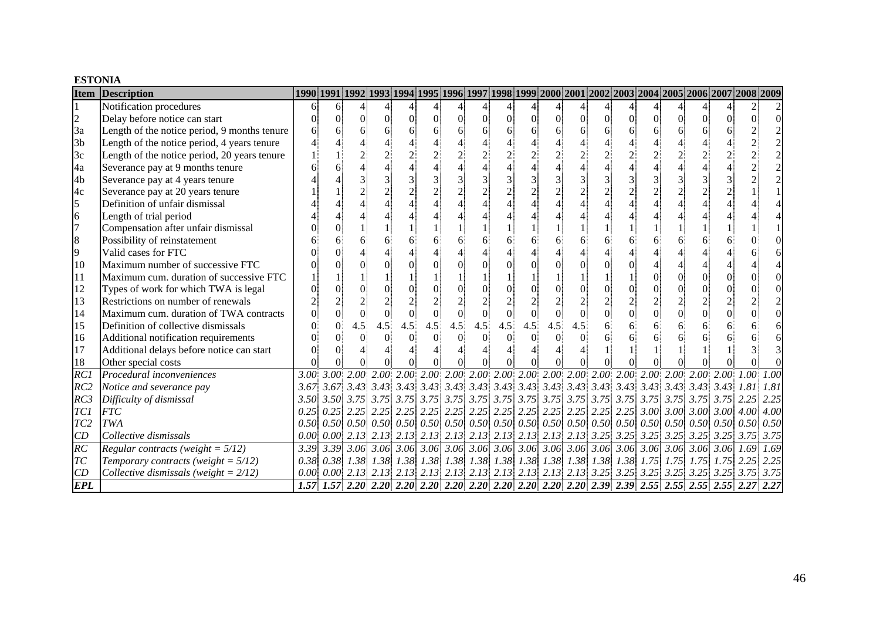#### **ESTONIA**

| <b>Item</b>     | Description                                  |      |    |     |                |          |                |          |          |          |     |          |                |                |                |                |                      |          | 1990 1991 1992 1993 1994 1995 1996 1997 1998 1999 2000 2001 2002 2003 2004 2005 2006 2007 2008 2009 |      |
|-----------------|----------------------------------------------|------|----|-----|----------------|----------|----------------|----------|----------|----------|-----|----------|----------------|----------------|----------------|----------------|----------------------|----------|-----------------------------------------------------------------------------------------------------|------|
|                 | Notification procedures                      | 6    | 61 |     |                |          |                |          |          |          |     |          |                |                |                |                |                      |          |                                                                                                     |      |
| $\overline{c}$  | Delay before notice can start                |      |    | 0   | $\overline{0}$ | $\Omega$ | $\Omega$       | $\Omega$ | $\Omega$ | $\Omega$ | 0   | $\Omega$ | $\Omega$       | $\Omega$       | $\Omega$       | $\Omega$       | $\Omega$             | $\Omega$ |                                                                                                     |      |
| 3a              | Length of the notice period, 9 months tenure |      |    |     |                |          | 6              |          |          |          |     | 6        |                | 6              |                | 6              |                      |          |                                                                                                     |      |
| 3 <sub>b</sub>  | Length of the notice period, 4 years tenure  |      |    |     |                |          |                |          |          |          |     |          |                |                |                |                |                      |          |                                                                                                     |      |
| 3c              | Length of the notice period, 20 years tenure |      |    |     |                |          |                |          |          |          |     |          |                |                |                |                |                      |          |                                                                                                     |      |
| 4a              | Severance pay at 9 months tenure             |      |    |     |                |          |                |          |          |          |     |          |                |                |                |                |                      |          |                                                                                                     |      |
| 4 <sub>b</sub>  | Severance pay at 4 years tenure              |      |    |     |                |          |                |          |          |          |     |          |                |                |                |                |                      |          |                                                                                                     |      |
| 4c              | Severance pay at 20 years tenure             |      |    |     |                |          | $\overline{2}$ |          | $\gamma$ |          |     |          |                | $\overline{c}$ | $\overline{2}$ | $\overline{2}$ |                      |          |                                                                                                     |      |
| 5               | Definition of unfair dismissal               |      |    |     |                |          |                |          |          |          |     |          |                |                |                |                |                      |          |                                                                                                     |      |
| 6               | Length of trial period                       |      |    |     |                |          |                |          |          |          |     |          |                |                |                |                |                      |          |                                                                                                     |      |
| $\overline{7}$  | Compensation after unfair dismissal          |      |    |     |                |          |                |          |          |          |     |          |                |                |                |                |                      |          |                                                                                                     |      |
| 8               | Possibility of reinstatement                 |      |    |     |                |          |                |          |          |          |     | 6        |                |                |                | 6              |                      |          |                                                                                                     |      |
| 9               | Valid cases for FTC                          |      |    |     |                |          |                |          |          |          |     |          |                |                |                |                |                      |          |                                                                                                     |      |
| 10              | Maximum number of successive FTC             |      |    |     |                |          |                |          |          |          |     |          |                |                |                |                |                      |          |                                                                                                     |      |
| 11              | Maximum cum. duration of successive FTC      |      |    |     |                |          |                |          |          |          |     |          |                |                |                | $\Omega$       |                      |          |                                                                                                     |      |
| 12              | Types of work for which TWA is legal         |      |    |     |                |          |                |          |          |          |     |          |                |                |                | $\Omega$       |                      |          |                                                                                                     |      |
| 13              | Restrictions on number of renewals           |      |    |     |                |          |                |          |          |          |     |          |                |                |                | $\overline{2}$ |                      |          |                                                                                                     |      |
| 14              | Maximum cum. duration of TWA contracts       |      |    |     |                | $\Omega$ |                | $\Omega$ | $\theta$ |          |     | $\Omega$ | $\overline{0}$ | $\Omega$       | $\overline{0}$ | $\overline{0}$ |                      |          |                                                                                                     |      |
| 15              | Definition of collective dismissals          |      |    | 4.5 | 4.5            | 4.5      | 4.5            | 4.5      | 4.5      | 4.5      | 4.5 | 4.5      | 4.5            |                |                | 6              |                      |          |                                                                                                     |      |
| 16              | Additional notification requirements         |      |    |     |                |          |                | $\Omega$ |          |          |     |          |                |                |                |                |                      |          |                                                                                                     |      |
| 17              | Additional delays before notice can start    |      |    |     |                |          |                |          |          |          |     |          |                |                |                |                |                      |          |                                                                                                     |      |
| 18              | Other special costs                          |      |    |     |                |          |                |          |          |          |     |          |                |                |                |                |                      |          |                                                                                                     |      |
| RC              | Procedural inconveniences                    | 3.00 |    |     |                |          |                |          |          |          |     |          |                |                |                |                |                      |          |                                                                                                     | 1.00 |
| RC2             | Notice and severance pay                     |      |    |     |                |          |                |          |          |          |     |          |                |                |                |                |                      |          |                                                                                                     | 1.81 |
| RC3             | Difficulty of dismissal                      |      |    |     |                |          |                |          |          |          |     |          |                |                |                |                |                      |          |                                                                                                     | 2.25 |
| <b>TC1</b>      | <b>FTC</b>                                   |      |    |     |                |          |                |          |          |          |     |          |                |                |                |                |                      |          |                                                                                                     | 4.00 |
| TC <sub>2</sub> | TWA                                          |      |    |     |                |          |                |          |          |          |     |          |                |                |                |                |                      |          |                                                                                                     | 0.50 |
| CD              | Collective dismissals                        | 0.00 |    |     |                |          |                |          |          |          |     |          |                |                |                |                |                      |          |                                                                                                     | 3.75 |
| $\overline{RC}$ | Regular contracts (weight = $5/12$ )         |      |    |     |                |          |                |          |          |          |     |          |                |                |                |                |                      |          |                                                                                                     | 1.69 |
| TC              | Temporary contracts (weight = $5/12$ )       |      |    |     |                |          |                |          |          |          |     |          |                |                |                |                | $1.38$ $1.75$ $1.75$ |          | $1.75$ $1.75$ $2.25$ $2.25$                                                                         |      |
| CD              | Collective dismissals (weight = $2/12$ )     | 0.00 |    |     |                |          |                |          |          |          |     |          |                |                |                |                |                      |          |                                                                                                     |      |
| <b>EPL</b>      |                                              |      |    |     |                |          |                |          |          |          |     |          |                |                |                |                |                      |          |                                                                                                     |      |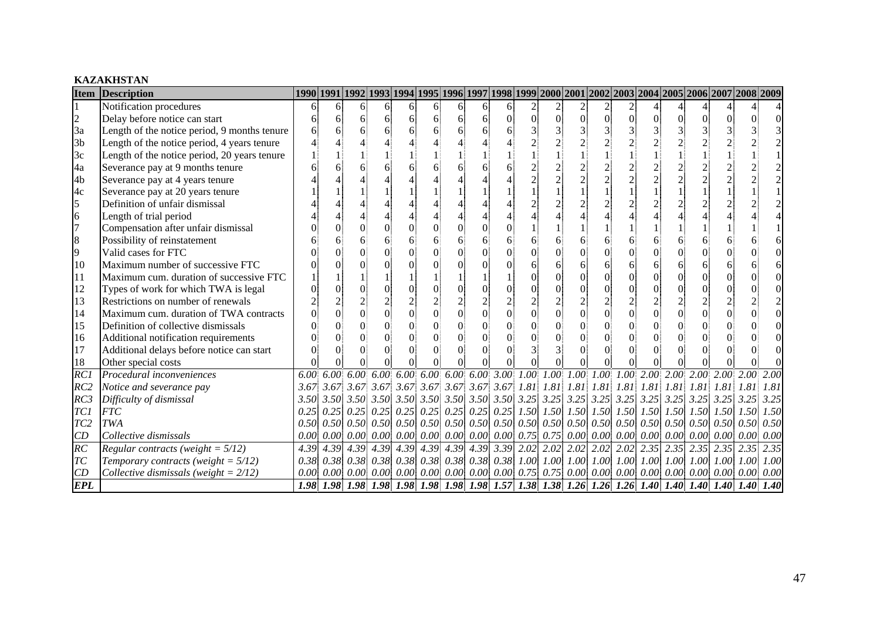### **KAZAKHSTAN**

| <b>Item</b>     | <b>Description</b>                           |      |      |                                                                                                                                                                            |                |    |                |          |                |               |                |                       |                |                                                                                                                                                          |                |   |                                      |                      | 1990 1991 1992 1993 1994 1995 1996 1997 1998 1999 2000 2001 2002 2003 2004 2005 2006 2007 2008 2009                                                                                                                                                                                                                                                                              |             |
|-----------------|----------------------------------------------|------|------|----------------------------------------------------------------------------------------------------------------------------------------------------------------------------|----------------|----|----------------|----------|----------------|---------------|----------------|-----------------------|----------------|----------------------------------------------------------------------------------------------------------------------------------------------------------|----------------|---|--------------------------------------|----------------------|----------------------------------------------------------------------------------------------------------------------------------------------------------------------------------------------------------------------------------------------------------------------------------------------------------------------------------------------------------------------------------|-------------|
|                 | Notification procedures                      | 61   | 6    | 61                                                                                                                                                                         | $\vert$        | 61 | 6              | 6        | $\vert$ 6      | 61            |                |                       |                | 2                                                                                                                                                        |                |   |                                      |                      |                                                                                                                                                                                                                                                                                                                                                                                  |             |
| $\overline{c}$  | Delay before notice can start                |      | 6    | 61                                                                                                                                                                         | 6              | 61 | 6              | 6        | 6              |               | $\overline{0}$ | $\overline{0}$        | $\overline{0}$ | $\vert 0 \vert$                                                                                                                                          | $\Omega$       | 0 |                                      |                      |                                                                                                                                                                                                                                                                                                                                                                                  |             |
| 3a              | Length of the notice period, 9 months tenure |      |      | 6                                                                                                                                                                          | 6              |    | 6              | 6        | 6              |               |                |                       |                |                                                                                                                                                          |                |   |                                      |                      |                                                                                                                                                                                                                                                                                                                                                                                  |             |
| 3 <sub>b</sub>  | Length of the notice period, 4 years tenure  |      |      |                                                                                                                                                                            |                |    |                |          |                |               |                |                       |                |                                                                                                                                                          |                |   |                                      |                      |                                                                                                                                                                                                                                                                                                                                                                                  |             |
| 3c              | Length of the notice period, 20 years tenure |      |      |                                                                                                                                                                            |                |    |                |          |                |               |                |                       |                |                                                                                                                                                          |                |   |                                      |                      |                                                                                                                                                                                                                                                                                                                                                                                  |             |
| 4a              | Severance pay at 9 months tenure             |      |      |                                                                                                                                                                            | 6              |    |                |          |                |               |                |                       |                |                                                                                                                                                          |                |   |                                      |                      |                                                                                                                                                                                                                                                                                                                                                                                  |             |
| 4b              | Severance pay at 4 years tenure              |      |      |                                                                                                                                                                            |                |    |                |          |                |               |                |                       |                |                                                                                                                                                          |                |   |                                      |                      |                                                                                                                                                                                                                                                                                                                                                                                  |             |
| 4c              | Severance pay at 20 years tenure             |      |      |                                                                                                                                                                            |                |    |                |          |                |               |                |                       |                |                                                                                                                                                          |                |   |                                      |                      |                                                                                                                                                                                                                                                                                                                                                                                  |             |
| 5               | Definition of unfair dismissal               |      |      |                                                                                                                                                                            |                |    |                |          |                |               |                |                       |                |                                                                                                                                                          |                |   |                                      |                      |                                                                                                                                                                                                                                                                                                                                                                                  |             |
| $\overline{6}$  | Length of trial period                       |      |      |                                                                                                                                                                            |                |    |                |          | $\Delta$       |               |                |                       |                |                                                                                                                                                          |                |   |                                      |                      |                                                                                                                                                                                                                                                                                                                                                                                  |             |
| $\overline{7}$  | Compensation after unfair dismissal          |      |      |                                                                                                                                                                            |                |    | $\Omega$       | $\Omega$ | $\Omega$       |               |                |                       |                |                                                                                                                                                          |                |   |                                      |                      |                                                                                                                                                                                                                                                                                                                                                                                  |             |
| 8               | Possibility of reinstatement                 |      |      |                                                                                                                                                                            | 6              |    | 6              | 6        | 6              |               | 6              |                       |                |                                                                                                                                                          | 6              |   |                                      |                      |                                                                                                                                                                                                                                                                                                                                                                                  |             |
| 9               | Valid cases for FTC                          |      |      |                                                                                                                                                                            |                |    | $\theta$       | $\Omega$ | $\theta$       |               | 0              |                       |                |                                                                                                                                                          | $\Omega$       |   |                                      |                      |                                                                                                                                                                                                                                                                                                                                                                                  |             |
| 10              | Maximum number of successive FTC             |      |      |                                                                                                                                                                            |                |    | $\Omega$       |          |                |               | 6              |                       | б              | 6                                                                                                                                                        | 6              |   |                                      |                      |                                                                                                                                                                                                                                                                                                                                                                                  |             |
| 11              | Maximum cum. duration of successive FTC      |      |      |                                                                                                                                                                            |                |    |                |          |                |               | 0              |                       | $\Omega$       | $\Omega$                                                                                                                                                 | $\overline{0}$ |   |                                      |                      |                                                                                                                                                                                                                                                                                                                                                                                  |             |
| 12              | Types of work for which TWA is legal         |      |      | $\Omega$                                                                                                                                                                   | $\Omega$       |    | $\Omega$       | $\Omega$ | $\theta$       |               |                |                       | $\overline{0}$ |                                                                                                                                                          | $\overline{0}$ |   |                                      |                      |                                                                                                                                                                                                                                                                                                                                                                                  |             |
| 13              | Restrictions on number of renewals           |      |      |                                                                                                                                                                            | $\overline{c}$ |    | $\overline{2}$ |          | $\overline{2}$ |               |                |                       |                |                                                                                                                                                          |                |   |                                      |                      |                                                                                                                                                                                                                                                                                                                                                                                  |             |
| 14              | Maximum cum. duration of TWA contracts       |      |      | $\Omega$                                                                                                                                                                   | $\overline{0}$ |    | $\overline{0}$ | $\theta$ | $\overline{0}$ |               | $\overline{0}$ |                       | $\overline{0}$ |                                                                                                                                                          | $\overline{0}$ |   |                                      |                      |                                                                                                                                                                                                                                                                                                                                                                                  |             |
| 15              | Definition of collective dismissals          |      |      |                                                                                                                                                                            |                |    | $\Omega$       | $\Omega$ |                |               |                |                       |                |                                                                                                                                                          | $\Omega$       |   |                                      |                      |                                                                                                                                                                                                                                                                                                                                                                                  |             |
| 16              | Additional notification requirements         |      |      |                                                                                                                                                                            |                |    | $\Omega$       | $\Omega$ |                |               |                |                       |                |                                                                                                                                                          | $\Omega$       |   |                                      |                      |                                                                                                                                                                                                                                                                                                                                                                                  |             |
| 17              | Additional delays before notice can start    |      |      |                                                                                                                                                                            |                |    | $\Omega$       | $\Omega$ |                |               |                |                       |                |                                                                                                                                                          | $\Omega$       |   |                                      |                      |                                                                                                                                                                                                                                                                                                                                                                                  |             |
| 18              | Other special costs                          |      |      |                                                                                                                                                                            |                |    |                |          |                |               |                |                       |                |                                                                                                                                                          |                |   |                                      |                      |                                                                                                                                                                                                                                                                                                                                                                                  |             |
| $\overline{RC}$ | Procedural inconveniences                    | 6.00 |      |                                                                                                                                                                            |                |    |                |          |                |               |                |                       |                |                                                                                                                                                          |                |   |                                      |                      | $6.00$ $6.00$ $6.00$ $6.00$ $6.00$ $6.00$ $6.00$ $3.00$ $1.00$ $1.00$ $1.00$ $1.00$ $1.00$ $2.00$ $2.00$ $2.00$ $2.00$ $2.00$                                                                                                                                                                                                                                                    |             |
| RC2             | Notice and severance pay                     |      |      |                                                                                                                                                                            |                |    |                |          |                |               |                |                       |                |                                                                                                                                                          |                |   |                                      |                      |                                                                                                                                                                                                                                                                                                                                                                                  | 1.81        |
| RC3             | Difficulty of dismissal                      |      |      |                                                                                                                                                                            |                |    |                |          |                |               |                |                       |                |                                                                                                                                                          |                |   |                                      |                      |                                                                                                                                                                                                                                                                                                                                                                                  | 3.25        |
| TC1             | <b>FTC</b>                                   |      |      |                                                                                                                                                                            |                |    |                |          |                |               |                |                       |                |                                                                                                                                                          |                |   |                                      |                      | $0.25\begin{bmatrix} 0.25 \end{bmatrix}$ $0.25\begin{bmatrix} 0.25 \end{bmatrix}$ $0.25\begin{bmatrix} 0.25 \end{bmatrix}$ $0.25\begin{bmatrix} 0.25 \end{bmatrix}$ $0.25\begin{bmatrix} 1.50 \end{bmatrix}$ $1.50\begin{bmatrix} 1.50 \end{bmatrix}$ $1.50\begin{bmatrix} 1.50 \end{bmatrix}$ $1.50\begin{bmatrix} 1.50 \end{bmatrix}$ $1.50\begin{bmatrix} 1.50 \end{bmatrix}$ | 1.50        |
| TC <sub>2</sub> | <b>TWA</b>                                   |      |      |                                                                                                                                                                            |                |    |                |          |                |               |                |                       |                | $0.50\,0.50\,0.50\,0.50\,0.50\,0.50\,0.50\,0.50\,0.50\,0.50\,0.50\,0.50\,0.50\,0.50\,0.50\,0.50\,0.50\,0.50\,0.50\,0.50\,0.50$                           |                |   |                                      |                      |                                                                                                                                                                                                                                                                                                                                                                                  | 0.50        |
| CD              | Collective dismissals                        | 0.00 |      | $[0.00]$ $[0.00]$ $[0.00]$ $[0.00]$ $[0.00]$ $[0.00]$ $[0.00]$ $[0.00]$                                                                                                    |                |    |                |          |                |               |                | $0.75$ 0.75 0.00 0.00 |                |                                                                                                                                                          |                |   | $0.00\,0.00\,0.00\,0.00\,0.00\,0.00$ |                      |                                                                                                                                                                                                                                                                                                                                                                                  | 0.00        |
| $\overline{RC}$ | Regular contracts (weight = $5/12$ )         | 4.39 | 4.39 | 4.39                                                                                                                                                                       | 4.39           |    | 4.39 4.39 4.39 |          |                | $4.39$ $3.39$ |                |                       |                | 2.02 2.02 2.02 2.02 2.02 2.35 2.35                                                                                                                       |                |   |                                      | $2.35$ $2.35$ $2.35$ |                                                                                                                                                                                                                                                                                                                                                                                  | 2.35        |
| T <sub>C</sub>  | Temporary contracts (weight = $5/12$ )       |      |      | $(0.38 \nvert 0.38 \nvert 0.38 \nvert 0.38 \nvert 0.38 \nvert 0.38 \nvert 0.38 \nvert 0.38 \nvert 0.38 \nvert 0.38 \nvert 1.00 \nvert 1.00 \nvert 1.00 \nvert 1.00 \nvert$ |                |    |                |          |                |               |                |                       |                |                                                                                                                                                          |                |   |                                      |                      | 1.00 1.00 1.00 1.00 1.00 1.00                                                                                                                                                                                                                                                                                                                                                    | 1.00        |
| CD              | Collective dismissals (weight = $2/12$ )     | 0.00 |      |                                                                                                                                                                            |                |    |                |          |                |               |                |                       |                | $[0.00]$ $[0.00]$ $[0.00]$ $[0.00]$ $[0.00]$ $[0.00]$ $[0.00]$ $[0.75]$ $[0.75]$ $[0.00]$ $[0.00]$ $[0.00]$ $[0.00]$ $[0.00]$ $[0.00]$ $[0.00]$ $[0.00]$ |                |   |                                      |                      |                                                                                                                                                                                                                                                                                                                                                                                  | 0.00        |
| <b>EPL</b>      |                                              |      |      |                                                                                                                                                                            |                |    |                |          |                |               |                |                       |                |                                                                                                                                                          |                |   |                                      |                      |                                                                                                                                                                                                                                                                                                                                                                                  | <b>1.40</b> |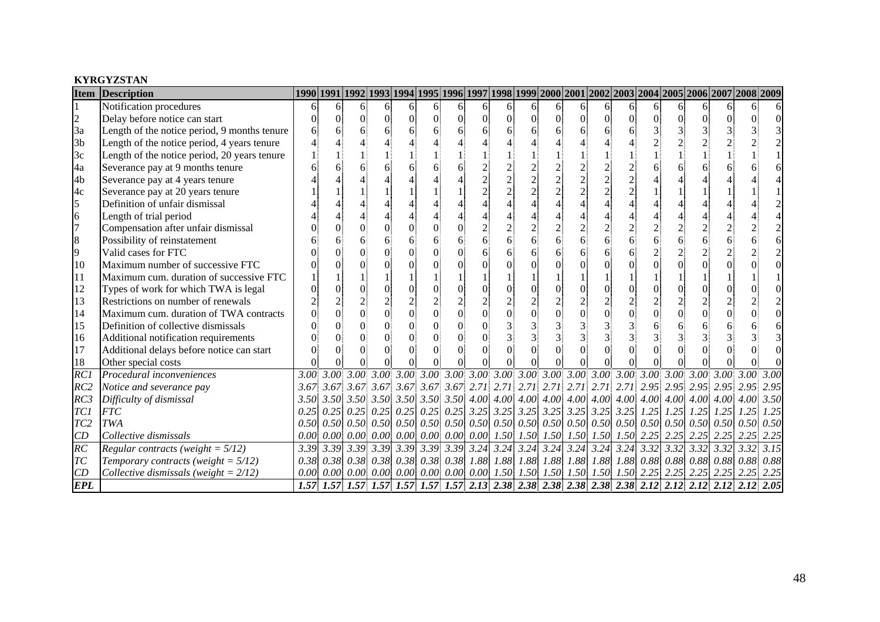#### **KYRGYZSTAN**

| <b>Item</b>     | <b>Description</b>                           |      |      |                        |                |          |                |            |                |    |                                              |          |          |                       |                |           |                                                                                                                                      | 1990 1991 1992 1993 1994 1995 1996 1997 1998 1999 2000 2001 2002 2003 2004 2005 2006 2007 2008 2009 |      |
|-----------------|----------------------------------------------|------|------|------------------------|----------------|----------|----------------|------------|----------------|----|----------------------------------------------|----------|----------|-----------------------|----------------|-----------|--------------------------------------------------------------------------------------------------------------------------------------|-----------------------------------------------------------------------------------------------------|------|
|                 | Notification procedures                      | 61   | 6    | 6.                     | 6              | 6        | 6              | $\sqrt{6}$ | 6 <sup>1</sup> | 6. | 61                                           | 6        | 6        | 6                     | 6              | 6         | 6                                                                                                                                    |                                                                                                     |      |
| $\overline{c}$  | Delay before notice can start                |      |      |                        | $\Omega$       | $\Omega$ | $\theta$       | $\Omega$   | $\Omega$       | 0  |                                              | $\Omega$ | $\Omega$ | $\Omega$              | $\Omega$       | $\Omega$  |                                                                                                                                      |                                                                                                     |      |
| 3a              | Length of the notice period, 9 months tenure |      |      |                        | 6              |          |                |            |                |    |                                              |          |          |                       | 3              |           |                                                                                                                                      |                                                                                                     |      |
| 3 <sub>b</sub>  | Length of the notice period, 4 years tenure  |      |      |                        |                |          |                |            |                |    |                                              |          |          |                       |                |           |                                                                                                                                      |                                                                                                     |      |
| 3c              | Length of the notice period, 20 years tenure |      |      |                        |                |          |                |            |                |    |                                              |          |          |                       |                |           |                                                                                                                                      |                                                                                                     |      |
| 4a              | Severance pay at 9 months tenure             |      |      |                        |                |          |                |            |                |    |                                              |          |          |                       |                |           |                                                                                                                                      |                                                                                                     |      |
| 4b              | Severance pay at 4 years tenure              |      |      |                        |                |          |                |            |                |    |                                              |          |          |                       |                |           |                                                                                                                                      |                                                                                                     |      |
| 4c              | Severance pay at 20 years tenure             |      |      |                        |                |          |                |            |                |    |                                              |          |          |                       |                |           |                                                                                                                                      |                                                                                                     |      |
| 5               | Definition of unfair dismissal               |      |      |                        |                |          |                |            |                |    |                                              |          |          |                       |                |           |                                                                                                                                      |                                                                                                     |      |
| $\overline{6}$  | Length of trial period                       |      |      |                        |                |          |                |            |                |    |                                              |          |          |                       |                |           |                                                                                                                                      |                                                                                                     |      |
| $\overline{7}$  | Compensation after unfair dismissal          |      |      |                        |                |          | $\Omega$       |            |                |    |                                              |          |          |                       |                |           |                                                                                                                                      |                                                                                                     |      |
| 8               | Possibility of reinstatement                 |      |      |                        | 6              |          |                |            |                |    |                                              |          |          |                       |                |           |                                                                                                                                      |                                                                                                     |      |
| 9               | Valid cases for FTC                          |      |      |                        |                |          | $\Omega$       |            |                |    |                                              |          |          |                       | $\overline{2}$ |           |                                                                                                                                      |                                                                                                     |      |
| 10              | Maximum number of successive FTC             |      |      |                        |                |          |                |            |                |    |                                              |          |          |                       | $\overline{0}$ |           |                                                                                                                                      |                                                                                                     |      |
| 11              | Maximum cum. duration of successive FTC      |      |      |                        |                |          |                |            |                |    |                                              |          |          |                       |                |           |                                                                                                                                      |                                                                                                     |      |
| 12              | Types of work for which TWA is legal         |      |      |                        | $\Omega$       |          | $\overline{0}$ |            |                |    |                                              |          |          |                       | $\overline{0}$ |           |                                                                                                                                      |                                                                                                     |      |
| 13              | Restrictions on number of renewals           |      |      |                        | $\overline{c}$ |          | $\overline{2}$ |            | $\overline{2}$ |    |                                              |          |          |                       | $\overline{c}$ |           |                                                                                                                                      |                                                                                                     |      |
| 14              | Maximum cum. duration of TWA contracts       |      |      |                        | $\overline{0}$ |          | $\overline{0}$ |            | $\theta$       |    |                                              |          |          |                       | $\overline{0}$ | $\theta$  |                                                                                                                                      |                                                                                                     |      |
| 15              | Definition of collective dismissals          |      |      |                        |                |          | $\Omega$       |            |                |    |                                              |          |          |                       | 6              |           |                                                                                                                                      |                                                                                                     |      |
| 16              | Additional notification requirements         |      |      |                        |                |          | $\Omega$       |            |                |    |                                              |          |          |                       | $\mathcal{R}$  |           |                                                                                                                                      |                                                                                                     |      |
| 17              | Additional delays before notice can start    |      |      |                        |                |          | $\Omega$       |            | $\Omega$       |    |                                              |          |          |                       | $\Omega$       |           |                                                                                                                                      |                                                                                                     |      |
| 18              | Other special costs                          |      |      |                        |                |          |                |            |                |    |                                              |          |          |                       |                |           |                                                                                                                                      |                                                                                                     |      |
| $\overline{RC}$ | Procedural inconveniences                    | 3.00 |      |                        |                |          |                |            |                |    |                                              |          |          |                       |                |           |                                                                                                                                      |                                                                                                     |      |
| RC2             | Notice and severance pay                     |      |      |                        |                |          |                |            |                |    |                                              |          |          |                       |                |           |                                                                                                                                      |                                                                                                     |      |
| RC3             | Difficulty of dismissal                      |      |      |                        |                |          |                |            |                |    |                                              |          |          |                       |                |           |                                                                                                                                      |                                                                                                     | 3.50 |
| TC1             | <b>FTC</b>                                   | 0.25 | 0.25 |                        |                |          |                |            |                |    |                                              |          |          |                       |                |           | $1.25$ $1.25$ $1.25$ $1.25$                                                                                                          | 1.25                                                                                                | 1.25 |
| TC <sub>2</sub> | <b>TWA</b>                                   | 0.50 |      |                        |                |          |                |            |                |    |                                              |          |          |                       |                |           | $0.50\,0.50\,0.50\,0.50\,0.50\,0.50\,0.50\,0.50\,0.50\,0.50\,0.50\,0.50\,0.50\,0.50\,0.50\,0.50\,0.50\,0.50$                         | 0.50                                                                                                | 0.50 |
| CD              | Collective dismissals                        | 0.00 |      | 0.00 0.00              | 0.00           |          |                |            |                |    |                                              |          |          |                       |                |           |                                                                                                                                      | $2.25$ $2.25$ $2.25$                                                                                |      |
| $\overline{RC}$ | Regular contracts (weight = $5/12$ )         | 3.39 | 3.39 | 3.39                   |                |          |                |            |                |    | 3.39 3.39 3.39 3.39 3.24 3.24 3.24 3.24 3.24 |          |          | $3.24 \mid 3.24 \mid$ |                | 3.32 3.32 | 3.32                                                                                                                                 | 3.32 3.32                                                                                           | 3.15 |
| T <sub>C</sub>  | Temporary contracts (weight = $5/12$ )       | 0.38 |      |                        |                |          |                |            |                |    |                                              |          |          |                       |                |           | $(0.38\,0.38\,0.38\,0.38\,0.38\,0.38\,0.38\,0.38\,0.38\,1.88\,1.88\,1.88\,1.88\,1.88\,1.88\,0.8\,0.88\,0.88\,0.88\,0.88\,0.88\,0.88$ | 0.88                                                                                                | 0.88 |
| CD              | Collective dismissals (weight = $2/12$ )     | 0.00 |      | $0.00 \, 0.00 \, 0.00$ |                |          |                |            |                |    |                                              |          |          |                       |                |           | $0.00$ $0.00$ $0.00$ $0.00$ $1.50$ $1.50$ $1.50$ $1.50$ $1.50$ $1.50$ $1.50$ $2.25$ $2.25$ $2.25$ $2.25$                             | $2.25$ 2.25                                                                                         |      |
| <b>EPL</b>      |                                              |      |      |                        |                |          |                |            |                |    |                                              |          |          |                       |                |           |                                                                                                                                      | 1.57 1.57 1.57 1.57 1.57 1.57 1.57 2.13 2.38 2.38 2.38 2.38 2.38 2.38 2.12 2.12 2.12 2.12 2.12 2.12 |      |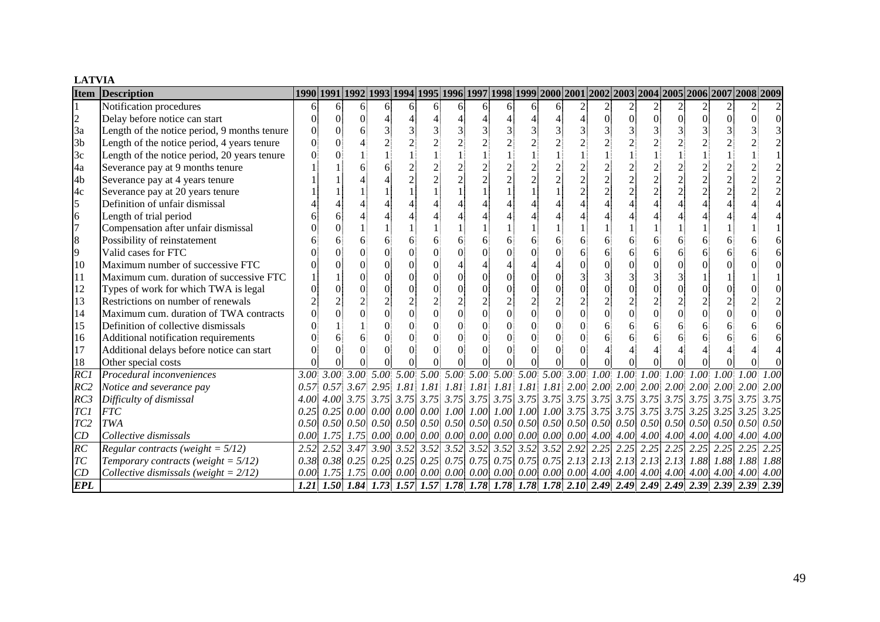#### **LATVIA**

| <b>Item</b>      | <b>Description</b>                           |      |          |          |                |          |                                    |          |                |   |                                       |                |                |           |                |          | 1990   1991   1992   1993   1994   1995   1996   1997   1998   1999   2000   2001   2002   2003   2004   2005   2006   2007   2008   2009   2009          |  |      |
|------------------|----------------------------------------------|------|----------|----------|----------------|----------|------------------------------------|----------|----------------|---|---------------------------------------|----------------|----------------|-----------|----------------|----------|-----------------------------------------------------------------------------------------------------------------------------------------------------------|--|------|
|                  | Notification procedures                      |      | 6        | 6        | 6              | 6        | 61                                 | 6        | 6              | 6 | 6                                     |                |                |           |                |          |                                                                                                                                                           |  |      |
| $\overline{c}$   | Delay before notice can start                |      | $\Omega$ | $\Omega$ |                |          |                                    |          |                |   |                                       |                | $\overline{0}$ | $\Omega$  | $\overline{0}$ | $\Omega$ | $\Omega$                                                                                                                                                  |  |      |
| 3a               | Length of the notice period, 9 months tenure |      | $\Omega$ |          |                |          |                                    |          |                |   |                                       |                |                |           |                |          |                                                                                                                                                           |  |      |
| 3 <sub>b</sub>   | Length of the notice period, 4 years tenure  |      |          |          |                |          |                                    |          |                |   |                                       |                |                |           |                |          |                                                                                                                                                           |  |      |
| 3c               | Length of the notice period, 20 years tenure |      |          |          |                |          |                                    |          |                |   |                                       |                |                |           |                |          |                                                                                                                                                           |  |      |
| 4a               | Severance pay at 9 months tenure             |      |          |          |                |          |                                    |          |                |   |                                       |                |                |           |                |          |                                                                                                                                                           |  |      |
| 4 <sub>b</sub>   | Severance pay at 4 years tenure              |      |          |          |                |          |                                    |          |                |   |                                       |                |                |           |                |          |                                                                                                                                                           |  |      |
| 4c               | Severance pay at 20 years tenure             |      |          |          |                |          |                                    |          |                |   |                                       |                | $\overline{2}$ |           | $\overline{2}$ |          |                                                                                                                                                           |  |      |
| 5                | Definition of unfair dismissal               |      |          |          |                |          |                                    |          |                |   |                                       |                |                |           |                |          |                                                                                                                                                           |  |      |
| 6                | Length of trial period                       |      |          |          |                |          |                                    |          |                |   |                                       |                |                |           |                |          |                                                                                                                                                           |  |      |
| $\overline{7}$   | Compensation after unfair dismissal          |      |          |          |                |          |                                    |          |                |   |                                       |                |                |           |                |          |                                                                                                                                                           |  |      |
| 8                | Possibility of reinstatement                 |      |          |          |                |          |                                    |          | 6              |   |                                       |                | 6              |           | 6              |          |                                                                                                                                                           |  |      |
| 9                | Valid cases for FTC                          |      |          |          |                |          |                                    |          |                |   |                                       |                |                |           | 6              | 6        |                                                                                                                                                           |  |      |
| 10               | Maximum number of successive FTC             |      |          |          |                |          |                                    |          |                |   |                                       |                |                |           | $\Omega$       |          |                                                                                                                                                           |  |      |
| 11               | Maximum cum. duration of successive FTC      |      |          |          |                |          | $\Omega$                           | $\Omega$ | $\Omega$       |   |                                       |                |                |           |                |          |                                                                                                                                                           |  |      |
| 12               | Types of work for which TWA is legal         |      |          |          | $\Omega$       |          | $\Omega$                           |          | $\Omega$       |   |                                       |                |                |           | $\overline{0}$ |          |                                                                                                                                                           |  |      |
| 13               | Restrictions on number of renewals           |      |          |          | $\overline{c}$ |          |                                    |          |                |   |                                       |                |                |           | $\overline{2}$ |          |                                                                                                                                                           |  |      |
| 14               | Maximum cum. duration of TWA contracts       |      |          |          | $\overline{0}$ |          | $\overline{0}$                     | $\Omega$ | $\overline{0}$ |   |                                       | $\overline{0}$ | $\Omega$       |           | $\overline{0}$ | $\Omega$ |                                                                                                                                                           |  |      |
| 15               | Definition of collective dismissals          |      |          |          |                |          |                                    | $\Omega$ |                |   |                                       |                |                |           | 6              | 6        |                                                                                                                                                           |  |      |
| 16               | Additional notification requirements         |      |          |          |                |          | $\Omega$                           | 0        | $\Omega$       |   |                                       |                |                |           |                |          |                                                                                                                                                           |  |      |
| 17               | Additional delays before notice can start    |      |          |          | $\Omega$       | $\Omega$ | $\Omega$                           | $\Omega$ | $\Omega$       |   |                                       |                |                |           |                |          |                                                                                                                                                           |  |      |
| 18               | Other special costs                          |      |          |          |                |          |                                    |          |                |   |                                       |                |                |           |                |          |                                                                                                                                                           |  |      |
| $\overline{RCI}$ | Procedural inconveniences                    |      |          |          |                |          |                                    |          |                |   |                                       |                |                |           |                |          | $3.00$ $3.00$ $3.00$ $5.00$ $5.00$ $5.00$ $5.00$ $5.00$ $5.00$ $5.00$ $5.00$ $5.00$ $3.00$ $1.00$ $1.00$ $1.00$ $1.00$ $1.00$ $1.00$ $1.00$               |  | 1.00 |
| RC2              | Notice and severance pay                     |      |          |          |                |          |                                    |          |                |   |                                       |                |                |           |                |          | $0.57$ $0.57$ $3.67$ $2.95$ $1.81$ $1.81$ $1.81$ $1.81$ $1.81$ $1.81$ $1.81$ $2.00$ $2.00$ $2.00$ $2.00$ $2.00$ $2.00$ $2.00$ $2.00$                      |  | 2.00 |
| RC3              | Difficulty of dismissal                      |      |          |          |                |          |                                    |          |                |   |                                       |                |                |           |                |          |                                                                                                                                                           |  | 3.75 |
| TC1              | <b>FTC</b>                                   |      |          |          |                |          |                                    |          |                |   |                                       |                |                |           |                |          | $0.25\begin{bmatrix} 0.025 & 0.00 & 0.00 & 0.00 & 0.00 & 1.00 & 1.00 & 1.00 & 1.00 & 1.00 & 3.75 & 3.75 & 3.75 & 3.75 & 3.25 & 3.25 & 3.25 \end{bmatrix}$ |  | 3.25 |
| TC <sub>2</sub>  | TWA                                          |      |          |          |                |          |                                    |          |                |   |                                       |                |                |           |                |          |                                                                                                                                                           |  | 0.50 |
| CD               | Collective dismissals                        | 0.00 | 1.75     |          |                |          | 1.75 0.00 0.00 0.00 0.00 0.00 0.00 |          |                |   | $0.00 \,   \, 0.00 \,   \, 0.00 \,  $ |                |                | 4.00 4.00 |                |          | $4.00\,$ $4.00\,$ $4.00\,$ $4.00\,$ $4.00$                                                                                                                |  | 4.00 |
| $\overline{RC}$  | Regular contracts (weight = $5/12$ )         |      |          |          |                |          |                                    |          |                |   |                                       |                |                |           |                |          |                                                                                                                                                           |  | 2.25 |
| T <sub>C</sub>   | Temporary contracts (weight = $5/12$ )       |      |          |          |                |          |                                    |          |                |   |                                       |                |                |           |                |          | 0.38 0.38 0.25 0.25 0.25 0.25 0.75 0.75 0.75 0.75 0.75 2.13 2.13 2.13 2.13 1.88 1.88 1.88 1.88                                                            |  | 1.88 |
| CD               | Collective dismissals (weight = $2/12$ )     | 0.00 | 1.75     |          |                |          |                                    |          |                |   |                                       |                |                |           |                |          |                                                                                                                                                           |  | 4.00 |
| <b>EPL</b>       |                                              |      |          |          |                |          |                                    |          |                |   |                                       |                |                |           |                |          | 1.21 1.50 1.84 1.73 1.57 1.57 1.78 1.78 1.78 1.78 1.78 2.10 2.49 2.49 2.49 2.49 2.39 2.39 2.39 2.39                                                       |  |      |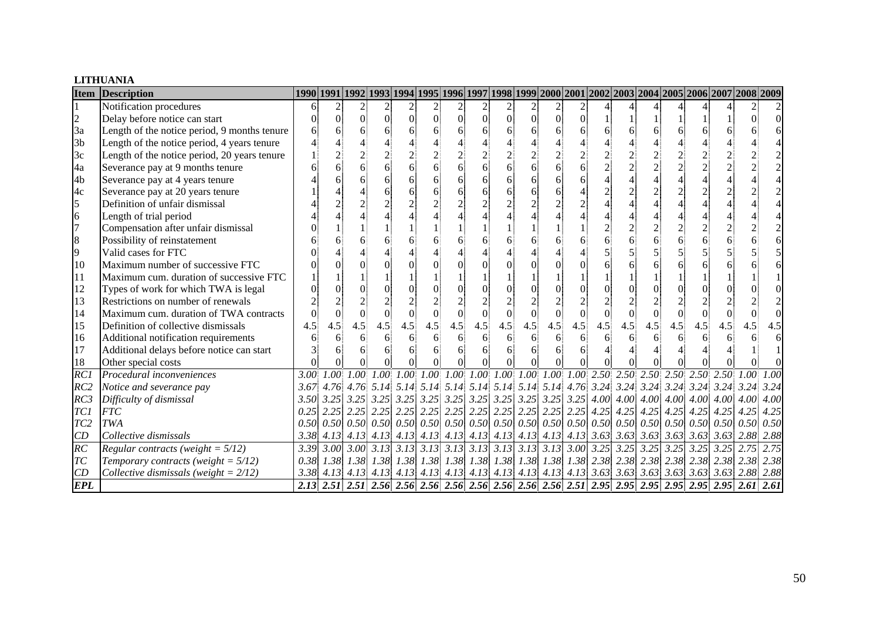#### **LITHUANIA**

| <b>Item</b>     | <b>Description</b>                           | 1990 1991 1992 1993 1994 1995 1996 1997 1998 1999 2000 2001 2002 2003 2004 2005 2006 2007 2008 2009 |      |                |                |                |                 |          |                |          |               |                |                                        |                |     |          |     |     |     |     |      |
|-----------------|----------------------------------------------|-----------------------------------------------------------------------------------------------------|------|----------------|----------------|----------------|-----------------|----------|----------------|----------|---------------|----------------|----------------------------------------|----------------|-----|----------|-----|-----|-----|-----|------|
|                 | Notification procedures                      | 6                                                                                                   |      | $\overline{c}$ |                | $\overline{2}$ | $\overline{2}$  | 2        | $\overline{c}$ |          | $\frac{2}{2}$ |                | $\begin{bmatrix} 2 \\ 0 \end{bmatrix}$ |                |     |          |     |     |     |     |      |
| $\overline{c}$  | Delay before notice can start                |                                                                                                     | 0    | 0              | $\overline{0}$ | $\Omega$       | $\vert 0 \vert$ | $\Omega$ | $\overline{0}$ | $\Omega$ | $\Omega$      | $\overline{0}$ |                                        |                |     |          |     |     |     |     |      |
| 3a              | Length of the notice period, 9 months tenure |                                                                                                     |      |                |                |                | 6               |          |                |          |               | 6              |                                        |                |     | 6        |     |     |     |     |      |
| 3 <sub>b</sub>  | Length of the notice period, 4 years tenure  |                                                                                                     |      |                |                |                |                 |          |                |          |               |                |                                        |                |     |          |     |     |     |     |      |
| 3c              | Length of the notice period, 20 years tenure |                                                                                                     |      |                |                |                |                 |          |                |          |               |                |                                        |                |     |          |     |     |     |     |      |
| 4a              | Severance pay at 9 months tenure             |                                                                                                     |      |                |                |                | 6               |          |                |          |               | 6              |                                        | $\mathcal{L}$  |     |          |     |     |     |     |      |
| 4 <sub>b</sub>  | Severance pay at 4 years tenure              |                                                                                                     |      |                |                |                | 6               |          |                |          |               | 6              |                                        |                |     |          |     |     |     |     |      |
| 4c              | Severance pay at 20 years tenure             |                                                                                                     |      |                |                |                | 6               |          |                |          |               |                |                                        | $\overline{c}$ |     |          |     |     |     |     |      |
| 5               | Definition of unfair dismissal               |                                                                                                     |      |                |                |                |                 |          |                |          |               |                |                                        |                |     |          |     |     |     |     |      |
| 6               | Length of trial period                       |                                                                                                     |      |                |                |                |                 |          |                |          |               |                |                                        |                |     |          |     |     |     |     |      |
| $\overline{7}$  | Compensation after unfair dismissal          |                                                                                                     |      |                |                |                |                 |          |                |          |               |                |                                        |                |     |          |     |     |     |     |      |
| 8               | Possibility of reinstatement                 |                                                                                                     |      |                |                |                |                 |          |                |          |               | 6              |                                        |                |     | 6        |     |     |     |     |      |
| 9               | Valid cases for FTC                          |                                                                                                     |      |                |                |                |                 |          |                |          |               |                |                                        |                |     |          |     |     |     |     |      |
| 10              | Maximum number of successive FTC             |                                                                                                     |      |                |                |                |                 |          |                |          |               |                |                                        |                |     | 6        |     |     |     |     |      |
| 11              | Maximum cum. duration of successive FTC      |                                                                                                     |      |                |                |                |                 |          |                |          |               |                |                                        |                |     |          |     |     |     |     |      |
| 12              | Types of work for which TWA is legal         |                                                                                                     |      |                |                |                |                 |          |                |          |               |                |                                        |                |     | $\Omega$ |     |     |     |     |      |
| 13              | Restrictions on number of renewals           |                                                                                                     |      |                |                |                |                 |          |                |          |               |                |                                        |                |     |          |     |     |     |     |      |
| 14              | Maximum cum. duration of TWA contracts       |                                                                                                     |      | $\Omega$       |                | $\Omega$       |                 |          |                |          |               | $\Omega$       | $\overline{0}$                         | $\Omega$       |     | $\theta$ |     |     |     |     |      |
| 15              | Definition of collective dismissals          | 4.5                                                                                                 | 4.5  | 4.5            | 4.5            | 4.5            | 4.5             | 4.5      | 4.5            | 4.5      | 4.5           | 4.5            | 4.5                                    | 4.5            | 4.5 | 4.5      | 4.5 | 4.5 | 4.5 | 4.5 | 4.5  |
| 16              | Additional notification requirements         |                                                                                                     |      | 6              |                |                | 6               |          |                |          | 6             | 6              | 6                                      |                |     | 6        |     |     |     |     |      |
| 17              | Additional delays before notice can start    |                                                                                                     |      |                |                |                | 6               |          |                |          |               | 6              |                                        |                |     |          |     |     |     |     |      |
| 18              | Other special costs                          |                                                                                                     |      |                |                |                |                 |          |                |          |               |                |                                        | $\Omega$       |     |          |     |     |     |     |      |
| RC1             | Procedural inconveniences                    | 3.00                                                                                                |      |                |                |                |                 |          |                |          |               |                |                                        |                |     |          |     |     |     |     |      |
| RC2             | Notice and severance pay                     | 3.67                                                                                                |      |                |                |                |                 |          |                |          |               |                |                                        |                |     |          |     |     |     |     |      |
| RC3             | Difficulty of dismissal                      |                                                                                                     |      |                |                |                |                 |          |                |          |               |                |                                        |                |     |          |     |     |     |     | 4.00 |
| TC1             | <b>FTC</b>                                   |                                                                                                     |      |                |                |                |                 |          |                |          |               |                |                                        |                |     |          |     |     |     |     | 4.25 |
| TC <sub>2</sub> | <b>TWA</b>                                   |                                                                                                     |      |                |                |                |                 |          |                |          |               |                |                                        |                |     |          |     |     |     |     | 0.50 |
| CD              | Collective dismissals                        | 3.38                                                                                                | 4.13 |                |                |                |                 |          |                |          |               |                |                                        |                |     |          |     |     |     |     | 2.88 |
| RC              | Regular contracts (weight = $5/12$ )         |                                                                                                     |      |                |                |                |                 |          |                |          |               |                |                                        |                |     |          |     |     |     |     | 2.75 |
| TC              | Temporary contracts (weight = $5/12$ )       |                                                                                                     |      |                |                |                |                 |          |                |          |               |                |                                        |                |     |          |     |     |     |     | 2.38 |
| CD              | Collective dismissals (weight = $2/12$ )     |                                                                                                     |      |                |                |                |                 |          |                |          |               |                |                                        |                |     |          |     |     |     |     |      |
| <b>EPL</b>      |                                              |                                                                                                     |      |                |                |                |                 |          |                |          |               |                |                                        |                |     |          |     |     |     |     |      |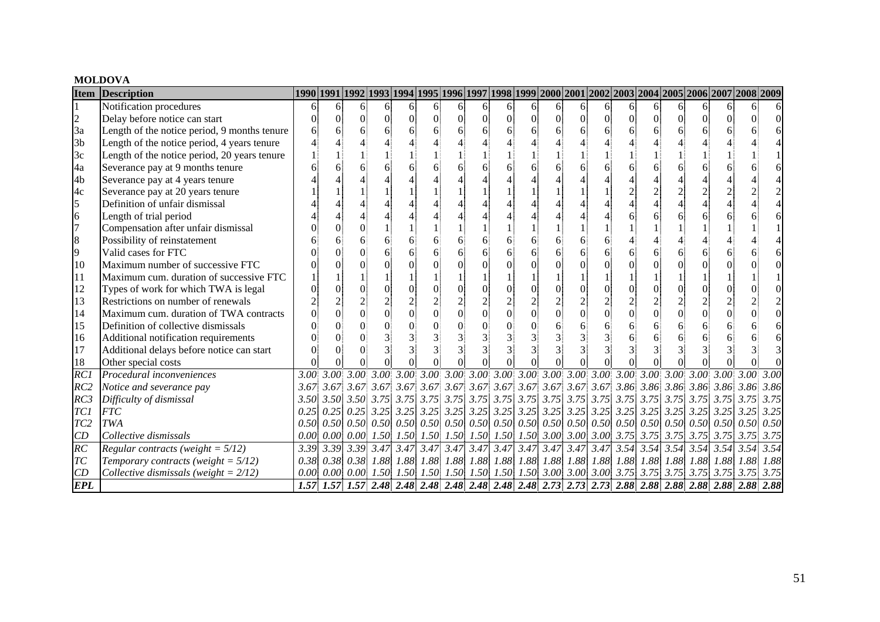#### **MOLDOVA**

| <b>Item</b>     | <b>Description</b>                           | 1990 1991 1992 1993 1994 1995 1996 1997 1998 1999 2000 2001 2002 2003 2004 2005 2006 2007 2008 2009 2009 العلام |    |    |                |          |                |          |          |          |          |                |                 |                          |          |                |          |    |   |                                                                                                                                                 |      |
|-----------------|----------------------------------------------|-----------------------------------------------------------------------------------------------------------------|----|----|----------------|----------|----------------|----------|----------|----------|----------|----------------|-----------------|--------------------------|----------|----------------|----------|----|---|-------------------------------------------------------------------------------------------------------------------------------------------------|------|
|                 | Notification procedures                      | 6                                                                                                               | 61 | 6. | 6              | 6.       | 6              | 61       | 6        | 61       | 6        | 61             | 6               | 6                        | 6        | 6.             | 61       | 6. | 6 |                                                                                                                                                 |      |
| $\overline{c}$  | Delay before notice can start                |                                                                                                                 |    | 0  | $\overline{0}$ | $\Omega$ | $\Omega$       | $\Omega$ | $\Omega$ | $\Omega$ | $\Omega$ | $\Omega$       | $\vert 0 \vert$ | $\Omega$                 | $\Omega$ | $\Omega$       | $\Omega$ |    | 0 |                                                                                                                                                 |      |
| 3a              | Length of the notice period, 9 months tenure |                                                                                                                 |    |    | 6              |          | 6              |          |          |          |          | 6              |                 |                          |          | 6              |          |    |   |                                                                                                                                                 |      |
| 3 <sub>b</sub>  | Length of the notice period, 4 years tenure  |                                                                                                                 |    |    |                |          |                |          |          |          |          |                |                 |                          |          |                |          |    |   |                                                                                                                                                 |      |
| 3c              | Length of the notice period, 20 years tenure |                                                                                                                 |    |    |                |          |                |          |          |          |          |                |                 |                          |          |                |          |    |   |                                                                                                                                                 |      |
| 4a              | Severance pay at 9 months tenure             |                                                                                                                 |    |    |                |          |                |          |          |          |          |                |                 |                          |          |                |          |    |   |                                                                                                                                                 |      |
| 4 <sub>b</sub>  | Severance pay at 4 years tenure              |                                                                                                                 |    |    |                |          |                |          |          |          |          |                |                 |                          |          |                |          |    |   |                                                                                                                                                 |      |
| 4c              | Severance pay at 20 years tenure             |                                                                                                                 |    |    |                |          |                |          |          |          |          |                |                 |                          |          |                |          |    |   |                                                                                                                                                 |      |
| 5               | Definition of unfair dismissal               |                                                                                                                 |    |    |                |          |                |          |          |          |          |                |                 |                          |          |                |          |    |   |                                                                                                                                                 |      |
| 6               | Length of trial period                       |                                                                                                                 |    |    |                |          |                |          |          |          |          |                |                 |                          |          | 6              |          |    |   |                                                                                                                                                 |      |
| $\overline{7}$  | Compensation after unfair dismissal          |                                                                                                                 |    |    |                |          |                |          |          |          |          |                |                 |                          |          |                |          |    |   |                                                                                                                                                 |      |
| 8               | Possibility of reinstatement                 |                                                                                                                 |    |    |                |          |                |          |          |          |          | 6              |                 |                          |          |                |          |    |   |                                                                                                                                                 |      |
| 9               | Valid cases for FTC                          |                                                                                                                 |    |    |                |          | 6              |          |          |          |          | 6              |                 |                          |          | 6              |          |    |   |                                                                                                                                                 |      |
| 10              | Maximum number of successive FTC             |                                                                                                                 |    |    |                |          |                |          |          |          |          |                |                 |                          |          | $\Omega$       |          |    |   |                                                                                                                                                 |      |
| 11              | Maximum cum. duration of successive FTC      |                                                                                                                 |    |    |                |          |                |          |          |          |          |                |                 |                          |          |                |          |    |   |                                                                                                                                                 |      |
| 12              | Types of work for which TWA is legal         |                                                                                                                 |    |    |                |          | $\Omega$       | $\Omega$ |          |          |          | $\Omega$       |                 | $\Omega$                 |          | $\overline{0}$ |          |    |   |                                                                                                                                                 |      |
| 13              | Restrictions on number of renewals           |                                                                                                                 |    |    |                |          |                |          |          |          |          |                |                 | $\overline{2}$           |          | $\overline{2}$ |          |    |   |                                                                                                                                                 |      |
| 14              | Maximum cum. duration of TWA contracts       |                                                                                                                 |    |    | $\overline{0}$ |          | $\overline{0}$ | $\Omega$ | $\Omega$ |          |          | $\overline{0}$ | $\overline{0}$  | $\overline{0}$           |          | $\overline{0}$ |          |    |   |                                                                                                                                                 |      |
| 15              | Definition of collective dismissals          |                                                                                                                 |    |    |                |          |                |          |          |          |          |                |                 |                          |          | 6              |          |    |   |                                                                                                                                                 |      |
| 16              | Additional notification requirements         |                                                                                                                 |    |    |                |          |                |          |          |          |          |                |                 |                          |          | 6              |          |    |   |                                                                                                                                                 |      |
| 17              | Additional delays before notice can start    |                                                                                                                 |    |    |                |          |                |          |          |          |          |                |                 | $\overline{\mathcal{E}}$ |          |                |          |    |   |                                                                                                                                                 |      |
| 18              | Other special costs                          |                                                                                                                 |    |    |                |          |                |          |          |          |          |                |                 |                          |          |                |          |    |   |                                                                                                                                                 |      |
| RC              | Procedural inconveniences                    | 3.00 <sup>1</sup>                                                                                               |    |    |                |          |                |          |          |          |          |                |                 |                          |          |                |          |    |   |                                                                                                                                                 |      |
| RC2             | Notice and severance pay                     |                                                                                                                 |    |    |                |          |                |          |          |          |          |                |                 |                          |          |                |          |    |   |                                                                                                                                                 |      |
| RC3             | Difficulty of dismissal                      |                                                                                                                 |    |    |                |          |                |          |          |          |          |                |                 |                          |          |                |          |    |   |                                                                                                                                                 | 3.75 |
| TC1             | <b>FTC</b>                                   |                                                                                                                 |    |    |                |          |                |          |          |          |          |                |                 |                          |          |                |          |    |   |                                                                                                                                                 | 3.25 |
| TC <sub>2</sub> | TWA                                          |                                                                                                                 |    |    |                |          |                |          |          |          |          |                |                 |                          |          |                |          |    |   |                                                                                                                                                 | 0.50 |
| CD              | Collective dismissals                        | 0.00                                                                                                            |    |    |                |          |                |          |          |          |          |                |                 |                          |          |                |          |    |   | $[0.00]$ $[0.00]$ $[1.50]$ $[1.50]$ $[1.50]$ $[1.50]$ $[1.50]$ $[1.50]$ $[3.00]$ $[3.00]$ $[3.00]$ $[3.75]$ $[3.75]$ $[3.75]$ $[3.75]$ $[3.75]$ | 3.75 |
| RC              | Regular contracts (weight = $5/12$ )         |                                                                                                                 |    |    |                |          |                |          |          |          |          |                |                 |                          |          |                |          |    |   |                                                                                                                                                 | 3.54 |
| TC              | Temporary contracts (weight = $5/12$ )       |                                                                                                                 |    |    |                |          |                |          |          |          |          |                |                 |                          |          |                |          |    |   |                                                                                                                                                 | 1.88 |
| CD              | Collective dismissals (weight = $2/12$ )     | 0.00                                                                                                            |    |    |                |          |                |          |          |          |          |                |                 |                          |          |                |          |    |   |                                                                                                                                                 | 3.75 |
| <b>EPL</b>      |                                              |                                                                                                                 |    |    |                |          |                |          |          |          |          |                |                 |                          |          |                |          |    |   |                                                                                                                                                 |      |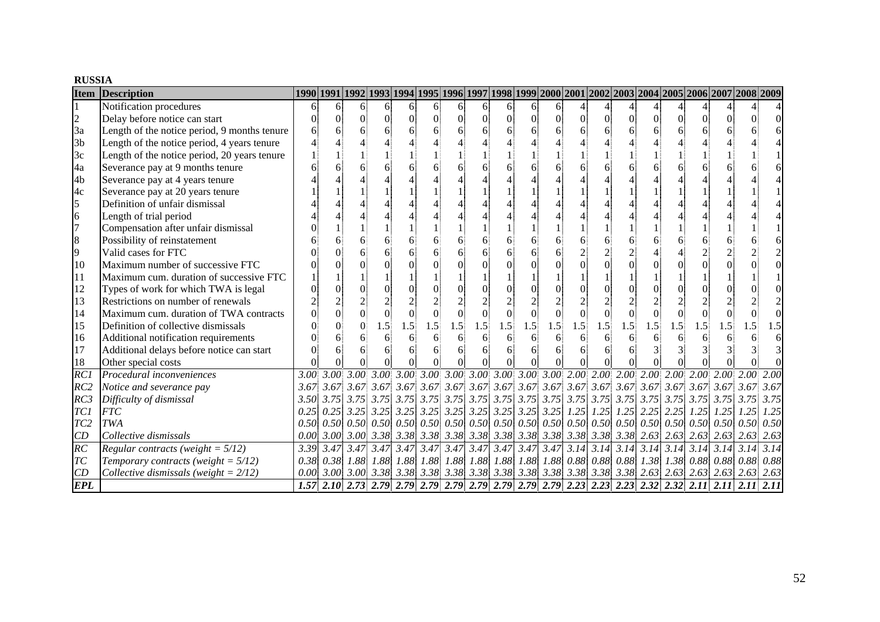#### **RUSSIA**

| <b>Item</b>     | Description                                  |   |          | 1990 1991 1992 1993 1994 1995 1996 1997 1998 1999 2000 2001 2002 2003 2004 2005 2006 2007 2008 2009 |                |          |                |          |                |                |     |                |                |                |                |                |          |     |     |     |      |
|-----------------|----------------------------------------------|---|----------|-----------------------------------------------------------------------------------------------------|----------------|----------|----------------|----------|----------------|----------------|-----|----------------|----------------|----------------|----------------|----------------|----------|-----|-----|-----|------|
|                 | Notification procedures                      | 6 | 61       | 6                                                                                                   | 6              | 6        | 6 <sup>1</sup> | 61       | $\overline{6}$ | 61             | 6.  | 61             |                |                |                |                |          |     |     |     |      |
| $\overline{c}$  | Delay before notice can start                |   | $\Omega$ |                                                                                                     | $\Omega$       | $\Omega$ | $\Omega$       | $\Omega$ | $\Omega$       | $\overline{0}$ |     | $\Omega$       | $\Omega$       | $\Omega$       | $\Omega$       | $\overline{0}$ | $\Omega$ |     |     |     |      |
| 3a              | Length of the notice period, 9 months tenure |   |          |                                                                                                     | 6              |          | 6              |          |                |                |     | 6              |                |                |                | 6              |          |     |     |     |      |
| 3 <sub>b</sub>  | Length of the notice period, 4 years tenure  |   |          |                                                                                                     |                |          |                |          |                |                |     |                |                |                |                |                |          |     |     |     |      |
| 3c              | Length of the notice period, 20 years tenure |   |          |                                                                                                     |                |          |                |          |                |                |     |                |                |                |                |                |          |     |     |     |      |
| 4a              | Severance pay at 9 months tenure             |   |          |                                                                                                     |                |          |                |          |                |                |     |                |                |                |                | 6              |          |     |     |     |      |
| 4b              | Severance pay at 4 years tenure              |   |          |                                                                                                     |                |          |                |          |                |                |     |                |                |                |                |                |          |     |     |     |      |
| 4c              | Severance pay at 20 years tenure             |   |          |                                                                                                     |                |          |                |          |                |                |     |                |                |                |                |                |          |     |     |     |      |
| 5               | Definition of unfair dismissal               |   |          |                                                                                                     |                |          |                |          |                |                |     |                |                |                |                |                |          |     |     |     |      |
| 6               | Length of trial period                       |   |          |                                                                                                     |                |          |                |          |                |                |     |                |                |                |                |                |          |     |     |     |      |
| $\overline{7}$  | Compensation after unfair dismissal          |   |          |                                                                                                     |                |          |                |          |                |                |     |                |                |                |                |                |          |     |     |     |      |
| 8               | Possibility of reinstatement                 |   |          |                                                                                                     |                |          | 6              |          |                |                |     | 6              |                |                |                | 6              |          |     |     |     |      |
| 9               | Valid cases for FTC                          |   |          |                                                                                                     |                |          | 6              |          |                |                |     |                |                |                |                |                |          |     |     |     |      |
| 10              | Maximum number of successive FTC             |   |          |                                                                                                     |                |          | $\Omega$       |          |                |                |     |                |                |                |                | $\Omega$       |          |     |     |     |      |
| 11              | Maximum cum. duration of successive FTC      |   |          |                                                                                                     |                |          |                |          |                |                |     |                |                |                |                |                |          |     |     |     |      |
| 12              | Types of work for which TWA is legal         |   |          |                                                                                                     | $\Omega$       |          | $\Omega$       |          |                |                |     |                |                | $\Omega$       |                | $\Omega$       |          |     |     |     |      |
| 13              | Restrictions on number of renewals           |   |          |                                                                                                     | $\overline{2}$ |          | $\mathfrak{I}$ |          |                |                |     |                |                | $\overline{2}$ |                | $\overline{2}$ |          |     |     |     |      |
| 14              | Maximum cum. duration of TWA contracts       |   |          |                                                                                                     | $\theta$       | $\theta$ | $\Omega$       |          |                |                |     | $\overline{0}$ | $\overline{0}$ | $\Omega$       | $\overline{0}$ | $\overline{0}$ |          |     |     |     |      |
| 15              | Definition of collective dismissals          |   |          |                                                                                                     | 1.5            | 1.5      | 1.5            | 1.5      | 1.5            | 1.5            | 1.5 | 1.5            | 1.5            | 1.5            | 1.5            | 1.5            | 1.5      | 1.5 | 1.5 | 1.5 | 1.5  |
| 16              | Additional notification requirements         |   | 6        |                                                                                                     | 6              |          | 6              |          |                |                |     | 6              | 6              | 6              |                | 6              |          |     |     |     |      |
| 17              | Additional delays before notice can start    |   | 6        |                                                                                                     | 6              |          | 6              |          |                |                |     | 6              |                | 6              |                |                |          |     |     |     |      |
| 18              | Other special costs                          |   |          |                                                                                                     |                |          | $\Omega$       |          |                |                |     |                |                |                |                |                |          |     |     |     |      |
| RC1             | Procedural inconveniences                    |   |          |                                                                                                     |                |          |                |          |                |                |     |                |                |                |                |                |          |     |     |     | 2.00 |
| RC2             | Notice and severance pay                     |   |          |                                                                                                     |                |          |                |          |                |                |     |                |                |                |                |                |          |     |     |     | 3.67 |
| RC3             | Difficulty of dismissal                      |   |          |                                                                                                     |                |          |                |          |                |                |     |                |                |                |                |                |          |     |     |     | 3.75 |
| TC1             | <b>FTC</b>                                   |   |          |                                                                                                     |                |          |                |          |                |                |     |                |                |                |                |                |          |     |     |     | 1.25 |
| TC <sub>2</sub> | TWA                                          |   |          |                                                                                                     |                |          |                |          |                |                |     |                |                |                |                |                |          |     |     |     | 0.50 |
| CD              | Collective dismissals                        |   |          |                                                                                                     |                |          |                |          |                |                |     |                |                |                |                |                |          |     |     |     | 2.63 |
| $\overline{RC}$ | Regular contracts (weight = $5/12$ )         |   |          |                                                                                                     |                |          |                |          |                |                |     |                |                |                |                |                |          |     |     |     | 3.14 |
| TC              | Temporary contracts (weight = $5/12$ )       |   |          |                                                                                                     |                |          |                |          |                |                |     |                |                |                |                |                |          |     |     |     |      |
| CD              | Collective dismissals (weight = $2/12$ )     |   |          |                                                                                                     |                |          |                |          |                |                |     |                |                |                |                |                |          |     |     |     |      |
| <b>EPL</b>      |                                              |   |          |                                                                                                     |                |          |                |          |                |                |     |                |                |                |                |                |          |     |     |     |      |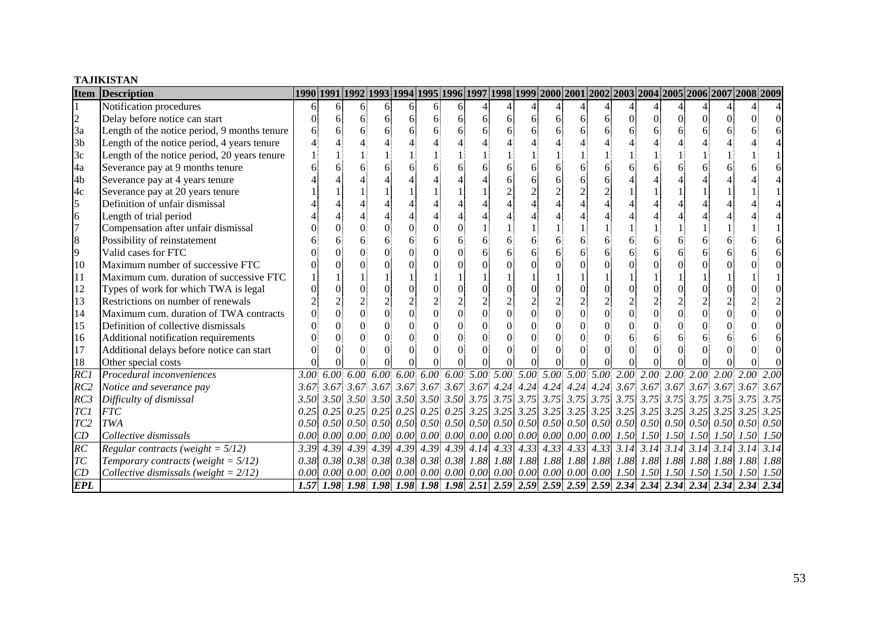#### **TAJIKISTAN**

| <b>Item</b>     | <b>Description</b>                           |      |    |                                                |                |    |                |            |                |    |   |                |                |                |          |                |   |                                                                                                                                                 | 1990 1991 1992 1993 1994 1995 1996 1997 1998 1999 2000 2001 2002 2003 2004 2005 2006 2007 2008 2009                                                |      |
|-----------------|----------------------------------------------|------|----|------------------------------------------------|----------------|----|----------------|------------|----------------|----|---|----------------|----------------|----------------|----------|----------------|---|-------------------------------------------------------------------------------------------------------------------------------------------------|----------------------------------------------------------------------------------------------------------------------------------------------------|------|
|                 | Notification procedures                      | 61   | 61 | 6                                              | 6              | 61 | 6              | $\sqrt{6}$ |                |    |   |                |                |                |          |                |   |                                                                                                                                                 |                                                                                                                                                    |      |
| $\overline{c}$  | Delay before notice can start                |      | 6  | 61                                             | 6              | 61 | 6              | $\sqrt{6}$ | 6              | 61 | 6 | $\vert$        | 6              | 6              | $\Omega$ | $\Omega$       | 0 |                                                                                                                                                 |                                                                                                                                                    |      |
| 3a              | Length of the notice period, 9 months tenure |      |    | 6                                              | 6              |    | 6              | 6          | 6              |    |   | 6              |                |                |          | 6              |   |                                                                                                                                                 |                                                                                                                                                    |      |
| 3 <sub>b</sub>  | Length of the notice period, 4 years tenure  |      |    |                                                |                |    |                |            |                |    |   |                |                |                |          |                |   |                                                                                                                                                 |                                                                                                                                                    |      |
| 3c              | Length of the notice period, 20 years tenure |      |    |                                                |                |    |                |            |                |    |   |                |                |                |          |                |   |                                                                                                                                                 |                                                                                                                                                    |      |
| 4a              | Severance pay at 9 months tenure             |      |    |                                                | 6              |    | 6              | 6          | 6              |    |   | 6              |                | 6              |          | 6              |   |                                                                                                                                                 |                                                                                                                                                    |      |
| 4b              | Severance pay at 4 years tenure              |      |    |                                                |                |    |                |            |                |    |   | 6              |                | 6              |          |                |   |                                                                                                                                                 |                                                                                                                                                    |      |
| 4c              | Severance pay at 20 years tenure             |      |    |                                                |                |    |                |            |                |    |   |                |                | $\overline{c}$ |          |                |   |                                                                                                                                                 |                                                                                                                                                    |      |
| 5               | Definition of unfair dismissal               |      |    |                                                |                |    |                |            |                |    |   |                |                |                |          |                |   |                                                                                                                                                 |                                                                                                                                                    |      |
| $\overline{6}$  | Length of trial period                       |      |    |                                                |                |    |                |            |                |    |   |                |                |                |          |                |   |                                                                                                                                                 |                                                                                                                                                    |      |
| $\overline{7}$  | Compensation after unfair dismissal          |      |    |                                                | 0              |    | $\theta$       | $\Omega$   |                |    |   |                |                |                |          |                |   |                                                                                                                                                 |                                                                                                                                                    |      |
| 8               | Possibility of reinstatement                 |      |    |                                                | 6              | 6  | 6              | 6          | 6              |    |   | 6              |                |                |          | 6              |   |                                                                                                                                                 |                                                                                                                                                    |      |
| 9               | Valid cases for FTC                          |      |    |                                                |                |    | $\Omega$       | 0          | 6              |    |   | 6              |                |                |          | 6              |   |                                                                                                                                                 |                                                                                                                                                    |      |
| 10              | Maximum number of successive FTC             |      |    |                                                |                |    | $\Omega$       |            |                |    |   |                |                |                |          | $\Omega$       |   |                                                                                                                                                 |                                                                                                                                                    |      |
| 11              | Maximum cum. duration of successive FTC      |      |    |                                                |                |    |                |            |                |    |   |                |                |                |          |                |   |                                                                                                                                                 |                                                                                                                                                    |      |
| 12              | Types of work for which TWA is legal         |      |    | 0                                              | $\overline{0}$ |    | $\overline{0}$ | $\Omega$   | $\Omega$       |    |   |                |                | $\overline{0}$ |          | $\overline{0}$ |   |                                                                                                                                                 |                                                                                                                                                    |      |
| 13              | Restrictions on number of renewals           |      |    |                                                | $\overline{c}$ |    | $\overline{2}$ |            | $\overline{2}$ |    |   |                |                | $\frac{2}{0}$  |          | $\overline{2}$ |   |                                                                                                                                                 |                                                                                                                                                    |      |
| 14              | Maximum cum. duration of TWA contracts       |      |    | $\Omega$                                       | $\overline{0}$ |    | $\overline{0}$ | $\Omega$   | $\overline{0}$ |    |   | $\overline{0}$ | $\overline{0}$ |                |          | $\overline{0}$ |   |                                                                                                                                                 |                                                                                                                                                    |      |
| 15              | Definition of collective dismissals          |      |    |                                                | $\theta$       |    | $\theta$       | $\Omega$   | $\theta$       |    |   |                |                |                |          | $\Omega$       |   |                                                                                                                                                 |                                                                                                                                                    |      |
| 16              | Additional notification requirements         |      |    |                                                | 0              |    | $\Omega$       | $\Omega$   | $\Omega$       |    |   |                |                |                |          | 6              |   |                                                                                                                                                 |                                                                                                                                                    |      |
| 17              | Additional delays before notice can start    |      |    |                                                | $\Omega$       | 0  | $\theta$       | 0          | $\Omega$       |    |   |                |                |                |          | $\Omega$       |   |                                                                                                                                                 |                                                                                                                                                    |      |
| 18              | Other special costs                          |      |    |                                                |                |    |                |            |                |    |   |                |                |                |          |                |   |                                                                                                                                                 |                                                                                                                                                    |      |
| $\overline{RC}$ | Procedural inconveniences                    |      |    |                                                |                |    |                |            |                |    |   |                |                |                |          |                |   |                                                                                                                                                 |                                                                                                                                                    | 2.00 |
| RC2             | Notice and severance pay                     |      |    |                                                |                |    |                |            |                |    |   |                |                |                |          |                |   |                                                                                                                                                 |                                                                                                                                                    | 3.67 |
| RC3             | Difficulty of dismissal                      |      |    |                                                |                |    |                |            |                |    |   |                |                |                |          |                |   |                                                                                                                                                 |                                                                                                                                                    | 3.75 |
| TC1             | <b>FTC</b>                                   |      |    |                                                |                |    |                |            |                |    |   |                |                |                |          |                |   |                                                                                                                                                 | $0.25$ $0.25$ $0.25$ $0.25$ $0.25$ $0.25$ $0.25$ $0.25$ $3.25$ $3.25$ $3.25$ $3.25$ $3.25$ $3.25$ $3.25$ $3.25$ $3.25$ $3.25$ $3.25$ $3.25$ $3.25$ | 3.25 |
| TC <sub>2</sub> | <b>TWA</b>                                   |      |    |                                                |                |    |                |            |                |    |   |                |                |                |          |                |   |                                                                                                                                                 |                                                                                                                                                    | 0.50 |
| CD              | Collective dismissals                        | 0.00 |    |                                                |                |    |                |            |                |    |   |                |                |                |          |                |   | $[0.00]$ $[0.00]$ $[0.00]$ $[0.00]$ $[0.00]$ $[0.00]$ $[0.00]$ $[0.00]$ $[0.00]$ $[0.00]$ $[0.00]$ $[1.50]$ $[1.50]$ $[1.50]$ $[1.50]$ $[1.50]$ |                                                                                                                                                    | 1.50 |
| $\overline{RC}$ | Regular contracts (weight = $5/12$ )         |      |    | $3.39$ 4.39 4.39 4.39 4.39 4.39 4.39 4.14 4.33 |                |    |                |            |                |    |   |                |                |                |          |                |   |                                                                                                                                                 |                                                                                                                                                    | 3.14 |
| T <sub>C</sub>  | Temporary contracts (weight = $5/12$ )       |      |    |                                                |                |    |                |            |                |    |   |                |                |                |          |                |   |                                                                                                                                                 | 1.88 1.88 1.88 1.88 1.88 1.88                                                                                                                      | 1.88 |
| CD              | Collective dismissals (weight = $2/12$ )     | 0.00 |    |                                                |                |    |                |            |                |    |   |                |                |                |          |                |   |                                                                                                                                                 | $[0.00]$ $[0.00]$ $[0.00]$ $[0.00]$ $[0.00]$ $[0.00]$ $[0.00]$ $[0.00]$ $[0.00]$ $[0.00]$ $[0.00]$ $[1.50]$ $[1.50]$ $[1.50]$ $[1.50]$ $[1.50]$    | 1.50 |
| <b>EPL</b>      |                                              |      |    |                                                |                |    |                |            |                |    |   |                |                |                |          |                |   |                                                                                                                                                 | 1.57 1.98 1.98 1.98 1.98 1.98 1.98 1.98 2.51 2.59 2.59 2.59 2.59 2.59 2.34 2.34 2.34 2.34 2.34 2.34 2.34                                           |      |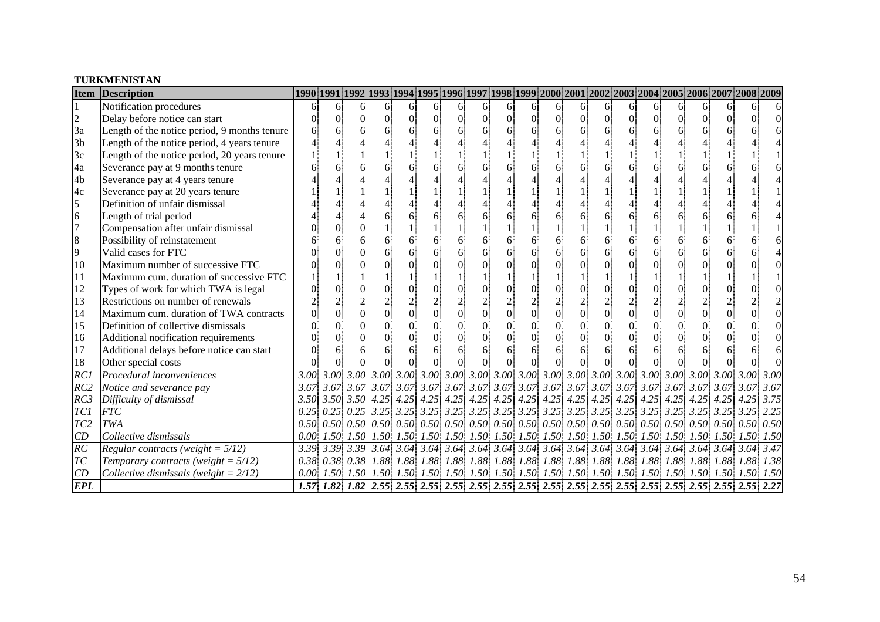#### **TURKMENISTAN**

| <b>Item</b>     | <b>Description</b>                           |   |    |          |                |                |                 |          |                |          |    |                |                |                |                |                 |          | 1990 1991 1992 1993 1994 1995 1996 1997 1998 1999 2000 2001 2002 2003 2004 2005 2006 2007 2008 2009                                                               |          |      |
|-----------------|----------------------------------------------|---|----|----------|----------------|----------------|-----------------|----------|----------------|----------|----|----------------|----------------|----------------|----------------|-----------------|----------|-------------------------------------------------------------------------------------------------------------------------------------------------------------------|----------|------|
|                 | Notification procedures                      | 6 | 61 | 6.       | 6              | 6              | 6               | 61       | 6              | 61       | 6. | 61             | 6              | 6              | 6              | 6.              | 6        | 6                                                                                                                                                                 | 6        |      |
| $\frac{2}{3a}$  | Delay before notice can start                |   |    | $\Omega$ | $\theta$       | $\Omega$       | $\vert 0 \vert$ | $\Omega$ | $\Omega$       | $\Omega$ |    | $\Omega$       | $\overline{0}$ | $\Omega$       | $\Omega$       | $\Omega$        | $\Omega$ | 0                                                                                                                                                                 | $\Omega$ |      |
|                 | Length of the notice period, 9 months tenure |   |    |          | 6              |                | 6               |          |                |          |    | 6              | 6              |                |                | 6               |          |                                                                                                                                                                   |          |      |
| 3 <sub>b</sub>  | Length of the notice period, 4 years tenure  |   |    |          |                |                |                 |          |                |          |    |                |                |                |                |                 |          |                                                                                                                                                                   |          |      |
| 3c              | Length of the notice period, 20 years tenure |   |    |          |                |                |                 |          |                |          |    |                |                |                |                |                 |          |                                                                                                                                                                   |          |      |
| 4a              | Severance pay at 9 months tenure             |   |    |          |                |                |                 |          |                |          |    |                |                |                |                |                 |          |                                                                                                                                                                   |          |      |
| 4b              | Severance pay at 4 years tenure              |   |    |          |                |                |                 |          |                |          |    |                |                |                |                |                 |          |                                                                                                                                                                   |          |      |
| 4c              | Severance pay at 20 years tenure             |   |    |          |                |                |                 |          |                |          |    |                |                |                |                |                 |          |                                                                                                                                                                   |          |      |
| 5               | Definition of unfair dismissal               |   |    |          |                |                |                 |          |                |          |    |                |                |                |                |                 |          |                                                                                                                                                                   |          |      |
| $\overline{6}$  | Length of trial period                       |   |    |          |                |                |                 |          |                |          |    |                |                |                | 6              | 6               |          |                                                                                                                                                                   |          |      |
| $\overline{7}$  | Compensation after unfair dismissal          |   |    |          |                |                |                 |          |                |          |    |                |                |                |                |                 |          |                                                                                                                                                                   |          |      |
| 8               | Possibility of reinstatement                 |   |    |          | 6              |                | 6               |          |                |          |    | 6              |                | 6              | 6              | 6               | 6        | 61                                                                                                                                                                |          |      |
| 9               | Valid cases for FTC                          |   |    |          |                |                | 6               |          |                |          |    | 6              |                | 6              |                | 6               |          |                                                                                                                                                                   |          |      |
| 10              | Maximum number of successive FTC             |   |    |          |                |                |                 |          |                |          |    | $\Omega$       |                | $\Omega$       |                | $\Omega$        |          |                                                                                                                                                                   |          |      |
| 11              | Maximum cum. duration of successive FTC      |   |    |          |                |                |                 |          |                |          |    |                |                |                |                |                 |          |                                                                                                                                                                   |          |      |
| 12              | Types of work for which TWA is legal         |   |    | 0        |                |                | $\Omega$        | $\Omega$ |                |          |    | $\Omega$       | $\overline{0}$ | $\Omega$       | $\overline{0}$ | $\Omega$        |          |                                                                                                                                                                   |          |      |
| 13              | Restrictions on number of renewals           |   |    |          | $\overline{c}$ |                | $\overline{2}$  |          |                |          |    |                | $\overline{2}$ | $\sqrt{2}$     | $\overline{2}$ | $\sqrt{2}$      |          |                                                                                                                                                                   |          |      |
| 14              | Maximum cum. duration of TWA contracts       |   |    | $\Omega$ | $\overline{0}$ | $\overline{0}$ | $\overline{0}$  | $\Omega$ | $\overline{0}$ |          |    | $\overline{0}$ | $\overline{0}$ | $\overline{0}$ | $\Omega$       | $\vert 0 \vert$ |          | $\Omega$                                                                                                                                                          |          |      |
| 15              | Definition of collective dismissals          |   |    |          | $\Omega$       | 0              | $\theta$        | $\Omega$ |                |          |    | $\theta$       |                | $\theta$       | $\Omega$       | $\overline{0}$  |          |                                                                                                                                                                   |          |      |
| 16              | Additional notification requirements         |   |    |          |                |                | $\Omega$        | $\Omega$ |                |          |    | $\Omega$       |                | $\Omega$       |                | $\overline{0}$  |          |                                                                                                                                                                   |          |      |
| 17              | Additional delays before notice can start    |   |    |          |                |                | 6               | 6        |                | 61       |    | 6              | 6              | 6              | 6              | 6               |          |                                                                                                                                                                   |          |      |
| 18              | Other special costs                          |   |    |          |                |                |                 |          |                |          |    |                |                |                |                |                 |          |                                                                                                                                                                   |          |      |
| RC1             | Procedural inconveniences                    |   |    |          |                |                |                 |          |                |          |    |                |                |                |                |                 |          |                                                                                                                                                                   |          | 3.00 |
| RC2             | Notice and severance pay                     |   |    |          |                |                |                 |          |                |          |    |                |                |                |                |                 |          |                                                                                                                                                                   |          | 3.67 |
| RC3             | Difficulty of dismissal                      |   |    |          |                |                |                 |          |                |          |    |                |                |                |                |                 |          |                                                                                                                                                                   |          | 3.75 |
| TC1             | <b>FTC</b>                                   |   |    |          |                |                |                 |          |                |          |    |                |                |                |                |                 |          | $0.25$ $0.25$ $0.25$ $3.25$ $3.25$ $3.25$ $3.25$ $3.25$ $3.25$ $3.25$ $3.25$ $3.25$ $3.25$ $3.25$ $3.25$ $3.25$ $3.25$ $3.25$ $3.25$ $3.25$                       |          | 2.25 |
| TC <sub>2</sub> | <b>TWA</b>                                   |   |    |          |                |                |                 |          |                |          |    |                |                |                |                |                 |          | $0.50\,$ $0.50\,$ $0.50\,$ $0.50\,$ $0.50\,$ $0.50\,$ $0.50\,$ $0.50\,$ $0.50\,$ $0.50\,$ $0.50\,$ $0.50\,$ $0.50\,$ $0.50\,$ $0.50\,$ $0.50\,$ $0.50\,$ $0.50\,$ |          | 0.50 |
| CD              | Collective dismissals                        |   |    |          |                |                |                 |          |                |          |    |                |                |                |                |                 |          |                                                                                                                                                                   |          | 1.50 |
| $\overline{RC}$ | Regular contracts (weight = $5/12$ )         |   |    |          |                |                |                 |          |                |          |    |                |                |                |                |                 |          |                                                                                                                                                                   |          | 3.47 |
| T <sub>C</sub>  | Temporary contracts (weight = $5/12$ )       |   |    |          |                |                |                 |          |                |          |    |                |                |                |                |                 |          |                                                                                                                                                                   |          | 1.38 |
| CD              | Collective dismissals (weight = $2/12$ )     |   |    |          |                |                |                 |          |                |          |    |                |                |                |                |                 |          |                                                                                                                                                                   |          | 1.50 |
| <b>EPL</b>      |                                              |   |    |          |                |                |                 |          |                |          |    |                |                |                |                |                 |          |                                                                                                                                                                   |          |      |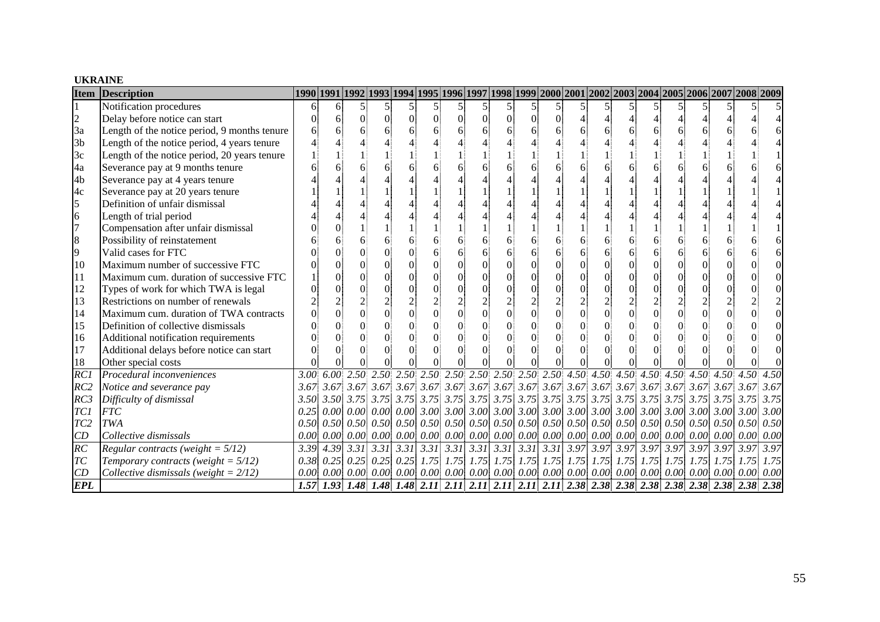#### **UKRAINE**

| <b>Item</b>     | <b>Description</b>                           | 1990 1991 1992 1993 1994 1995 1996 1997 1998 1999 2000 2001 2002 2003 2004 2005 2006 2007 2008 2009 2009 العلام |    |                                                        |                |                |                 |          |                                                                         |          |                               |                |                |                                                                                                                                                 |  |      |
|-----------------|----------------------------------------------|-----------------------------------------------------------------------------------------------------------------|----|--------------------------------------------------------|----------------|----------------|-----------------|----------|-------------------------------------------------------------------------|----------|-------------------------------|----------------|----------------|-------------------------------------------------------------------------------------------------------------------------------------------------|--|------|
|                 | Notification procedures                      | 6                                                                                                               | 61 | 51                                                     |                | $\mathfrak{S}$ |                 |          |                                                                         |          | 5                             |                |                |                                                                                                                                                 |  |      |
| $\overline{c}$  | Delay before notice can start                |                                                                                                                 | 6  | 0                                                      | $\overline{0}$ | $\Omega$       | $\vert 0 \vert$ | $\Omega$ | $\Omega$                                                                | $\Omega$ | $\Omega$                      |                |                |                                                                                                                                                 |  |      |
| 3a              | Length of the notice period, 9 months tenure |                                                                                                                 |    |                                                        | 6              |                |                 |          |                                                                         |          | 6                             |                | 6              |                                                                                                                                                 |  |      |
| 3 <sub>b</sub>  | Length of the notice period, 4 years tenure  |                                                                                                                 |    |                                                        |                |                |                 |          |                                                                         |          |                               |                |                |                                                                                                                                                 |  |      |
| 3c              | Length of the notice period, 20 years tenure |                                                                                                                 |    |                                                        |                |                |                 |          |                                                                         |          |                               |                |                |                                                                                                                                                 |  |      |
| 4a              | Severance pay at 9 months tenure             |                                                                                                                 |    |                                                        |                |                |                 |          |                                                                         |          |                               |                |                |                                                                                                                                                 |  |      |
| 4 <sub>b</sub>  | Severance pay at 4 years tenure              |                                                                                                                 |    |                                                        |                |                |                 |          |                                                                         |          |                               |                |                |                                                                                                                                                 |  |      |
| 4c              | Severance pay at 20 years tenure             |                                                                                                                 |    |                                                        |                |                |                 |          |                                                                         |          |                               |                |                |                                                                                                                                                 |  |      |
| 5               | Definition of unfair dismissal               |                                                                                                                 |    |                                                        |                |                |                 |          |                                                                         |          |                               |                |                |                                                                                                                                                 |  |      |
| 6               | Length of trial period                       |                                                                                                                 |    |                                                        |                |                |                 |          |                                                                         |          |                               |                |                |                                                                                                                                                 |  |      |
| $\overline{7}$  | Compensation after unfair dismissal          |                                                                                                                 |    |                                                        |                |                |                 |          |                                                                         |          |                               |                |                |                                                                                                                                                 |  |      |
| 8               | Possibility of reinstatement                 |                                                                                                                 |    |                                                        |                |                |                 |          |                                                                         |          | 6                             |                | 6              |                                                                                                                                                 |  |      |
| 9               | Valid cases for FTC                          |                                                                                                                 |    |                                                        |                |                |                 |          |                                                                         |          | 6                             |                | 6              |                                                                                                                                                 |  |      |
| 10              | Maximum number of successive FTC             |                                                                                                                 |    |                                                        |                |                | $\theta$        |          |                                                                         |          | $\Omega$                      | $\Omega$       | $\overline{0}$ |                                                                                                                                                 |  |      |
| 11              | Maximum cum. duration of successive FTC      |                                                                                                                 |    |                                                        |                |                | $\Omega$        | $\Omega$ |                                                                         |          | $\Omega$                      | $\Omega$       | $\Omega$       |                                                                                                                                                 |  |      |
| 12              | Types of work for which TWA is legal         |                                                                                                                 |    |                                                        |                |                | $\Omega$        | $\Omega$ |                                                                         |          |                               | $\Omega$       | $\overline{0}$ |                                                                                                                                                 |  |      |
| 13              | Restrictions on number of renewals           |                                                                                                                 |    |                                                        | $\overline{c}$ |                |                 |          |                                                                         |          |                               | $\overline{c}$ | $\overline{c}$ |                                                                                                                                                 |  |      |
| 14              | Maximum cum. duration of TWA contracts       |                                                                                                                 |    |                                                        | $\overline{0}$ | $\overline{0}$ | $\overline{0}$  | $\Omega$ | $\Omega$                                                                |          | $\overline{0}$                | $\overline{0}$ | $\overline{0}$ |                                                                                                                                                 |  |      |
| 15              | Definition of collective dismissals          |                                                                                                                 |    |                                                        |                |                |                 | $\Omega$ |                                                                         |          | $\Omega$                      |                | $\overline{0}$ |                                                                                                                                                 |  |      |
| 16              | Additional notification requirements         |                                                                                                                 |    |                                                        |                |                | $\Omega$        | $\Omega$ | 0                                                                       |          | $\Omega$                      |                | $\Omega$       |                                                                                                                                                 |  |      |
| 17              | Additional delays before notice can start    |                                                                                                                 |    |                                                        | 0              | $\Omega$       | $\Omega$        | $\Omega$ |                                                                         |          | $\Omega$                      |                | $\Omega$       |                                                                                                                                                 |  |      |
| 18              | Other special costs                          |                                                                                                                 |    |                                                        |                |                |                 |          |                                                                         |          |                               |                |                |                                                                                                                                                 |  |      |
| RCI             | Procedural inconveniences                    |                                                                                                                 |    |                                                        |                |                |                 |          |                                                                         |          |                               |                |                |                                                                                                                                                 |  |      |
| RC2             | Notice and severance pay                     |                                                                                                                 |    |                                                        |                |                |                 |          |                                                                         |          |                               |                |                |                                                                                                                                                 |  | 3.67 |
| RC3             | Difficulty of dismissal                      |                                                                                                                 |    |                                                        |                |                |                 |          |                                                                         |          |                               |                |                |                                                                                                                                                 |  | 3.75 |
| TC1             | <b>FTC</b>                                   | 0.25                                                                                                            |    |                                                        |                |                |                 |          |                                                                         |          |                               |                |                | $[0.00]$ $[0.00]$ $[0.00]$ $[0.00]$ $[3.00]$ $[3.00]$ $[3.00]$ $[3.00]$ $[3.00]$ $[3.00]$ $[3.00]$ $[3.00]$ $[3.00]$ $[3.00]$ $[3.00]$ $[3.00]$ |  | 3.00 |
| TC <sub>2</sub> | <b>TWA</b>                                   | 0.50                                                                                                            |    |                                                        |                |                |                 |          |                                                                         |          |                               |                |                |                                                                                                                                                 |  | 0.50 |
| CD              | Collective dismissals                        | 0.00                                                                                                            |    |                                                        |                |                |                 |          | $[0.00]$ $[0.00]$ $[0.00]$ $[0.00]$ $[0.00]$ $[0.00]$ $[0.00]$ $[0.00]$ |          |                               |                |                | $[0.00]$ $[0.00]$ $[0.00]$ $[0.00]$ $[0.00]$ $[0.00]$ $[0.00]$ $[0.00]$ $[0.00]$                                                                |  | 0.00 |
| RC              | Regular contracts (weight = $5/12$ )         |                                                                                                                 |    | $3.39$ $ 4.39$ $ 3.31$ $ 3.31$ $ 3.31$ $ 3.31$ $ 3.31$ |                |                |                 |          |                                                                         |          |                               |                |                |                                                                                                                                                 |  | 3.97 |
| TC              | Temporary contracts (weight = $5/12$ )       |                                                                                                                 |    | $0.38$ 0.25 0.25 0.25 0.25 1.75 1.75                   |                |                |                 |          |                                                                         |          | 1.75 1.75 1.75 1.75 1.75 1.75 |                |                | $1.75$ $1.75$ $1.75$ $1.75$ $1.75$ $1.75$ $1.75$                                                                                                |  | 1.75 |
| CD              | Collective dismissals (weight = $2/12$ )     | 0.00                                                                                                            |    |                                                        |                |                |                 |          |                                                                         |          |                               |                |                |                                                                                                                                                 |  |      |
| <b>EPL</b>      |                                              |                                                                                                                 |    |                                                        |                |                |                 |          |                                                                         |          |                               |                |                | 1.57   1.93   1.48   1.48   1.48   2.11   2.11   2.11   2.11   2.11   2.38   2.38   2.38   2.38   2.38   2.38   2.38   2.38   2.38              |  |      |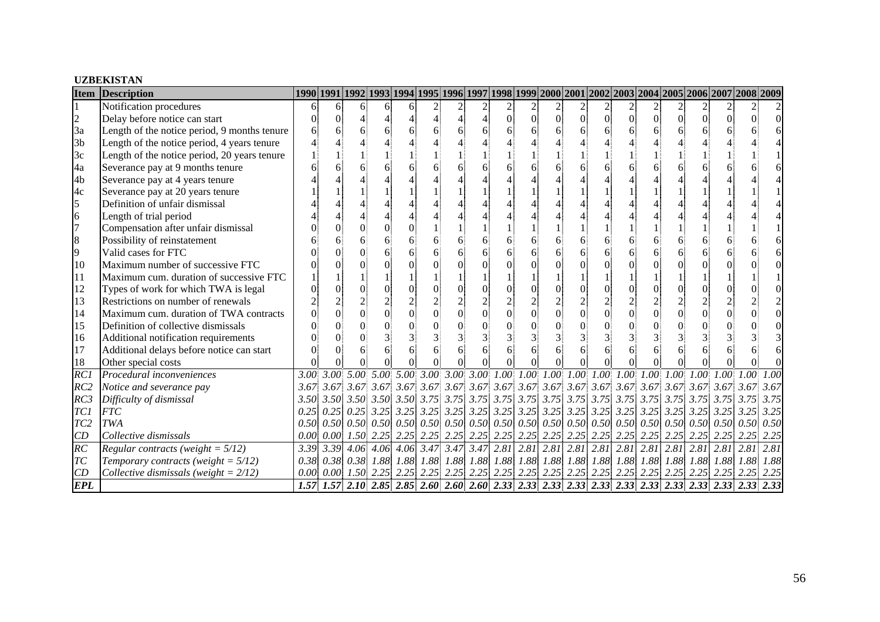#### **UZBEKISTAN**

| <b>Item</b>      | <b>Description</b>                           |      |      |                      |                |   |                          |                        |      |                |                          |                 |                |                 |                |                      |                                                                                                                               |                      | 1990 1991 1992 1993 1994 1995 1996 1997 1998 1999 2000 2001 2002 2003 2004 2005 2006 2007 2008 2009                                                                                                                                                       |      |
|------------------|----------------------------------------------|------|------|----------------------|----------------|---|--------------------------|------------------------|------|----------------|--------------------------|-----------------|----------------|-----------------|----------------|----------------------|-------------------------------------------------------------------------------------------------------------------------------|----------------------|-----------------------------------------------------------------------------------------------------------------------------------------------------------------------------------------------------------------------------------------------------------|------|
|                  | Notification procedures                      |      |      | 61                   | 6              | 6 | $\overline{c}$           | 2                      |      | $\frac{2}{2}$  |                          | 2               |                |                 |                |                      |                                                                                                                               |                      |                                                                                                                                                                                                                                                           |      |
| $\overline{c}$   | Delay before notice can start                |      |      |                      |                |   | $\overline{\mathcal{A}}$ | 4                      | 01   | $\overline{0}$ | $\theta$                 | $\vert 0 \vert$ | $\overline{0}$ | $\vert 0 \vert$ | $\overline{0}$ | $\Omega$             | 0                                                                                                                             | 01                   |                                                                                                                                                                                                                                                           |      |
| 3a               | Length of the notice period, 9 months tenure |      |      |                      | 6              |   |                          |                        |      |                |                          |                 |                |                 | 6              |                      |                                                                                                                               |                      |                                                                                                                                                                                                                                                           |      |
| 3 <sub>b</sub>   | Length of the notice period, 4 years tenure  |      |      |                      |                |   |                          |                        |      |                |                          |                 |                |                 |                |                      |                                                                                                                               |                      |                                                                                                                                                                                                                                                           |      |
| 3c               | Length of the notice period, 20 years tenure |      |      |                      |                |   |                          |                        |      |                |                          |                 |                |                 |                |                      |                                                                                                                               |                      |                                                                                                                                                                                                                                                           |      |
| 4a               | Severance pay at 9 months tenure             |      |      |                      |                |   |                          |                        |      |                |                          |                 |                |                 |                |                      |                                                                                                                               |                      |                                                                                                                                                                                                                                                           |      |
| 4b               | Severance pay at 4 years tenure              |      |      |                      |                |   |                          |                        |      |                |                          |                 |                |                 |                |                      |                                                                                                                               |                      |                                                                                                                                                                                                                                                           |      |
| 4c               | Severance pay at 20 years tenure             |      |      |                      |                |   |                          |                        |      |                |                          |                 |                |                 |                |                      |                                                                                                                               |                      |                                                                                                                                                                                                                                                           |      |
| 5                | Definition of unfair dismissal               |      |      |                      |                |   |                          |                        |      |                |                          |                 |                |                 |                |                      |                                                                                                                               |                      |                                                                                                                                                                                                                                                           |      |
| 6                | Length of trial period                       |      |      |                      |                |   |                          |                        |      |                |                          |                 |                |                 |                |                      |                                                                                                                               |                      |                                                                                                                                                                                                                                                           |      |
| $\overline{7}$   | Compensation after unfair dismissal          |      |      |                      |                |   |                          |                        |      |                |                          |                 |                |                 |                |                      |                                                                                                                               |                      |                                                                                                                                                                                                                                                           |      |
| 8                | Possibility of reinstatement                 |      |      |                      | 6              |   |                          |                        |      |                |                          |                 |                |                 | 6              |                      |                                                                                                                               |                      |                                                                                                                                                                                                                                                           |      |
| 9                | Valid cases for FTC                          |      |      |                      |                |   |                          |                        |      |                |                          |                 |                |                 | 6              |                      |                                                                                                                               |                      |                                                                                                                                                                                                                                                           |      |
| 10               | Maximum number of successive FTC             |      |      |                      |                |   |                          |                        |      |                |                          |                 |                |                 |                |                      |                                                                                                                               |                      |                                                                                                                                                                                                                                                           |      |
| 11               | Maximum cum. duration of successive FTC      |      |      |                      |                |   |                          |                        |      |                |                          |                 |                |                 |                |                      |                                                                                                                               |                      |                                                                                                                                                                                                                                                           |      |
| 12               | Types of work for which TWA is legal         |      |      |                      |                |   | $\overline{0}$           |                        |      |                |                          |                 | $\overline{0}$ |                 | $\Omega$       |                      |                                                                                                                               |                      |                                                                                                                                                                                                                                                           |      |
| 13               | Restrictions on number of renewals           |      |      |                      |                |   | $\overline{\mathcal{L}}$ |                        |      |                |                          |                 |                |                 |                |                      |                                                                                                                               |                      |                                                                                                                                                                                                                                                           |      |
| 14               | Maximum cum. duration of TWA contracts       |      |      |                      | $\overline{0}$ |   | $\overline{0}$           | $\theta$               |      |                |                          | $\Omega$        | $\overline{0}$ |                 | $\overline{0}$ |                      |                                                                                                                               |                      |                                                                                                                                                                                                                                                           |      |
| 15               | Definition of collective dismissals          |      |      |                      |                |   |                          |                        |      |                |                          |                 |                |                 | $\Omega$       |                      |                                                                                                                               |                      |                                                                                                                                                                                                                                                           |      |
| 16               | Additional notification requirements         |      |      |                      |                |   |                          |                        |      |                |                          |                 |                |                 |                |                      |                                                                                                                               |                      |                                                                                                                                                                                                                                                           |      |
| 17               | Additional delays before notice can start    |      |      |                      |                |   |                          |                        |      |                |                          |                 |                |                 |                |                      |                                                                                                                               |                      |                                                                                                                                                                                                                                                           |      |
| 18               | Other special costs                          |      |      |                      |                |   |                          |                        |      |                |                          |                 |                |                 |                |                      |                                                                                                                               |                      |                                                                                                                                                                                                                                                           |      |
| $\overline{RCI}$ | Procedural inconveniences                    | 3.00 |      |                      |                |   |                          |                        |      |                |                          |                 |                |                 |                |                      |                                                                                                                               |                      | $3.00\, \,5.00\, \,5.00\, \,5.00\, \,3.00\, \,3.00\, \,3.00\, \,1.00\, \,1.00\, \,1.00\, \,1.00\, \,1.00\, \,1.00\, \,1.00\, \,1.00\, \,1.00\, \,1.00\, \,1.00\, \,1.00\, \,1.00\, \,1.00\, \,1.00\, \,1.00\, \,1.00\, \,1.00\, \,1.00\, \,1.00\, \,1.00$ |      |
| RC2              | Notice and severance pay                     | 3.67 |      |                      |                |   |                          |                        |      |                |                          |                 |                |                 |                |                      |                                                                                                                               |                      |                                                                                                                                                                                                                                                           | 3.67 |
| RC3              | Difficulty of dismissal                      |      |      |                      |                |   |                          |                        |      |                |                          |                 |                |                 |                |                      |                                                                                                                               |                      |                                                                                                                                                                                                                                                           | 3.75 |
| TC1              | <b>FTC</b>                                   | 0.25 | 0.25 |                      |                |   |                          |                        |      |                |                          |                 |                |                 |                |                      |                                                                                                                               |                      |                                                                                                                                                                                                                                                           | 3.25 |
| TC <sub>2</sub>  | <b>TWA</b>                                   | 0.50 |      |                      |                |   |                          |                        |      |                |                          |                 |                |                 |                |                      | $0.50\,0.50\,0.50\,0.50\,0.50\,0.50\,0.50\,0.50\,0.50\,0.50\,0.50\,0.50\,0.50\,0.50\,0.50\,0.50\,0.50\,0.50\,0.50\,0.50$      |                      |                                                                                                                                                                                                                                                           | 0.50 |
| CD               | Collective dismissals                        | 0.00 |      |                      |                |   |                          |                        |      |                |                          |                 |                |                 |                |                      | $0.00$ $1.50$ $2.25$ $2.25$ $2.25$ $2.25$ $2.25$ $2.25$ $2.25$ $2.25$ $2.25$ $2.25$ $2.25$ $2.25$ $2.25$ $2.25$ $2.25$ $2.25$ |                      |                                                                                                                                                                                                                                                           | 2.25 |
| $\overline{RC}$  | Regular contracts (weight = $5/12$ )         | 3.39 | 3.39 | 4.06                 | 4.06           |   | $4.06$ 3.47              | $3.47 \overline{3.47}$ | 2.81 |                | $2.81$ $2.81$            |                 | $2.81$ $2.81$  |                 |                | $2.81$ $2.81$ $2.81$ |                                                                                                                               | $2.81$ $2.81$ $2.81$ |                                                                                                                                                                                                                                                           | 2.81 |
| T <sub>C</sub>   | Temporary contracts (weight = $5/12$ )       | 0.38 | 0.38 | 0.38 1.88            |                |   | 1.88 1.88                |                        |      |                | 1.88 1.88 1.88 1.88 1.88 |                 | 1.88 1.88      |                 |                |                      | 1.88 1.88 1.88 1.88 1.88 1.88                                                                                                 |                      |                                                                                                                                                                                                                                                           | 1.88 |
| CD               | Collective dismissals (weight = $2/12$ )     | 0.00 |      | $0.00$ $1.50$ $2.25$ |                |   |                          |                        |      |                |                          |                 |                |                 |                |                      |                                                                                                                               |                      | $2.25$ $2.25$ $2.25$                                                                                                                                                                                                                                      | 2.25 |
| <b>EPL</b>       |                                              | 1.57 |      |                      |                |   |                          |                        |      |                |                          |                 |                |                 |                |                      |                                                                                                                               |                      |                                                                                                                                                                                                                                                           |      |